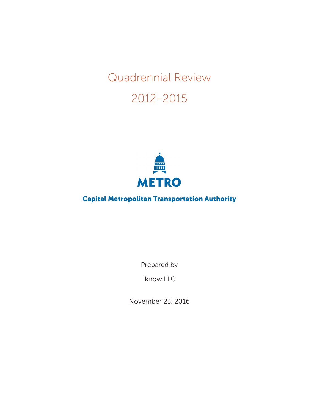# Quadrennial Review

## 2012–2015



## Capital Metropolitan Transportation Authority

Prepared by

Iknow LLC

November 23, 2016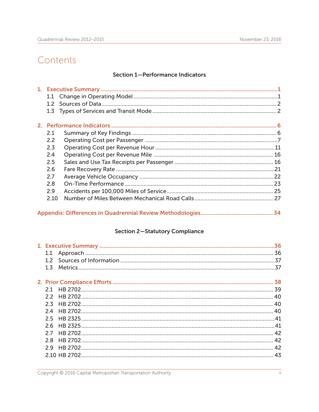## Contents

#### **Section 1-Performance Indicators**

| 2.1  |  |
|------|--|
| 2.2  |  |
| 2.3  |  |
| 2.4  |  |
| 2.5  |  |
| 2.6  |  |
| 2.7  |  |
| 2.8  |  |
| 2.9  |  |
| 2.10 |  |
|      |  |

#### **Section 2-Statutory Compliance**

| 1.1             |  |
|-----------------|--|
|                 |  |
| $1\overline{5}$ |  |
|                 |  |
|                 |  |
|                 |  |
|                 |  |
|                 |  |
|                 |  |
| 25              |  |
|                 |  |
|                 |  |
| 28              |  |
|                 |  |
|                 |  |
|                 |  |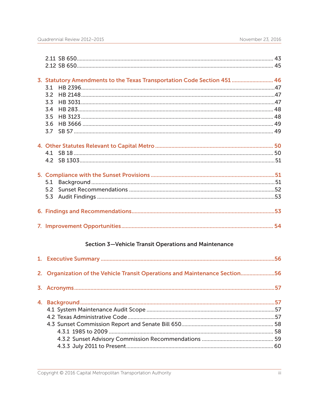| 3. Statutory Amendments to the Texas Transportation Code Section 451  46    |     |
|-----------------------------------------------------------------------------|-----|
| 3.1                                                                         |     |
| 32                                                                          |     |
|                                                                             |     |
| 3.4                                                                         |     |
| 3.5                                                                         |     |
|                                                                             |     |
|                                                                             |     |
|                                                                             |     |
|                                                                             |     |
|                                                                             |     |
|                                                                             |     |
| 5.1                                                                         |     |
|                                                                             |     |
|                                                                             |     |
|                                                                             |     |
|                                                                             |     |
| <b>Section 3-Vehicle Transit Operations and Maintenance</b>                 |     |
|                                                                             |     |
| 2. Organization of the Vehicle Transit Operations and Maintenance Section56 |     |
|                                                                             | .57 |
|                                                                             |     |
|                                                                             |     |
|                                                                             |     |
|                                                                             |     |
|                                                                             |     |
|                                                                             |     |
|                                                                             |     |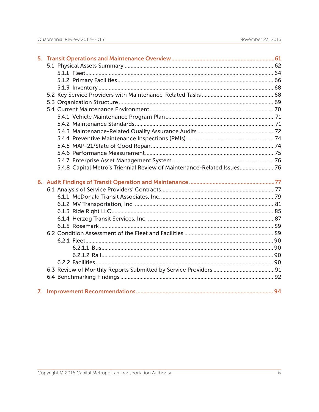| 5.4.8 Capital Metro's Triennial Review of Maintenance-Related Issues76 |  |
|------------------------------------------------------------------------|--|
|                                                                        |  |
|                                                                        |  |
|                                                                        |  |
|                                                                        |  |
|                                                                        |  |
|                                                                        |  |
|                                                                        |  |
|                                                                        |  |
|                                                                        |  |
|                                                                        |  |
|                                                                        |  |
|                                                                        |  |
|                                                                        |  |
|                                                                        |  |
|                                                                        |  |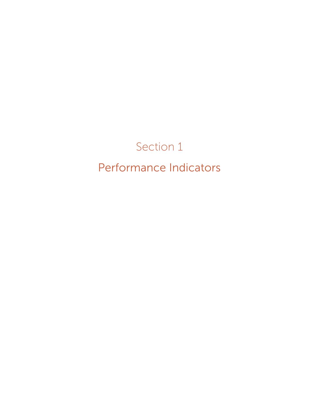## Section 1 Performance Indicators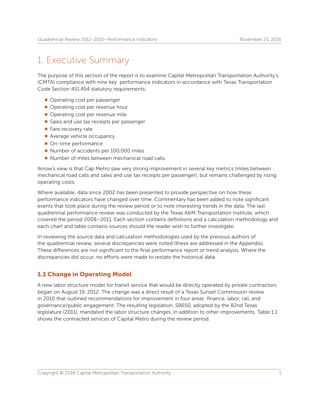## 1. Executive Summary

The purpose of this section of the report is to examine Capital Metropolitan Transportation Authority's (CMTA) compliance with nine key performance indicators in accordance with Texas Transportation Code Section 451.454 statutory requirements:

- **Operating cost per passenger**
- $\blacksquare$  Operating cost per revenue hour
- **Operating cost per revenue mile**
- Sales and use tax receipts per passenger
- **Fare recovery rate**
- $\blacksquare$  Average vehicle occupancy
- **n** On-time performance
- Number of accidents per 100,000 miles
- Number of miles between mechanical road calls.

Iknow's view is that Cap Metro saw very strong improvement in several key metrics (miles between mechanical road calls and sales and use tax receipts per passenger), but remains challenged by rising operating costs.

Where available, data since 2002 has been presented to provide perspective on how these performance indicators have changed over time. Commentary has been added to note significant events that took place during the review period or to note interesting trends in the data. The last quadrennial performance review was conducted by the Texas A&M Transportation Institute, which covered the period 2008–2011. Each section contains definitions and a calculation methodology and each chart and table contains sources should the reader wish to further investigate.

In reviewing the source data and calculation methodologies used by the previous authors of the quadrennial review, several discrepancies were noted (these are addressed in the Appendix). These differences are not significant to the final performance report or trend analysis. Where the discrepancies did occur, no efforts were made to restate the historical data.

#### 1.1 Change in Operating Model

A new labor structure model for transit service that would be directly operated by private contractors began on August 19, 2012. The change was a direct result of a Texas Sunset Commission review in 2010 that outlined recommendations for improvement in four areas: finance, labor, rail, and governance/public engagement. The resulting legislation, SB650, adopted by the 82nd Texas legislature (2011), mandated the labor structure changes, in addition to other improvements. Table 1.1 shows the contracted services of Capital Metro during the review period.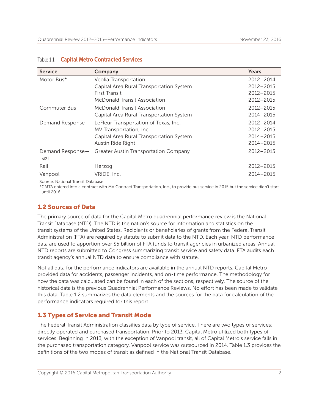| <b>Service</b>   | Company                                  | Years         |
|------------------|------------------------------------------|---------------|
| Motor Bus*       | Veolia Transportation                    | 2012-2014     |
|                  | Capital Area Rural Transportation System | 2012-2015     |
|                  | First Transit                            | $2012 - 2015$ |
|                  | <b>McDonald Transit Association</b>      | 2012-2015     |
| Commuter Bus     | McDonald Transit Association             | 2012-2015     |
|                  | Capital Area Rural Transportation System | 2014-2015     |
| Demand Response  | LeFleur Transportation of Texas, Inc.    | 2012-2014     |
|                  | MV Transportation, Inc.                  | $2012 - 2015$ |
|                  | Capital Area Rural Transportation System | 2014-2015     |
|                  | Austin Ride Right                        | 2014-2015     |
| Demand Response- | Greater Austin Transportation Company    | 2012-2015     |
| Taxi             |                                          |               |
| Rail             | Herzog                                   | 2012-2015     |
| Vanpool          | VRIDE, Inc.                              | 2014-2015     |

#### Table 1.1 Capital Metro Contracted Services

Source: National Transit Database

\*CMTA entered into a contract with MV Contract Transportation, Inc., to provide bus service in 2015 but the service didn't start until 2016.

#### 1.2 Sources of Data

The primary source of data for the Capital Metro quadrennial performance review is the National Transit Database (NTD). The NTD is the nation's source for information and statistics on the transit systems of the United States. Recipients or beneficiaries of grants from the Federal Transit Administration (FTA) are required by statute to submit data to the NTD. Each year, NTD performance data are used to apportion over \$5 billion of FTA funds to transit agencies in urbanized areas. Annual NTD reports are submitted to Congress summarizing transit service and safety data. FTA audits each transit agency's annual NTD data to ensure compliance with statute.

Not all data for the performance indicators are available in the annual NTD reports. Capital Metro provided data for accidents, passenger incidents, and on-time performance. The methodology for how the data was calculated can be found in each of the sections, respectively. The source of the historical data is the previous Quadrennial Performance Reviews. No effort has been made to validate this data. Table 1.2 summarizes the data elements and the sources for the data for calculation of the performance indicators required for this report.

#### 1.3 Types of Service and Transit Mode

The Federal Transit Administration classifies data by type of service. There are two types of services: directly operated and purchased transportation. Prior to 2013, Capital Metro utilized both types of services. Beginning in 2013, with the exception of Vanpool transit, all of Capital Metro's service falls in the purchased transportation category. Vanpool service was outsourced in 2014. Table 1.3 provides the definitions of the two modes of transit as defined in the National Transit Database.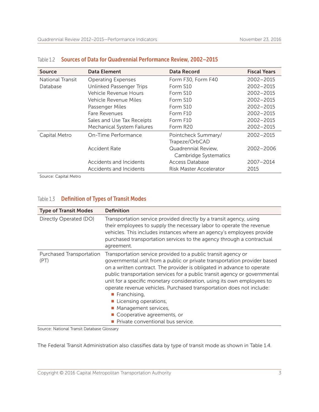| <b>Source</b>           | <b>Data Element</b>               | <b>Data Record</b>                           | <b>Fiscal Years</b> |
|-------------------------|-----------------------------------|----------------------------------------------|---------------------|
| <b>National Transit</b> | <b>Operating Expenses</b>         | Form F30, Form F40                           | 2002-2015           |
| Database                | Unlinked Passenger Trips          | Form S10                                     | $2002 - 2015$       |
|                         | Vehicle Revenue Hours             | Form S10                                     | $2002 - 2015$       |
|                         | Vehicle Revenue Miles             | Form S10                                     | $2002 - 2015$       |
|                         | Passenger Miles                   | Form S10                                     | $2002 - 2015$       |
|                         | Fare Revenues                     | Form F10                                     | $2002 - 2015$       |
|                         | Sales and Use Tax Receipts        | Form F10                                     | 2002-2015           |
|                         | <b>Mechanical System Failures</b> | Form R20                                     | 2002-2015           |
| Capital Metro           | On-Time Performance               | Pointcheck Summary/<br>Trapeze/OrbCAD        | 2002-2015           |
|                         | <b>Accident Rate</b>              | Quadrennial Review,<br>Cambridge Systematics | 2002-2006           |
|                         | Accidents and Incidents           | Access Database                              | 2007-2014           |
|                         | Accidents and Incidents           | Risk Master Accelerator                      | 2015                |

#### Table 1.2 Sources of Data for Quadrennial Performance Review, 2002–2015

Source: Capital Metro

#### Table 1.3 Definition of Types of Transit Modes

| <b>Type of Transit Modes</b>     | <b>Definition</b>                                                                                                                                                                                                                                                                                                                                                                                                                                                                                                                                                                                          |
|----------------------------------|------------------------------------------------------------------------------------------------------------------------------------------------------------------------------------------------------------------------------------------------------------------------------------------------------------------------------------------------------------------------------------------------------------------------------------------------------------------------------------------------------------------------------------------------------------------------------------------------------------|
| Directly Operated (DO)           | Transportation service provided directly by a transit agency, using<br>their employees to supply the necessary labor to operate the revenue<br>vehicles. This includes instances where an agency's employees provide<br>purchased transportation services to the agency through a contractual<br>agreement.                                                                                                                                                                                                                                                                                                |
| Purchased Transportation<br>(PT) | Transportation service provided to a public transit agency or<br>governmental unit from a public or private transportation provider based<br>on a written contract. The provider is obligated in advance to operate<br>public transportation services for a public transit agency or governmental<br>unit for a specific monetary consideration, using its own employees to<br>operate revenue vehicles. Purchased transportation does not include:<br>$\blacksquare$ Franchising,<br>Licensing operations,<br>• Management services,<br>■ Cooperative agreements, or<br>Private conventional bus service. |

Source: National Transit Database Glossary

The Federal Transit Administration also classifies data by type of transit mode as shown in Table 1.4.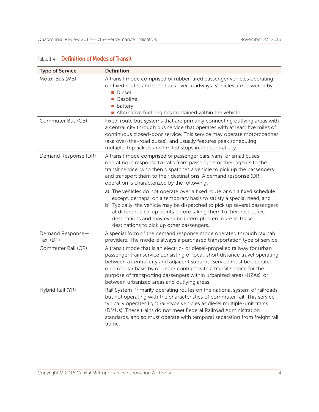#### Table 1.4 Definition of Modes of Transit

| <b>Type of Service</b>        | <b>Definition</b>                                                                                                                                                                                                                                                                                                                                                                                                                   |
|-------------------------------|-------------------------------------------------------------------------------------------------------------------------------------------------------------------------------------------------------------------------------------------------------------------------------------------------------------------------------------------------------------------------------------------------------------------------------------|
| Motor Bus (MB)                | A transit mode comprised of rubber-tired passenger vehicles operating<br>on fixed routes and schedules over roadways. Vehicles are powered by:<br>Diesel<br>Gasoline<br>■ Battery<br>Alternative fuel engines contained within the vehicle.                                                                                                                                                                                         |
| Commuter Bus (CB)             | Fixed-route bus systems that are primarily connecting outlying areas with<br>a central city through bus service that operates with at least five miles of<br>continuous closed-door service. This service may operate motorcoaches<br>(aka over-the-road buses), and usually features peak scheduling<br>multiple-trip tickets and limited stops in the central city.                                                               |
| Demand Response (DR)          | A transit mode comprised of passenger cars, vans, or small buses<br>operating in response to calls from passengers or their agents to the<br>transit service, who then dispatches a vehicle to pick up the passengers<br>and transport them to their destinations. A demand response (DR)<br>operation is characterized by the following:                                                                                           |
|                               | a) The vehicles do not operate over a fixed route or on a fixed schedule<br>except, perhaps, on a temporary basis to satisfy a special need, and<br>b) Typically, the vehicle may be dispatched to pick up several passengers<br>at different pick-up points before taking them to their respective<br>destinations and may even be interrupted en route to these<br>destinations to pick up other passengers.                      |
| Demand Response-<br>Taxi (DT) | A special form of the demand response mode operated through taxicab<br>providers. The mode is always a purchased transportation type of service.                                                                                                                                                                                                                                                                                    |
| Commuter Rail (CR)            | A transit mode that is an electric- or diesel-propelled railway for urban<br>passenger train service consisting of local, short distance travel operating<br>between a central city and adjacent suburbs. Service must be operated<br>on a regular basis by or under contract with a transit service for the<br>purpose of transporting passengers within urbanized areas (UZAs), or<br>between urbanized areas and outlying areas. |
| Hybrid Rail (YR)              | Rail System Primarily operating routes on the national system of railroads,<br>but not operating with the characteristics of commuter rail. This service<br>typically operates light rail-type vehicles as diesel multiple-unit trains<br>(DMUs). These trains do not meet Federal Railroad Administration<br>standards, and so must operate with temporal separation from freight rail<br>traffic.                                 |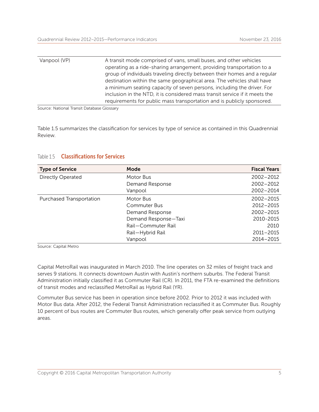| Vanpool (VP) | A transit mode comprised of vans, small buses, and other vehicles           |
|--------------|-----------------------------------------------------------------------------|
|              | operating as a ride-sharing arrangement, providing transportation to a      |
|              | group of individuals traveling directly between their homes and a regular   |
|              | destination within the same geographical area. The vehicles shall have      |
|              | a minimum seating capacity of seven persons, including the driver. For      |
|              | inclusion in the NTD, it is considered mass transit service if it meets the |
|              | requirements for public mass transportation and is publicly sponsored.      |

Source: National Transit Database Glossary

Table 1.5 summarizes the classification for services by type of service as contained in this Quadrennial Review.

#### Table 1.5 **Classifications for Services**

| <b>Type of Service</b>   | Mode                 | <b>Fiscal Years</b> |
|--------------------------|----------------------|---------------------|
| Directly Operated        | Motor Bus            | $2002 - 2012$       |
|                          | Demand Response      | $2002 - 2012$       |
|                          | Vanpool              | 2002-2014           |
| Purchased Transportation | Motor Bus            | 2002-2015           |
|                          | Commuter Bus         | $2012 - 2015$       |
|                          | Demand Response      | $2002 - 2015$       |
|                          | Demand Response-Taxi | 2010-2015           |
|                          | Rail-Commuter Rail   | 2010                |
|                          | Rail-Hybrid Rail     | $2011 - 2015$       |
|                          | Vanpool              | 2014-2015           |

Source: Capital Metro

Capital MetroRail was inaugurated in March 2010. The line operates on 32 miles of freight track and serves 9 stations. It connects downtown Austin with Austin's northern suburbs. The Federal Transit Administration initially classified it as Commuter Rail (CR). In 2011, the FTA re-examined the definitions of transit modes and reclassified MetroRail as Hybrid Rail (YR).

Commuter Bus service has been in operation since before 2002. Prior to 2012 it was included with Motor Bus data. After 2012, the Federal Transit Administration reclassified it as Commuter Bus. Roughly 10 percent of bus routes are Commuter Bus routes, which generally offer peak service from outlying areas.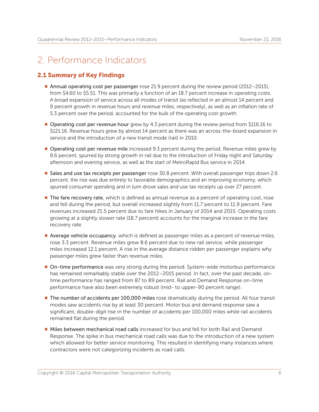## 2. Performance Indicators

#### 2.1 Summary of Key Findings

- Annual operating cost per passenger rose 21.9 percent during the review period (2012–2015), from \$4.60 to \$5.51. This was primarily a function of an 18.7 percent increase in operating costs. A broad expansion of service across all modes of transit (as reflected in an almost 14 percent and 9 percent growth in revenue hours and revenue miles, respectively), as well as an inflation rate of 5.3 percent over the period, accounted for the bulk of the operating cost growth.
- **Derating cost per revenue hour** grew by 4.3 percent during the review period from \$116.16 to \$121.16. Revenue hours grew by almost 14 percent as there was an across-the-board expansion in service and the introduction of a new transit mode (rail) in 2010.
- **P** Operating cost per revenue mile increased 9.3 percent during the period. Revenue miles grew by 8.6 percent, spurred by strong growth in rail due to the introduction of Friday night and Saturday afternoon and evening service, as well as the start of MetroRapid Bus service in 2014.
- **Sales and use tax receipts per passenger** rose 30.8 percent. With overall passenger trips down 2.6 percent, the rise was due entirely to favorable demographics and an improving economy, which spurred consumer spending and in turn drove sales and use tax receipts up over 27 percent.
- **The fare recovery rate**, which is defined as annual revenue as a percent of operating cost, rose and fell during the period, but overall increased slightly from 11.7 percent to 11.9 percent. Fare revenues increased 21.5 percent due to fare hikes in January of 2014 and 2015. Operating costs growing at a slightly slower rate (18.7 percent) accounts for the marginal increase in the fare recovery rate.
- **Average vehicle occupancy**, which is defined as passenger miles as a percent of revenue miles, rose 3.3 percent. Revenue miles grew 8.6 percent due to new rail service, while passenger miles increased 12.1 percent. A rise in the average distance ridden per passenger explains why passenger miles grew faster than revenue miles.
- **n** On-time performance was very strong during the period. System-wide motorbus performance has remained remarkably stable over the 2012–2015 period. In fact, over the past decade, ontime performance has ranged from 87 to 89 percent. Rail and Demand Response on-time performance have also been extremely robust (mid- to upper-90 percent range).
- **The number of accidents per 100,000 miles rose dramatically during the period. All four transit** modes saw accidents rise by at least 30 percent. Motor bus and demand response saw a significant, double-digit rise in the number of accidents per 100,000 miles while rail accidents remained flat during the period.
- **n** Miles between mechanical road calls increased for bus and fell for both Rail and Demand Response. The spike in bus mechanical road calls was due to the introduction of a new system which allowed for better service monitoring. This resulted in identifying many instances where contractors were not categorizing incidents as road calls.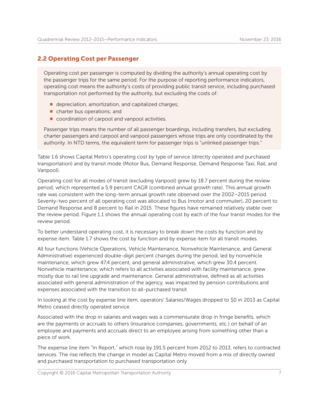#### 2.2 Operating Cost per Passenger

Operating cost per passenger is computed by dividing the authority's annual operating cost by the passenger trips for the same period. For the purpose of reporting performance indicators, operating cost means the authority's costs of providing public transit service, including purchased transportation not performed by the authority, but excluding the costs of:

- $\blacksquare$  depreciation, amortization, and capitalized charges;
- $\blacksquare$  charter bus operations; and
- $\blacksquare$  coordination of carpool and vanpool activities.

Passenger trips means the number of all passenger boardings, including transfers, but excluding charter passengers and carpool and vanpool passengers whose trips are only coordinated by the authority. In NTD terms, the equivalent term for passenger trips is "unlinked passenger trips."

Table 1.6 shows Capital Metro's operating cost by type of service (directly operated and purchased transportation) and by transit mode (Motor Bus, Demand Response, Demand Response Taxi, Rail, and Vanpool).

Operating cost for all modes of transit (excluding Vanpool) grew by 18.7 percent during the review period, which represented a 5.9 percent CAGR (combined annual growth rate). This annual growth rate was consistent with the long-term annual growth rate observed over the 2002–2015 period. Seventy-two percent of all operating cost was allocated to Bus (motor and commuter), 20 percent to Demand Response and 8 percent to Rail in 2015. These figures have remained relatively stable over the review period. Figure 1.1 shows the annual operating cost by each of the four transit modes for the review period.

To better understand operating cost, it is necessary to break down the costs by function and by expense item. Table 1.7 shows the cost by function and by expense item for all transit modes.

All four functions (Vehicle Operations, Vehicle Maintenance, Nonvehicle Maintenance, and General Administrative) experienced double-digit percent changes during the period, led by nonvehicle maintenance, which grew 47.4 percent, and general administrative, which grew 30.4 percent. Nonvehicle maintenance, which refers to all activities associated with facility maintenance, grew mostly due to rail line upgrade and maintenance. General administrative, defined as all activities associated with general administration of the agency, was impacted by pension contributions and expenses associated with the transition to all-purchased transit.

In looking at the cost by expense line item, operators' Salaries/Wages dropped to \$0 in 2013 as Capital Metro ceased directly operated service.

Associated with the drop in salaries and wages was a commensurate drop in fringe benefits, which are the payments or accruals to others (insurance companies, governments, etc.) on behalf of an employee and payments and accruals direct to an employee arising from something other than a piece of work.

The expense line item "In Report," which rose by 191.5 percent from 2012 to 2013, refers to contracted services. The rise reflects the change in model as Capital Metro moved from a mix of directly owned and purchased transportation to purchased transportation only.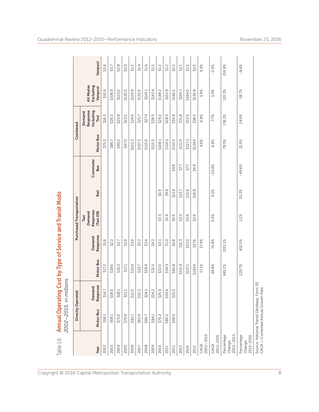| Table 1.6                         | Annual Operating Cost by Type of Service and Transit Mode<br>2002-2015, in mill | ions                    |           |                    |                                         |        |                        |           |                                         |                                   |         |
|-----------------------------------|---------------------------------------------------------------------------------|-------------------------|-----------|--------------------|-----------------------------------------|--------|------------------------|-----------|-----------------------------------------|-----------------------------------|---------|
|                                   |                                                                                 | Directly Operated       |           |                    | Purchased Transportation                |        |                        | Combined  |                                         |                                   |         |
| Year                              | Motor Bus                                                                       | يە<br>Demand<br>Respons | Motor Bus | Response<br>Demand | Response<br>Demand<br>(Taxi DR)<br>Taxi | Rail   | Commuter<br><b>Bus</b> | Motor Bus | Response<br>Including<br>Demand<br>Taxi | All Modes<br>Excluding<br>Vanpool | Vanpool |
| 2002                              | \$58.1                                                                          | \$14.7                  | \$17.2    | \$1.6              |                                         |        |                        | \$75.3    | \$16.3                                  | \$91.6                            | \$0.6   |
| 2003                              | \$68.1                                                                          | \$18.0                  | \$18.6    | \$2.2              |                                         |        |                        | \$86.7    | \$20.2                                  | \$106.9                           | \$0.7   |
| 2004                              | \$73.0                                                                          | \$18.1                  | \$16.2    | \$2.7              |                                         |        |                        | \$89.2    | \$20.8                                  | \$110.0                           | \$0.8   |
| 2005                              | \$79.9                                                                          | \$21.1                  | \$17.1    | \$2.4              |                                         |        |                        | \$97.0    | \$23.5                                  | \$120.5                           | \$0.9   |
| 2006                              | \$82.1                                                                          | \$21.0                  | \$20.4    | \$3.4              |                                         |        |                        | \$102.5   | \$24.4                                  | \$126.9                           | \$1.2   |
| 2007                              | \$83.6                                                                          | \$22.5                  | \$23.7    | \$3.2              |                                         |        |                        | \$107.3   | \$25.7                                  | \$133.0                           | \$1.4   |
| 2008                              | \$86.7                                                                          | \$24.1                  | \$28.9    | \$3.4              |                                         |        |                        | \$115.6   | \$27.4                                  | \$143.1                           | \$1.6   |
| 2009                              | \$84.1                                                                          | \$24.2                  | \$31.0    | \$4.2              |                                         |        |                        | \$115.0   | \$28.3                                  | \$143.4                           | 515     |
| 2010                              | \$76.2                                                                          | \$25.6                  | \$32.0    | \$0.1              | \$3.5                                   | \$6.9  |                        | \$108.1   | \$29.2                                  | \$144.2                           | \$1.2   |
| 2011                              | \$80.2                                                                          | \$24.6                  | \$34.3    | \$1.0              | \$2.4                                   | 59.4   |                        | \$114.5   | \$28.0                                  | \$151.9                           | \$1.2   |
| 2012                              | 5<br>\$69.                                                                      | \$23.2                  | \$40.8    | \$6.8              | \$0.9                                   | \$11.4 | \$9.8                  | \$110.3   | \$30.8                                  | \$162.2                           | \$2.2   |
| 2013                              |                                                                                 |                         | \$111.9   | \$31.3             | 50.5                                    | \$13.7 | \$7.7                  | \$111.9   | \$31.8                                  | \$165.1                           | \$2.1   |
| 2014                              |                                                                                 |                         | \$127.1   | \$33.0             | \$0.4                                   | \$15.8 | \$7.7                  | \$127.1   | \$33.3                                  | \$184.0                           | 51.5    |
| 2015                              |                                                                                 |                         | \$134.4   | \$37.6             | \$0.9                                   | \$14.8 | \$4.9                  | \$134.4   | \$38.5                                  | \$192.6                           | \$2.0   |
| 2002-2015<br>CAGR                 |                                                                                 |                         | 17.1%     | 27.4%              |                                         |        |                        | 4.6%      | 6.8%                                    | 5.9%                              | 9.3%    |
| 2012-2015<br>CAGR                 |                                                                                 |                         | 48.8%     | 76.8%              | 0.4%                                    | 9.2%   | $-20.4%$               | 6.8%      | 7.7%                                    | 5.9%                              | $-2.9%$ |
| 2002-2015<br>Percentage<br>Change |                                                                                 |                         | 681.2%    | 2221.1%            |                                         |        |                        | 78.5%     | 136.1%                                  | 110.3%                            | 216.9%  |
| Percentage<br>2012-2015<br>Change |                                                                                 |                         | 229.7%    | 452.5%             | 1.2%                                    | 30.3%  | $-49.6%$               | 21.9%     | 24.9%                                   | 18.7%                             | $-8.4%$ |
|                                   | Source: National Transit Database, Form<br>$CAGR = Combined Annual GroupRate$   | 50                      |           |                    |                                         |        |                        |           |                                         |                                   |         |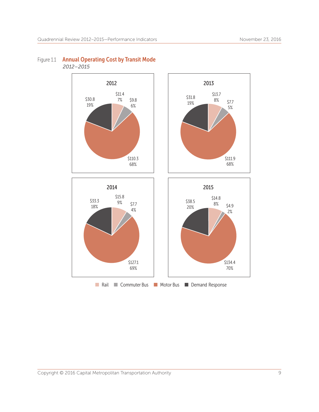

#### Figure 1.1 Annual Operating Cost by Transit Mode  *2012–2015*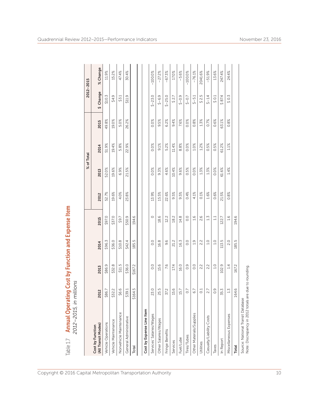| Annual Operating Cost by Function and Expense Item<br>2012-2015, in millions<br>Table 1.7  |                  |               |               |                  |       |            |         |       |           |           |
|--------------------------------------------------------------------------------------------|------------------|---------------|---------------|------------------|-------|------------|---------|-------|-----------|-----------|
|                                                                                            |                  |               |               |                  |       | % of Total |         |       |           | 2012-2015 |
| (All Transit Modes)<br>Cost by Function                                                    | 2012             | 2013          | 2014          | 2015             | 2012  | 2013       | 2014    | 2015  | \$ Change | % Change  |
| Vehicle Operations                                                                         | \$86.7           | \$86.9        | \$96.3        | \$97.0           | 52.7% | 52.0%      | 51.9%   | 49.8% | \$10.3    | 11.9%     |
| Vehicle Maintenance                                                                        | \$32.2           | \$32.8        | \$36.0        | \$37.0           | 19.6% | 19.6%      | 19.4%   | 19.0% | \$4.9     | 15.2%     |
| Nonvehicle Maintenance                                                                     | \$6.6            | \$11.5        | \$10.8        | \$9.7            | 4.0%  | 6.9%       | 5.8%    | 5.0%  | \$3.1     | 47.4%     |
| General Administrative                                                                     | \$39.1           | \$36.0        | \$42.4        | \$50.9           | 23.8% | 21.5%      | 22.9%   | 26.2% | \$11.9    | 30.4%     |
| Total                                                                                      | \$164.5          | \$167.2       | 185.5         | 194.6            |       |            |         |       |           |           |
|                                                                                            |                  |               |               |                  |       |            |         |       |           |           |
| Cost by Expense Line Item                                                                  |                  |               |               |                  |       |            |         |       |           |           |
| Services' Salaries/Wages                                                                   | 23.0             | 0.0           | 0.0           | $\circ$          | 13.9% | 0.0%       | 0.0%    | 0.0%  | $$ -23.0$ | $-100.0%$ |
| Other Salaries/Wages                                                                       | 25.5             | 15.6          | 16.8          | 18.6             | 15.5% | 9.3%       | 9.1%    | 9.5%  | $$-6.9$   | $-27.2%$  |
| Fringe Benefits                                                                            | 37.2             | 7.6           | 9.6           | 12.2             | 22.6% | 4.6%       | 5.2%    | 6.2%  | $$ -25.0$ | $-67.3%$  |
| Services                                                                                   | 15.6             | 17.4          | 21.2          | 18.2             | 9.5%  | 10.4%      | 11.4%   | 9.4%  | 527       | 17.0%     |
| Fuel/Lube                                                                                  | 15.7             | 16.0          | 16.3          | 14.8             | 9.5%  | 9.6%       | 8.8%    | 7.6%  | $$ -0.9$  | $-5.6%$   |
| Tires/Tubes                                                                                | $\overline{0}$   | $\frac{0}{2}$ | 0.0           | $\overline{0}$   | 0.4%  | 0.5%       | 0.0%    | 0.0%  | $5 - 0.7$ | $-100.0%$ |
| Other Materials/Supplies                                                                   | 6.7              | 0.0           | 1.9           | 1.6              | 4.1%  | 0.0%       | 1.0%    | 0.8%  | $5 - 5.1$ | $-76.1%$  |
| Utilities                                                                                  | C <sub>1</sub>   | 2.2           | 2.2           | 2.6              | 0.1%  | 1.3%       | 1.2%    | 1.3%  | 5.5       | 2041.6%   |
| Casualty/Liability Costs                                                                   | 2.7              | 2.2           | 0.1           | $1.\overline{3}$ | 1.6%  | 1.3%       | 0.5%    | 0.7%  | $5 - 1.4$ | $-51.9%$  |
| Taxes                                                                                      | $\overline{0}$ . | 1.0           | $\frac{0}{1}$ | 11               | 0.6%  | 0.0%       | 0.5%    | 0.6%  | \$0.1     | 13.6%     |
| In Report                                                                                  | 35.3             | 102.9         | 113.5         | 122.7            | 21.5% | 61.6%      | 61.2%   | 63.1% | \$874     | 247.4%    |
| Miscellaneous Expenses                                                                     | $1.\overline{3}$ | 1.4           | 2.0           | 1.6              | 0.8%  | 1.4%       | $1.1\%$ | 0.8%  | \$0.3     | 24.4%     |
| Total                                                                                      | 164.6            | 167.2         | 185.5         | 194.6            |       |            |         |       |           |           |
| Note: Discrepancy in 2012 totals are due to rounding.<br>Source: National Transit Database |                  |               |               |                  |       |            |         |       |           |           |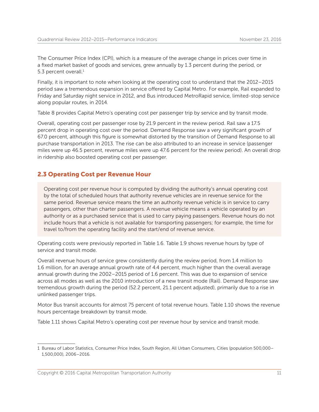The Consumer Price Index (CPI), which is a measure of the average change in prices over time in a fixed market basket of goods and services, grew annually by 1.3 percent during the period, or 5.3 percent overall.<sup>1</sup>

Finally, it is important to note when looking at the operating cost to understand that the 2012–2015 period saw a tremendous expansion in service offered by Capital Metro. For example, Rail expanded to Friday and Saturday night service in 2012, and Bus introduced MetroRapid service, limited-stop service along popular routes, in 2014.

Table 8 provides Capital Metro's operating cost per passenger trip by service and by transit mode.

Overall, operating cost per passenger rose by 21.9 percent in the review period. Rail saw a 17.5 percent drop in operating cost over the period. Demand Response saw a very significant growth of 67.0 percent, although this figure is somewhat distorted by the transition of Demand Response to all purchase transportation in 2013. The rise can be also attributed to an increase in service (passenger miles were up 46.5 percent, revenue miles were up 47.6 percent for the review period). An overall drop in ridership also boosted operating cost per passenger.

#### 2.3 Operating Cost per Revenue Hour

Operating cost per revenue hour is computed by dividing the authority's annual operating cost by the total of scheduled hours that authority revenue vehicles are in revenue service for the same period. Revenue service means the time an authority revenue vehicle is in service to carry passengers, other than charter passengers. A revenue vehicle means a vehicle operated by an authority or as a purchased service that is used to carry paying passengers. Revenue hours do not include hours that a vehicle is not available for transporting passengers; for example, the time for travel to/from the operating facility and the start/end of revenue service.

Operating costs were previously reported in Table 1.6. Table 1.9 shows revenue hours by type of service and transit mode.

Overall revenue hours of service grew consistently during the review period, from 1.4 million to 1.6 million, for an average annual growth rate of 4.4 percent, much higher than the overall average annual growth during the 2002–2015 period of 1.6 percent. This was due to expansion of service across all modes as well as the 2010 introduction of a new transit mode (Rail). Demand Response saw tremendous growth during the period (52.2 percent, 21.1 percent adjusted), primarily due to a rise in unlinked passenger trips.

Motor Bus transit accounts for almost 75 percent of total revenue hours. Table 1.10 shows the revenue hours percentage breakdown by transit mode.

Table 1.11 shows Capital Metro's operating cost per revenue hour by service and transit mode.

<sup>1</sup> Bureau of Labor Statistics, Consumer Price Index, South Region, All Urban Consumers, Cities (population 500,000– 1,500,000), 2006–2016.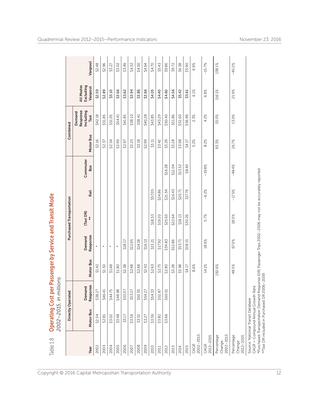| Table 1.8                         | <b>Operating Cost per Passenger by Service and Transit Mode</b><br>2002-2015, in mill                                                                                                                                               | lions              |           |                    |                          |          |                        |           |                                         |                                   |          |
|-----------------------------------|-------------------------------------------------------------------------------------------------------------------------------------------------------------------------------------------------------------------------------------|--------------------|-----------|--------------------|--------------------------|----------|------------------------|-----------|-----------------------------------------|-----------------------------------|----------|
|                                   |                                                                                                                                                                                                                                     | Directly Operated  |           |                    | Purchased Transportation |          |                        |           | Combined                                |                                   |          |
| Year                              | Motor Bus                                                                                                                                                                                                                           | Response<br>Demand | Motor Bus | Response<br>Demand | $(Taxi DR)$<br>**        | Rail     | Commuter<br><b>Bus</b> | Motor Bus | Response<br>Including<br>Demand<br>Taxi | Excluding<br>All Modes<br>Vanpool | Vanpool  |
| 2002                              | \$2.54                                                                                                                                                                                                                              | \$38.27            | \$1.42    | $\ast$             |                          |          |                        | \$2.16    | \$42.18                                 | \$2.59                            | \$2.48   |
| 2003                              | \$2.81                                                                                                                                                                                                                              | \$46.41            | \$1.50    | $\ast$             |                          |          |                        | \$2.37    | \$51.85                                 | \$2.89                            | \$2.96   |
| 2004                              | \$3.02                                                                                                                                                                                                                              | \$44.75            | \$1.48    | $\star$            |                          |          |                        | \$2.54    | \$51.05                                 | \$3.10                            | \$3.27   |
| 2005                              | \$3.48                                                                                                                                                                                                                              | \$48.98            | \$1.80    | $\ast$             |                          |          |                        | \$2.99    | \$54.41                                 | \$3.66                            | \$3.02   |
| 2006                              | \$3.17                                                                                                                                                                                                                              | \$53.07            | \$2.38    | \$18.17            |                          |          |                        | \$2.97    | \$41.85                                 | \$3.62                            | \$3.49   |
| 2007                              | \$3.56                                                                                                                                                                                                                              | \$53.27            | \$2.48    | \$12.65            |                          |          |                        | \$3.25    | \$38.10                                 | \$3.94                            | \$4.32   |
| 2008                              | \$3.51                                                                                                                                                                                                                              | \$50.55            | \$2.48    | \$14.18            |                          |          |                        | \$3.18    | \$38.41                                 | \$3.86                            | \$4.50   |
| 2009                              | \$3.27                                                                                                                                                                                                                              | \$54.27            | \$2.43    | \$16.13            |                          |          |                        | \$2.99    | \$40.28                                 | \$3.66                            | \$4.64   |
| 2010                              | \$3.36                                                                                                                                                                                                                              | \$54.33            | \$2.63    | \$13.21            | \$18.53                  | \$57.05  |                        | \$3.11    | \$43.85                                 | \$4.05                            | \$4.70   |
| 2011                              | \$3.82                                                                                                                                                                                                                              | \$52.87            | \$2.75    | \$17.92            | \$19.20                  | \$24.86  |                        | \$3.42    | \$43.29                                 | \$4.40                            | \$5.43   |
| 2012                              | \$3.66                                                                                                                                                                                                                              | \$60.51            | \$2.80    | \$34.83            | \$25.65                  | \$21.54  | \$16.28                | \$3.29    | \$50.40                                 | \$4.60                            | \$9.86   |
| 2013                              |                                                                                                                                                                                                                                     |                    | \$3.28    | \$52.86            | \$22.64                  | \$16.43  | \$12.04                | \$3.28    | \$51.86                                 | \$4.56                            | \$9.72   |
| 2014                              |                                                                                                                                                                                                                                     |                    | \$3.98    | \$53.71            | \$18.13                  | \$20.71  | \$13.52                | \$3.98    | \$52.60                                 | \$5.42                            | \$6.38   |
| 2015                              |                                                                                                                                                                                                                                     |                    | \$4.17    | \$58.15            | \$30.26                  | \$17.76  | \$8.40                 | \$4.17    | \$56.96                                 | \$5.61                            | \$5.90   |
| 2002-2015<br>CAGR                 |                                                                                                                                                                                                                                     |                    | 8.6%      |                    |                          |          |                        | 5.2%      | 2.3%                                    | 6.1%                              | 6.9%     |
| 2012-2015<br>CAGR                 |                                                                                                                                                                                                                                     |                    | 14.1%     | 18.6%              | 5.7%                     | $-6.2%$  | $-19.8%$               | 8.2%      | 4.2%                                    | 6.8%                              | $-15.7%$ |
| 2002-2015<br>Percentage<br>Change |                                                                                                                                                                                                                                     |                    | 192.6%    |                    |                          |          |                        | 93.3%     | 35.0%                                   | 116.1%                            | 138.1%   |
| Percentage<br>2012-2015<br>Change |                                                                                                                                                                                                                                     |                    | 48.5%     | 67.0%              | 18.0%                    | $-17.5%$ | $-48.4%$               | 26.7%     | 13.0%                                   | 21.9%                             | $-40.2%$ |
|                                   | *Purchased Transportation Demand Response (DR) Passenger Trips 2002-2006 may not be accurately reported.<br>**Taxi DR included in Purchased DR 2006-2009<br>CAGR = Compound Annual Growth Rate<br>Source: National Transit Database |                    |           |                    |                          |          |                        |           |                                         |                                   |          |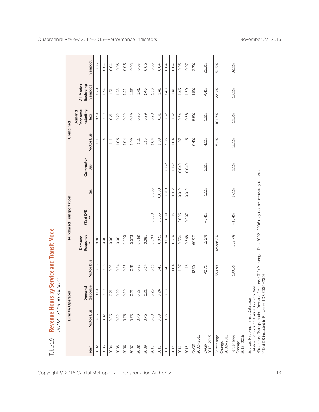| Table 1.9                             | 2002-2015, in mill                                                      | lions                                        |           | Revenue Hours by Service and Transit Mode                                                                |                          |       |                        |           |                                         |                                   |         |
|---------------------------------------|-------------------------------------------------------------------------|----------------------------------------------|-----------|----------------------------------------------------------------------------------------------------------|--------------------------|-------|------------------------|-----------|-----------------------------------------|-----------------------------------|---------|
|                                       |                                                                         | Directly Operated                            |           |                                                                                                          | Purchased Transportation |       |                        |           | Combined                                |                                   |         |
| Year                                  | Motor Bus                                                               | Response<br>Demand                           | Motor Bus | Response<br>Demand                                                                                       | (Taxi DR)<br>**          | Rail  | Commuter<br><b>Bus</b> | Motor Bus | Response<br>Including<br>Demand<br>Taxi | All Modes<br>Excluding<br>Vanpool | Vanpool |
| 2002                                  | 0.85                                                                    | 0.19                                         | 0.26      | 0.001                                                                                                    |                          |       |                        | 1.11      | 0.19                                    | 1.29                              | 0.05    |
| 2003                                  | 0.87                                                                    | 0.20                                         | 0.26      | 0.001                                                                                                    |                          |       |                        | 1.14      | 0.20                                    | 1.34                              | 0.04    |
| 2004                                  | 0.86                                                                    | 0.21                                         | 0.25      | 0.001                                                                                                    |                          |       |                        | 1.11      | 0.21                                    | 1.31                              | 0.04    |
| 2005                                  | 0.82                                                                    | 0.22                                         | 0.24      | 0.001                                                                                                    |                          |       |                        | 1.06      | 0.22                                    | 1.28                              | 0.05    |
| 2006                                  | 0.78                                                                    | 0.20                                         | 0.26      | 0.000                                                                                                    |                          |       |                        | 1.04      | 0.20                                    | 1.24                              | 0.06    |
| 2007                                  | 0.78                                                                    | 0.21                                         | 0.31      | 0.073                                                                                                    |                          |       |                        | 1.09      | 0.29                                    | 1.37                              | 0.05    |
| 2008                                  | 0.79                                                                    | 0.23                                         | 0.32      | 0.068                                                                                                    |                          |       |                        | 1.11      | 0.30                                    | 1.41                              | 0.05    |
| 2009                                  | 0.76                                                                    | 0.21                                         | 0.34      | 0.081                                                                                                    |                          |       |                        | 1.10      | 0.29                                    | 1.40                              | 0.06    |
| 2010                                  | 0.68                                                                    | 0.23                                         | 0.36      | 0.003                                                                                                    | 0.050                    | 0.003 |                        | 1.04      | 0.28                                    | 1.33                              | 0.05    |
| 2011                                  | 0.69                                                                    | 0.24                                         | 0.40      | 0.031                                                                                                    | 0.036                    | 0.008 |                        | 1.09      | 0.31                                    | 1.41                              | 0.04    |
| 2012                                  | 0.63                                                                    | 0.20                                         | 0.40      | 0.104                                                                                                    | 0.009                    | 0.010 | 0.037                  | 1.03      | 0.32                                    | 1.40                              | 0.04    |
| 2013                                  |                                                                         |                                              | 1.04      | 0.314                                                                                                    | 0.005                    | 0.012 | 0.037                  | 1.04      | 0.32                                    | 1.41                              | 0.04    |
| 2014                                  |                                                                         |                                              | 1.07      | 0.334                                                                                                    | 0.006                    | 0.012 | 0.040                  | 1.07      | 0.34                                    | 1.46                              | 0.03    |
| 2015                                  |                                                                         |                                              | 1.16      | 0.368                                                                                                    | 0.007                    | 0.012 | 0.040                  | 1.16      | 0.38                                    | 1.59                              | 0.07    |
| 2002-2015<br>CAGR                     |                                                                         |                                              | 12.3%     | 60.9%                                                                                                    |                          |       |                        | 0.4%      | 5.5%                                    | 1.6%                              | 3.2%    |
| 2012-2015<br>CAGR                     |                                                                         |                                              | 42.7%     | 52.2%                                                                                                    | $-5.4%$                  | 5.5%  | 2.8%                   | 4.0%      | 5.8%                                    | 4.4%                              | 22.3%   |
| $2002 - 2015$<br>Percentage<br>Change |                                                                         |                                              | 350.8%    | 48286.2%                                                                                                 |                          |       |                        | 5.0%      | 101.7%                                  | 22.9%                             | 50.3%   |
| Percentage<br>2012-2015<br>Change     |                                                                         |                                              | 190.3%    | 252.7%                                                                                                   | $-15.4%$                 | 17.6% | 8.6%                   | 12.6%     | 18.3%                                   | 13.8%                             | 82.8%   |
|                                       | CAGR = Compound Annual Growth Rate<br>Source: National Transit Database | **Taxi DR included in Purchased DR 2006-2009 |           | *Purchased Transportation Demand Response (DR) Passenger Trips 2002-2006 may not be accurately reported. |                          |       |                        |           |                                         |                                   |         |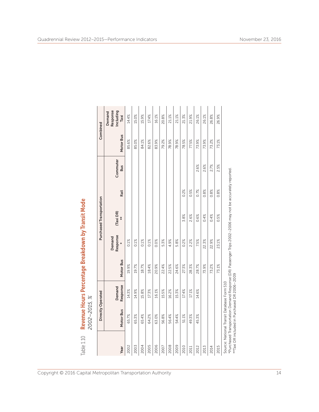| Table 1.10 | 2002-2015, %                                                                                                                                                                                           |                    |           |                    | Revenue Hours Percentage Breakdown by Transit Mode |      |                        |           |                                         |
|------------|--------------------------------------------------------------------------------------------------------------------------------------------------------------------------------------------------------|--------------------|-----------|--------------------|----------------------------------------------------|------|------------------------|-----------|-----------------------------------------|
|            |                                                                                                                                                                                                        | Directly Operated  |           |                    | Purchased Transportation                           |      |                        | Combined  |                                         |
| Year       | Motor Bus                                                                                                                                                                                              | Response<br>Demand | Motor Bus | Response<br>Demand | (Taxi DR)<br>$*$                                   | Rail | Commuter<br><b>Bus</b> | Motor Bus | Response<br>Including<br>Demand<br>Taxi |
| 2002       | 65.7%                                                                                                                                                                                                  | 14.3%              | 19.9%     | 0.1%               |                                                    |      |                        | 85.6%     | 14.4%                                   |
| 2003       | 65.3%                                                                                                                                                                                                  | 14.9%              | 19.7%     | 0.1%               |                                                    |      |                        | 85.0%     | 15.0%                                   |
| 2004       | 65.4%                                                                                                                                                                                                  | 15.8%              | 18.7%     | 0.1%               |                                                    |      |                        | 84.1%     | 15.9%                                   |
| 2005       | 64.2%                                                                                                                                                                                                  | 17.3%              | 18.4%     | 0.1%               |                                                    |      |                        | 82.6%     | 17.4%                                   |
| 2006       | 63.0%                                                                                                                                                                                                  | 16.1%              | 20.9%     | 0.0%               |                                                    |      |                        | 83.9%     | 16.1%                                   |
| 2007       | 56.8%                                                                                                                                                                                                  | 15.5%              | 22.4%     | 5.3%               |                                                    |      |                        | 79.2%     | 20.8%                                   |
| 2008       | 56.4%                                                                                                                                                                                                  | 16.2%              | 22.5%     | 4.9%               |                                                    |      |                        | 78.9%     | 21.1%                                   |
| 2009       | 54.4%                                                                                                                                                                                                  | 15.3%              | 24.6%     | 5.8%               |                                                    |      |                        | 78.9%     | 21.1%                                   |
| 2010       | 51.1%                                                                                                                                                                                                  | 17.4%              | 27.3%     | 0.2%               | 3.8%                                               | 0.2% |                        | 78.5%     | 21.3%                                   |
| 2011       | 49.3%                                                                                                                                                                                                  | 17.1%              | 28.3%     | 2.2%               | 2.6%                                               | 0.5% |                        | 77.5%     | 21.9%                                   |
| 2012       | 45.3%                                                                                                                                                                                                  | 14.6%              | 28.7%     | 7.5%               | 0.6%                                               | 0.7% | 2.6%                   | 73.9%     | 26.1%                                   |
| 2013       |                                                                                                                                                                                                        |                    | 73.9%     | 22.3%              | 0.4%                                               | 0.8% | 2.6%                   | 73.9%     | 26.1%                                   |
| 2014       |                                                                                                                                                                                                        |                    | 73.2%     | 22.9%              | 0.4%                                               | 0.8% | 2.7%                   | 73.2%     | 26.8%                                   |
| 2015       |                                                                                                                                                                                                        |                    | 73.1%     | 23.1%              | 0.5%                                               | 0.8% | 2.5%                   | 73.1%     | 26.9%                                   |
|            | *Purchased Transportation Demand Response (DR) Passenger Trips 2002-2006 may not be accurately reported.<br>**Taxi DR included in Purchased DR 2006-2009<br>Source: National Transit Database Form S10 |                    |           |                    |                                                    |      |                        |           |                                         |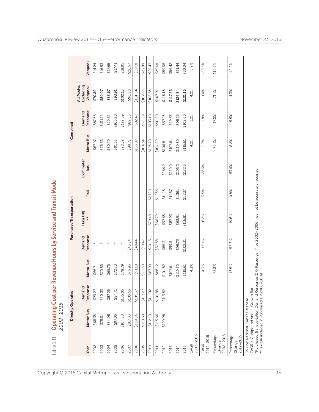| Table 1.11                        | 2002-2015                                                                                                                                                                                                                          |                        | <b>Operating Cost per Revenue Hours by Service and Transit Mode</b> |                    |                          |         |                        |           |                    |                                   |          |
|-----------------------------------|------------------------------------------------------------------------------------------------------------------------------------------------------------------------------------------------------------------------------------|------------------------|---------------------------------------------------------------------|--------------------|--------------------------|---------|------------------------|-----------|--------------------|-----------------------------------|----------|
|                                   | Directly Operated                                                                                                                                                                                                                  |                        |                                                                     |                    | Purchased Transportation |         |                        | Combined  |                    |                                   |          |
| Year                              | Motor Bus                                                                                                                                                                                                                          | Response<br>ठ<br>Deman | Motor Bus                                                           | Response<br>Demand | (Taxi DR)<br>**          | Rail    | Commuter<br><b>Bus</b> | Motor Bus | Response<br>Demand | All Modes<br>Excluding<br>Vanpool | Vanpool  |
| 2002                              | \$68.35                                                                                                                                                                                                                            | \$79.27                | \$66.71                                                             | $\star$            |                          |         |                        | \$67.97   | \$87.66            | \$70.80                           | \$14.24  |
| 2003                              | \$78.01                                                                                                                                                                                                                            | \$90.33                | \$70.85                                                             | $\ast$             |                          |         |                        | \$76.36   | \$101.12           | \$80.07                           | \$16.93  |
| 2004                              | \$84.98                                                                                                                                                                                                                            | \$87.05                | \$65.75                                                             | $\star$            |                          |         |                        | \$80.70   | \$99.35            | \$83.67                           | \$17.66  |
| 2005                              | \$97.05                                                                                                                                                                                                                            | \$94.71                | \$72.33                                                             | $\star$            |                          |         |                        | \$91.53   | \$105.20           | \$93.91                           | \$17.41  |
| 2006                              | \$104.80                                                                                                                                                                                                                           | \$105.05               | \$78.79                                                             |                    |                          |         |                        | \$98.32   | \$122.09           | \$102.15                          | \$18.95  |
| 2007                              | \$107.33                                                                                                                                                                                                                           | \$105.55               | \$76.93                                                             | \$43.84            |                          |         |                        | \$98.73   | \$89.86            | \$96.88                           | \$26.97  |
| 2008                              | \$109.06                                                                                                                                                                                                                           | \$105.37               | \$91.19                                                             | \$49.44            |                          |         |                        | \$103.97  | \$92.47            | \$101.54                          | \$29.18  |
| 2009                              | \$110.69                                                                                                                                                                                                                           | \$113.27               | \$90.30                                                             | \$51.47            |                          |         |                        | \$104.34  | \$96.29            | \$102.65                          | \$23.89  |
| 2010                              | \$112.10                                                                                                                                                                                                                           | \$111.02               | \$87.99                                                             | \$24.15            | \$70.48                  | \$2,720 |                        | \$103.70  | \$103.10           | \$108.53                          | \$25.43  |
| 2011                              | \$115.66                                                                                                                                                                                                                           | \$101.88               | \$86.12                                                             | \$32.38            | \$66.79                  | \$1,236 |                        | \$104.89  | \$90.80            | \$107.91                          | \$29.48  |
| 2012                              | \$109.98                                                                                                                                                                                                                           | \$113.52               | \$101.82                                                            | \$65.31            | \$97.65                  | \$1,116 | \$264.2                | \$106.81  | \$97.23            | \$116.16                          | \$59.95  |
| 2013                              |                                                                                                                                                                                                                                    |                        | \$107.61                                                            | \$99.51            | \$87.93                  | \$1,187 | \$210.0                | \$107.61  | \$99.33            | \$117.26                          | \$56.42  |
| 2014                              |                                                                                                                                                                                                                                    |                        | \$119.30                                                            | \$98.73            | \$63.91                  | \$1,361 | \$195.2                | \$119.30  | \$98.16            | \$126.34                          | \$51.44  |
| 2015                              |                                                                                                                                                                                                                                    |                        | \$115.61                                                            | \$102.31           | \$116.81                 | \$1,237 | \$122.6                | \$115.61  | \$102.60           | \$121.16                          | \$30.04  |
| 2002-2015<br>CAGR                 |                                                                                                                                                                                                                                    |                        | 4.3%                                                                |                    |                          |         |                        | 4.2%      | 1.2%               | 4.2%                              | 5.9%     |
| 2012-2015<br>CAGR                 |                                                                                                                                                                                                                                    |                        | 4.3%                                                                | 16.1%              | 6.2%                     | 3.5%    | $-22.6%$               | 2.7%      | $1.8\%$            | 1.4%                              | $-20.6%$ |
| 2002-2015<br>Percentage<br>Change |                                                                                                                                                                                                                                    |                        | 73.3%                                                               |                    |                          |         |                        | 70.1%     | 17.0%              | 71.1%                             | 110.9%   |
| Percentage<br>2012-2015<br>Change |                                                                                                                                                                                                                                    |                        | 13.5%                                                               | 56.7%              | 19.6%                    | 10.8%   | $-53.6%$               | 8.2%      | 5.5%               | 4.3%                              | $-49.9%$ |
|                                   | *Purchased Transportation Demand Response (DR) Passenger Trips 2002-2006 may not be accurately reported<br>**Taxi DR included in Purchased DR 2006-2009<br>CAGR = Compound Annual Growth Rate<br>Source: National Transit Database |                        |                                                                     |                    |                          |         |                        |           |                    |                                   |          |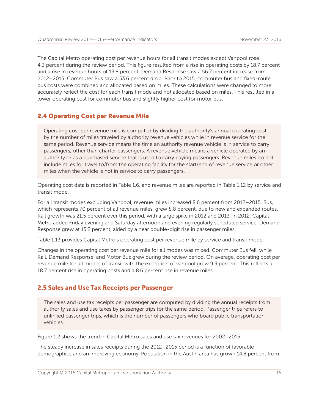The Capital Metro operating cost per revenue hours for all transit modes except Vanpool rose 4.3 percent during the review period. This figure resulted from a rise in operating costs by 18.7 percent and a rise in revenue hours of 13.8 percent. Demand Response saw a 56.7 percent increase from 2012–2015. Commuter Bus saw a 53.6 percent drop. Prior to 2015, commuter bus and fixed-route bus costs were combined and allocated based on miles. These calculations were changed to more accurately reflect the cost for each transit mode and not allocated based on miles. This resulted in a lower operating cost for commuter bus and slightly higher cost for motor bus.

#### 2.4 Operating Cost per Revenue Mile

Operating cost per revenue mile is computed by dividing the authority's annual operating cost by the number of miles traveled by authority revenue vehicles while in revenue service for the same period. Revenue service means the time an authority revenue vehicle is in service to carry passengers, other than charter passengers. A revenue vehicle means a vehicle operated by an authority or as a purchased service that is used to carry paying passengers. Revenue miles do not include miles for travel to/from the operating facility for the start/end of revenue service or other miles when the vehicle is not in service to carry passengers.

Operating cost data is reported in Table 1.6, and revenue miles are reported in Table 1.12 by service and transit mode.

For all transit modes excluding Vanpool, revenue miles increased 8.6 percent from 2012–2015. Bus, which represents 70 percent of all revenue miles, grew 8.8 percent, due to new and expanded routes. Rail growth was 21.5 percent over this period, with a large spike in 2012 and 2013. In 2012, Capital Metro added Friday evening and Saturday afternoon and evening regularly scheduled service. Demand Response grew at 15.2 percent, aided by a near double-digit rise in passenger miles.

Table 1.13 provides Capital Metro's operating cost per revenue mile by service and transit mode.

Changes in the operating cost per revenue mile for all modes was mixed. Commuter Bus fell, while Rail, Demand Response, and Motor Bus grew during the review period. On average, operating cost per revenue mile for all modes of transit with the exception of vanpool grew 9.3 percent. This reflects a 18.7 percent rise in operating costs and a 8.6 percent rise in revenue miles.

#### 2.5 Sales and Use Tax Receipts per Passenger

The sales and use tax receipts per passenger are computed by dividing the annual receipts from authority sales and use taxes by passenger trips for the same period. Passenger trips refers to unlinked passenger trips, which is the number of passengers who board public transportation vehicles.

Figure 1.2 shows the trend in Capital Metro sales and use tax revenues for 2002–2015.

The steady increase in sales receipts during the 2012–2015 period is a function of favorable demographics and an improving economy. Population in the Austin area has grown 14.8 percent from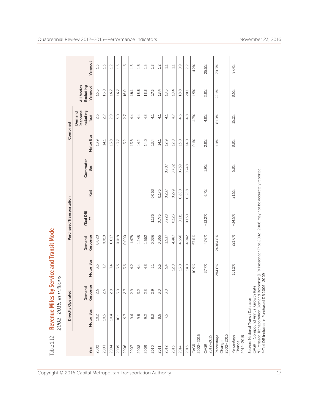| Table 1.12                            | 2002-2015, in mil.                                                      |                                              | lions     | Revenue Miles by Service and Transit Mode                                                                |                          |       |                        |           |                                         |                                   |               |
|---------------------------------------|-------------------------------------------------------------------------|----------------------------------------------|-----------|----------------------------------------------------------------------------------------------------------|--------------------------|-------|------------------------|-----------|-----------------------------------------|-----------------------------------|---------------|
|                                       |                                                                         | Directly Operated                            |           |                                                                                                          | Purchased Transportation |       |                        |           | Combined                                |                                   |               |
| Year                                  | Motor Bus                                                               | Response<br>Demand                           | Motor Bus | Response<br>Demand                                                                                       | (Taxi DR)<br>**          | Rail  | Commuter<br><b>Bus</b> | Motor Bus | Response<br>Including<br>Demand<br>Taxi | All Modes<br>Excluding<br>Vanpool | Vanpool       |
| 2002                                  | 10.2                                                                    | 2.6                                          | 3.6       | 0.020                                                                                                    |                          |       |                        | 13.9      | 2.6                                     | 16.5                              | 1.5           |
| 2003                                  | 10.5                                                                    | 2.6                                          | 5.7       | 0.018                                                                                                    |                          |       |                        | 14.1      | 2.7                                     | 16.8                              | 1.5           |
| 2004                                  | 10.4                                                                    | Ō.<br>$\sim$                                 | 3.4       | 0.017                                                                                                    |                          |       |                        | 13.8      | 2.9                                     | 16.7                              | 1.2           |
| 2005                                  | 10.1                                                                    | 3.0                                          | S<br>N,   | 0.018                                                                                                    |                          |       |                        | 13.7      | 3.0                                     | 16.7                              | LN            |
| 2006                                  | 9.7                                                                     | 2.7                                          | O<br>m    | 0.000                                                                                                    |                          |       |                        | 13.2      | 2.7                                     | 16.0                              | 1.6           |
| 2007                                  | $\circ$<br>oi                                                           | Ō.<br>$\sim$                                 | 4.2       | 1.478                                                                                                    |                          |       |                        | 13.8      | 4.4                                     | 18.1                              | 1.5           |
| 2008                                  | œ<br>oi                                                                 | 3.2                                          | 44        | 1.248                                                                                                    |                          |       |                        | 14.2      | 44                                      | 18.6                              | 1.6           |
| 2009                                  | $\sim$<br>o,                                                            | œ<br>$\sim$                                  | 4.8       | 1.562                                                                                                    |                          |       |                        | 14.0      | 4.3                                     | 18.3                              | 1.5           |
| 2010                                  | M<br>$\infty$                                                           | $\sigma$<br>$\sim$                           | 5.1       | 0.036                                                                                                    | 1.135                    | 0.063 |                        | 13.4      | 4.1                                     | 17.5                              | 1.5           |
| 2011                                  | O<br>∞                                                                  | Q<br>m                                       | Lņ<br>ம்  | 0.365                                                                                                    | 0.776                    | 0.176 |                        | 14.1      | 4.1                                     | 18.4                              | 1.2           |
| 2012                                  | 7.5                                                                     | Q<br>m.                                      | 5.4       | 1.537                                                                                                    | 0.228                    | 0.237 | 0.707                  | 12.9      | 4.1                                     | 18.5                              | $\mathbb{1}1$ |
| 2013                                  |                                                                         |                                              | 12.8      | 4.487                                                                                                    | 0.123                    | 0.279 | 0.702                  | 12.8      | 4.7                                     | 18.4                              | 1.1           |
| 2014                                  |                                                                         |                                              | 13.0      | 4.666                                                                                                    | 0.111                    | 0.280 | 0.739                  | 13.0      | 4.6                                     | 18.8                              | 0.9           |
| 2015                                  |                                                                         |                                              | 14.0      | 4.942                                                                                                    | 0.150                    | 0.288 | 0.748                  | 14.0      | 4.8                                     | 20.1                              | 2.2           |
| 2002-2015<br>CAGR                     |                                                                         |                                              | 10.9%     | 53.0%                                                                                                    |                          |       |                        | $0.1\%$   | 4.7%                                    | 1.5%                              | 4.2%          |
| 2012-2015<br>CAGR                     |                                                                         |                                              | 37.7%     | 47.6%                                                                                                    | $-13.2%$                 | 6.7%  | 1.9%                   | 2.8%      | 4.8%                                    | 2.8%                              | 25.5%         |
| $2002 - 2015$<br>Percentage<br>Change |                                                                         |                                              | 284.6%    | 24984.8%                                                                                                 |                          |       |                        | $1.0\%$   | 81.9%                                   | 22.1%                             | 70.3%         |
| Percentage<br>$2012 - 2015$<br>Change |                                                                         |                                              | 161.2%    | 221.6%                                                                                                   | $-34.5%$                 | 21.5% | 5.8%                   | 8.8%      | 15.2%                                   | 8.6%                              | 97.4%         |
|                                       | CAGR = Compound Annual Growth Rate<br>Source: National Transit Database | **Taxi DR included in Purchased DR 2006-2009 |           | *Purchased Transportation Demand Response (DR) Passenger Trips 2002-2006 may not be accurately reported. |                          |       |                        |           |                                         |                                   |               |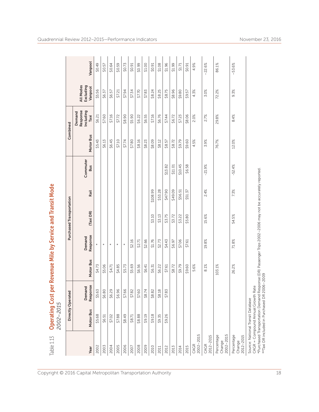| Table 1.13                        | 2002-2015                                                                                                                                                                                                                          |                    | Operating Cost per Revenue Mile by Service and Transit Mode |                    |                          |          |                        |           |                                         |                                   |          |
|-----------------------------------|------------------------------------------------------------------------------------------------------------------------------------------------------------------------------------------------------------------------------------|--------------------|-------------------------------------------------------------|--------------------|--------------------------|----------|------------------------|-----------|-----------------------------------------|-----------------------------------|----------|
|                                   |                                                                                                                                                                                                                                    | Directly Operated  |                                                             |                    | Purchased Transportation |          |                        |           | Combined                                |                                   |          |
| Year                              | Motor Bus                                                                                                                                                                                                                          | Response<br>Demand | Motor Bus                                                   | Response<br>Demand | (Taxi DR)                | Rail     | Commuter<br><b>Bus</b> | Motor Bus | Response<br>Including<br>Demand<br>Taxi | Excluding<br>All Modes<br>Vanpool | Vanpool  |
| 2002                              | \$5.68                                                                                                                                                                                                                             | \$5.63             | \$4.73                                                      | $\star$            |                          |          |                        | \$5.43    | \$6.21                                  | \$5.56                            | \$0.49   |
| 2003                              | \$6.51                                                                                                                                                                                                                             | \$6.80             | \$5.06                                                      | $\ast$             |                          |          |                        | \$6.13    | \$7.60                                  | \$6.37                            | \$0.57   |
| 2004                              | \$7.02                                                                                                                                                                                                                             | \$6.29             | \$4.71                                                      | $\star$            |                          |          |                        | \$6.45    | \$7.16                                  | \$6.57                            | \$0.64   |
| 2005                              | \$7.88                                                                                                                                                                                                                             | \$6.96             | \$4.85                                                      | $\star$            |                          |          |                        | \$7.10    | \$7.72                                  | \$7.21                            | \$0.59   |
| 2006                              | \$8.49                                                                                                                                                                                                                             | \$7.66             | \$5.73                                                      | $\star$            |                          |          |                        | \$7.74    | \$8.90                                  | \$7.94                            | \$0.73   |
| 2007                              | \$8.71                                                                                                                                                                                                                             | \$7.82             | \$5.69                                                      | \$2.16             |                          |          |                        | \$7.80    | \$5.90                                  | \$7.34                            | \$0.91   |
| 2008                              | \$8.88                                                                                                                                                                                                                             | \$7.60             | \$6.56                                                      | \$2.71             |                          |          |                        | \$8.16    | \$6.22                                  | \$7.70                            | \$0.99   |
| 2009                              | \$9.19                                                                                                                                                                                                                             | \$8.74             | \$6.41                                                      | \$2.66             |                          |          |                        | \$8.23    | \$6.55                                  | \$7.83                            | \$1.00   |
| 2010                              | \$9.18                                                                                                                                                                                                                             | \$8.82             | \$6.31                                                      | \$1.76             | \$3.10                   | \$108.99 |                        | \$8.09    | \$7.16                                  | \$8.24                            | \$0.91   |
| 2011                              | \$9.35                                                                                                                                                                                                                             | \$8.18             | \$6.22                                                      | \$2.73             | \$3.13                   | \$53.28  |                        | \$8.12    | \$6.76                                  | \$8.25                            | \$1.08   |
| 2012                              | \$9.26                                                                                                                                                                                                                             | \$7.83             | \$7.61                                                      | \$4.43             | \$3.75                   | \$47.90  | \$13.82                | \$8.57    | \$7.44                                  | \$8.75                            | \$1.96   |
| 2013                              |                                                                                                                                                                                                                                    |                    | \$8.72                                                      | \$6.97             | \$3.72                   | \$49.09  | \$11.01                | \$8.72    | \$6.72                                  | \$8.96                            | \$1.99   |
| 2014                              |                                                                                                                                                                                                                                    |                    | \$9.79                                                      | \$7.06             | \$3.22                   | \$56.51  | \$10.45                | \$9.79    | \$7.23                                  | \$9.80                            | \$1.71   |
| 2015                              |                                                                                                                                                                                                                                    |                    | \$9.60                                                      | \$7.61             | \$5.80                   | \$51.37  | \$6.58                 | \$9.60    | \$8.06                                  | \$9.57                            | \$0.91   |
| 2002-2015<br>CAGR                 |                                                                                                                                                                                                                                    |                    | 5.6%                                                        |                    |                          |          |                        | 4.5%      | 2.0%                                    | 4.3%                              | 4.9%     |
| 2012-2015<br>CAGR                 |                                                                                                                                                                                                                                    |                    | 8.1%                                                        | 19.8%              | 15.6%                    | 2.4%     | $-21.9%$               | 3.9%      | 2.7%                                    | 3.0%                              | $-22.6%$ |
| 2002-2015<br>Percentage<br>Change |                                                                                                                                                                                                                                    |                    | 103.1%                                                      |                    |                          |          |                        | 76.7%     | 29.8%                                   | 72.2%                             | 86.1%    |
| Percentage<br>2012-2015<br>Change |                                                                                                                                                                                                                                    |                    | 26.2%                                                       | 71.8%              | 54.5%                    | 7.3%     | $-52.4%$               | 12.0%     | 8.4%                                    | 9.3%                              | $-53.6%$ |
|                                   | *Purchased Transportation Demand Response (DR) Passenger Trips 2002-2006 may not be accurately reported<br>**Taxi DR included in Purchased DR 2006-2009<br>CAGR = Compound Annual Growth Rate<br>Source: National Transit Database |                    |                                                             |                    |                          |          |                        |           |                                         |                                   |          |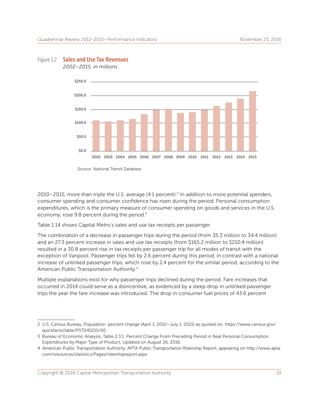

#### Figure 1.2 **Sales and Use Tax Revenues**

 *2002–2015, in millions*

 $2010 - 2015$ , more than triple the U.S. average  $(4.1 \text{ percent})^2$  In addition to more potential spenders, consumer spending and consumer confidence has risen during the period. Personal consumption expenditures, which is the primary measure of consumer spending on goods and services in the U.S. economy, rose 9.8 percent during the period.<sup>3</sup>

Table 1.14 shows Capital Metro's sales and use tax receipts per passenger.

The combination of a decrease in passenger trips during the period (from 35.3 million to 34.4 million) and an 27.3 percent increase in sales and use tax receipts (from \$165.2 million to \$210.4 million) resulted in a 30.8 percent rise in tax receipts per passenger trip for all modes of transit with the exception of Vanpool. Passenger trips fell by 2.6 percent during this period, in contrast with a national increase of unlinked passenger trips, which rose by 2.4 percent for the similar period, according to the American Public Transportation Authority.4

Multiple explanations exist for why passenger trips declined during the period. Fare increases that occurred in 2014 could serve as a disincentive, as evidenced by a steep drop in unlinked passenger trips the year the fare increase was introduced. The drop in consumer fuel prices of 43.6 percent

<sup>2</sup> U.S. Census Bureau, Population percent change (April 1, 2010–July 1, 2015) as quoted on: https://www.census.gov/ quickfacts/table/PST045215/00

<sup>3</sup> Bureau of Economic Analysis, Table 2.3.1. Percent Change From Preceding Period in Real Personal Consumption Expenditures by Major Type of Product, Updated on August 26, 2016.

<sup>4</sup> American Public Transportation Authority, APTA Public Transportation Ridership Report, appearing on http://www.apta. com/resources/statistics/Pages/ridershipreport.aspx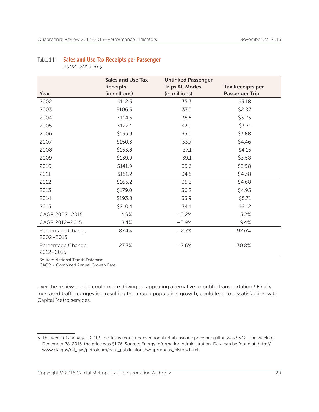### Table 1.14 Sales and Use Tax Receipts per Passenger

|                                | <b>Sales and Use Tax</b> | <b>Unlinked Passenger</b> |                         |
|--------------------------------|--------------------------|---------------------------|-------------------------|
|                                | <b>Receipts</b>          | <b>Trips All Modes</b>    | <b>Tax Receipts per</b> |
| Year                           | (in millions)            | (in millions)             | <b>Passenger Trip</b>   |
| 2002                           | \$112.3                  | 35.3                      | \$3.18                  |
| 2003                           | \$106.3                  | 37.0                      | \$2.87                  |
| 2004                           | \$114.5                  | 35.5                      | \$3.23                  |
| 2005                           | \$122.1                  | 32.9                      | \$3.71                  |
| 2006                           | \$135.9                  | 35.0                      | \$3.88                  |
| 2007                           | \$150.3                  | 33.7                      | \$4.46                  |
| 2008                           | \$153.8                  | 37.1                      | \$4.15                  |
| 2009                           | \$139.9                  | 39.1                      | \$3.58                  |
| 2010                           | \$141.9                  | 35.6                      | \$3.98                  |
| 2011                           | \$151.2                  | 34.5                      | \$4.38                  |
| 2012                           | \$165.2                  | 35.3                      | \$4.68                  |
| 2013                           | \$179.0                  | 36.2                      | \$4.95                  |
| 2014                           | \$193.8                  | 33.9                      | \$5.71                  |
| 2015                           | \$210.4                  | 34.4                      | \$6.12                  |
| CAGR 2002-2015                 | 4.9%                     | $-0.2%$                   | 5.2%                    |
| CAGR 2012-2015                 | 8.4%                     | $-0.9%$                   | 9.4%                    |
| Percentage Change<br>2002-2015 | 87.4%                    | $-2.7%$                   | 92.6%                   |
| Percentage Change<br>2012-2015 | 27.3%                    | $-2.6%$                   | 30.8%                   |

Source: National Transit Database

CAGR = Combined Annual Growth Rate

over the review period could make driving an appealing alternative to public transportation.<sup>5</sup> Finally, increased traffic congestion resulting from rapid population growth, could lead to dissatisfaction with Capital Metro services.

<sup>5</sup> The week of January 2, 2012, the Texas regular conventional retail gasoline price per gallon was \$3.12. The week of December 28, 2015, the price was \$1.76. Source: Energy Information Administration. Data can be found at: http:// www.eia.gov/oil\_gas/petroleum/data\_publications/wrgp/mogas\_history.html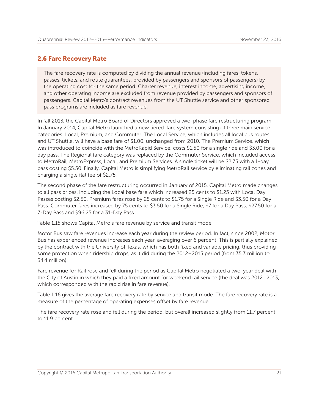#### 2.6 Fare Recovery Rate

The fare recovery rate is computed by dividing the annual revenue (including fares, tokens, passes, tickets, and route guarantees, provided by passengers and sponsors of passengers) by the operating cost for the same period. Charter revenue, interest income, advertising income, and other operating income are excluded from revenue provided by passengers and sponsors of passengers. Capital Metro's contract revenues from the UT Shuttle service and other sponsored pass programs are included as fare revenue.

In fall 2013, the Capital Metro Board of Directors approved a two-phase fare restructuring program. In January 2014, Capital Metro launched a new tiered-fare system consisting of three main service categories: Local, Premium, and Commuter. The Local Service, which includes all local bus routes and UT Shuttle, will have a base fare of \$1.00, unchanged from 2010. The Premium Service, which was introduced to coincide with the MetroRapid Service, costs \$1.50 for a single ride and \$3.00 for a day pass. The Regional fare category was replaced by the Commuter Service, which included access to MetroRail, MetroExpress, Local, and Premium Services. A single ticket will be \$2.75 with a 1-day pass costing \$5.50. Finally, Capital Metro is simplifying MetroRail service by eliminating rail zones and charging a single flat fee of \$2.75.

The second phase of the fare restructuring occurred in January of 2015. Capital Metro made changes to all pass prices, including the Local base fare which increased 25 cents to \$1.25 with Local Day Passes costing \$2.50. Premium fares rose by 25 cents to \$1.75 for a Single Ride and \$3.50 for a Day Pass. Commuter fares increased by 75 cents to \$3.50 for a Single Ride, \$7 for a Day Pass, \$27.50 for a 7-Day Pass and \$96.25 for a 31-Day Pass.

Table 1.15 shows Capital Metro's fare revenue by service and transit mode.

Motor Bus saw fare revenues increase each year during the review period. In fact, since 2002, Motor Bus has experienced revenue increases each year, averaging over 6 percent. This is partially explained by the contract with the University of Texas, which has both fixed and variable pricing, thus providing some protection when ridership drops, as it did during the 2012–2015 period (from 35.3 million to 34.4 million).

Fare revenue for Rail rose and fell during the period as Capital Metro negotiated a two-year deal with the City of Austin in which they paid a fixed amount for weekend rail service (the deal was 2012–2013, which corresponded with the rapid rise in fare revenue).

Table 1.16 gives the average fare recovery rate by service and transit mode. The fare recovery rate is a measure of the percentage of operating expenses offset by fare revenue.

The fare recovery rate rose and fell during the period, but overall increased slightly from 11.7 percent to 11.9 percent.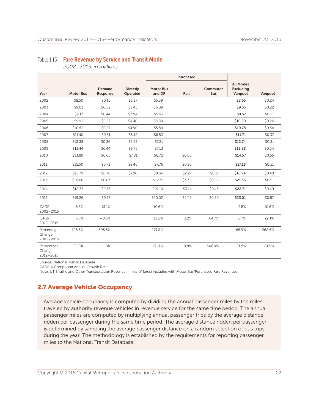#### Table 1.15 Fare Revenue by Service and Transit Mode

 *2002–2015, in millions*

|                                   |                  |                    |                             |                            | Purchased |                        |                                                 |         |
|-----------------------------------|------------------|--------------------|-----------------------------|----------------------------|-----------|------------------------|-------------------------------------------------|---------|
| Year                              | <b>Motor Bus</b> | Demand<br>Response | <b>Directly</b><br>Operated | <b>Motor Bus</b><br>and DR | Rail      | Commuter<br><b>Bus</b> | <b>All Modes</b><br><b>Excluding</b><br>Vanpool | Vanpool |
| 2002                              | \$8.50           | \$0.15             | \$3.27                      | \$5.39                     |           |                        | \$8.65                                          | \$0.24  |
| 2003                              | \$9.03           | \$0.52             | \$3.45                      | \$6.09                     |           |                        | \$9.55                                          | \$0.22  |
| 2004                              | \$9.13           | \$0.44             | \$3.94                      | \$5.63                     |           |                        | \$9.57                                          | \$0.21  |
| 2005                              | \$9.92           | \$0.27             | \$4.40                      | \$5.80                     |           |                        | \$10.20                                         | \$0.26  |
| 2006                              | \$10.52          | \$0.27             | \$4.90                      | \$5.89                     |           |                        | \$10.78                                         | \$0.34  |
| 2007                              | \$11.40          | \$0.31             | \$5.18                      | \$6.53                     |           |                        | \$11.71                                         | \$0.37  |
| 2008                              | \$12.38          | \$0.36             | \$5.53                      | \$7.21                     |           |                        | \$12.74                                         | \$0.31  |
| 2009                              | \$13.44          | \$0.44             | \$6.75                      | \$7.13                     |           |                        | \$13.88                                         | \$0.54  |
| 2010                              | \$13.89          | \$0.65             | \$7.81                      | \$6.72                     | \$0.03    |                        | \$14.57                                         | \$0.55  |
| 2011                              | \$15.50          | \$0.72             | \$8.46                      | \$7.76                     | \$0.95    |                        | \$17.18                                         | \$0.51  |
| 2012                              | \$15.79          | \$0.78             | \$7.90                      | \$8.66                     | \$2.27    | \$0.11                 | \$18.94                                         | \$0.48  |
| 2013                              | \$16.68          | \$0.63             |                             | \$17.31                    | \$3.36    | \$0.68                 | \$21.35                                         | \$0.51  |
| 2014                              | \$18.37          | \$0.73             |                             | \$19.10                    | \$3.14    | \$0.48                 | \$22.71                                         | \$0.40  |
| 2015                              | \$19.26          | \$0.77             |                             | \$20.02                    | \$2.49    | \$0.50                 | \$23.01                                         | \$0.87  |
| CAGR<br>2002-2015                 | 6.5%             | 13.1%              |                             | 10.6%                      |           |                        | 7.8%                                            | 10.6%   |
| CAGR<br>2012-2015                 | 6.8%             | $-0.6%$            |                             | 32.2%                      | 3.2%      | 64.7%                  | 6.7%                                            | 22.1%   |
| Percentage<br>Change<br>2002-2015 | 126.6%           | 395.5%             |                             | 271.8%                     |           |                        | 165.9%                                          | 268.5%  |
| Percentage<br>Change<br>2012-2015 | 22.0%            | $-1.8%$            |                             | 131.1%                     | 9.8%      | 346.9%                 | 21.5%                                           | 81.9%   |

Source: National Transit Database

CAGR = Compound Annual Growth Rate

Note: UT Shuttle and Other Transportation Revenue (in lieu of fares) included with Motor Bus/Purchased Fare Revenues

#### 2.7 Average Vehicle Occupancy

Average vehicle occupancy is computed by dividing the annual passenger miles by the miles traveled by authority revenue vehicles in revenue service for the same time period. The annual passenger miles are computed by multiplying annual passenger trips by the average distance ridden per passenger during the same time period. The average distance ridden per passenger is determined by sampling the average passenger distance on a random selection of bus trips during the year. The methodology is established by the requirements for reporting passenger miles to the National Transit Database.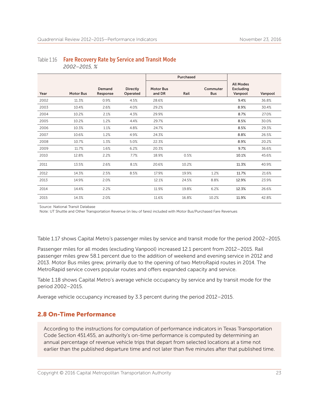### Table 1.16 Fare Recovery Rate by Service and Transit Mode

 *2002–2015, %*

|      |                  |                    |                             |                            | Purchased |                        |                                                 |         |
|------|------------------|--------------------|-----------------------------|----------------------------|-----------|------------------------|-------------------------------------------------|---------|
| Year | <b>Motor Bus</b> | Demand<br>Response | <b>Directly</b><br>Operated | <b>Motor Bus</b><br>and DR | Rail      | Commuter<br><b>Bus</b> | <b>All Modes</b><br><b>Excluding</b><br>Vanpool | Vanpool |
| 2002 | 11.3%            | 0.9%               | 4.5%                        | 28.6%                      |           |                        | 9.4%                                            | 36.8%   |
| 2003 | 10.4%            | 2.6%               | 4.0%                        | 29.2%                      |           |                        | 8.9%                                            | 30.4%   |
| 2004 | 10.2%            | 2.1%               | 4.3%                        | 29.9%                      |           |                        | 8.7%                                            | 27.0%   |
| 2005 | 10.2%            | 1.2%               | 4.4%                        | 29.7%                      |           |                        | 8.5%                                            | 30.0%   |
| 2006 | 10.3%            | 1.1%               | 4.8%                        | 24.7%                      |           |                        | 8.5%                                            | 29.3%   |
| 2007 | 10.6%            | 1.2%               | 4.9%                        | 24.3%                      |           |                        | 8.8%                                            | 26.5%   |
| 2008 | 10.7%            | 1.3%               | 5.0%                        | 22.3%                      |           |                        | 8.9%                                            | 20.2%   |
| 2009 | 11.7%            | 1.6%               | 6.2%                        | 20.3%                      |           |                        | 9.7%                                            | 36.6%   |
| 2010 | 12.8%            | 2.2%               | 7.7%                        | 18.9%                      | 0.5%      |                        | 10.1%                                           | 45.6%   |
| 2011 | 13.5%            | 2.6%               | 8.1%                        | 20.6%                      | 10.2%     |                        | 11.3%                                           | 40.9%   |
| 2012 | 14.3%            | 2.5%               | 8.5%                        | 17.9%                      | 19.9%     | 1.2%                   | 11.7%                                           | 21.6%   |
| 2013 | 14.9%            | 2.0%               |                             | 12.1%                      | 24.5%     | 8.8%                   | 12.9%                                           | 23.9%   |
| 2014 | 14.4%            | 2.2%               |                             | 11.9%                      | 19.8%     | 6.2%                   | 12.3%                                           | 26.6%   |
| 2015 | 14.3%            | 2.0%               |                             | 11.6%                      | 16.8%     | 10.2%                  | 11.9%                                           | 42.8%   |

Source: National Transit Database

Note: UT Shuttle and Other Transportation Revenue (in lieu of fares) included with Motor Bus/Purchased Fare Revenues

Table 1.17 shows Capital Metro's passenger miles by service and transit mode for the period 2002–2015.

Passenger miles for all modes (excluding Vanpool) increased 12.1 percent from 2012–2015. Rail passenger miles grew 58.1 percent due to the addition of weekend and evening service in 2012 and 2013. Motor Bus miles grew, primarily due to the opening of two MetroRapid routes in 2014. The MetroRapid service covers popular routes and offers expanded capacity and service.

Table 1.18 shows Capital Metro's average vehicle occupancy by service and by transit mode for the period 2002–2015.

Average vehicle occupancy increased by 3.3 percent during the period 2012–2015.

#### 2.8 On-Time Performance

According to the instructions for computation of performance indicators in Texas Transportation Code Section 451.455, an authority's on-time performance is computed by determining an annual percentage of revenue vehicle trips that depart from selected locations at a time not earlier than the published departure time and not later than five minutes after that published time.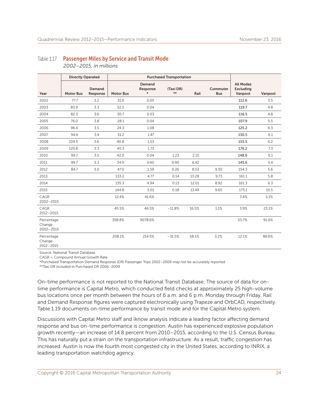#### Table 1.17 Passenger Miles by Service and Transit Mode  *2002–2015, in millions*

|                                       | <b>Directly Operated</b> |                    |                  |                              | <b>Purchased Transportation</b> |       |                        |                                                 |         |
|---------------------------------------|--------------------------|--------------------|------------------|------------------------------|---------------------------------|-------|------------------------|-------------------------------------------------|---------|
| Year                                  | <b>Motor Bus</b>         | Demand<br>Response | <b>Motor Bus</b> | Demand<br>Response<br>$\ast$ | (Taxi DR)<br>$***$              | Rail  | Commuter<br><b>Bus</b> | <b>All Modes</b><br><b>Excluding</b><br>Vanpool | Vanpool |
| 2002                                  | 77.7                     | 3.2                | 31.6             | 0.05                         |                                 |       |                        | 112.6                                           | 5.5     |
| 2003                                  | 83.9                     | 3.3                | 32.5             | 0.04                         |                                 |       |                        | 119.7                                           | 4.8     |
| 2004                                  | 82.3                     | 3.6                | 30.7             | 0.03                         |                                 |       |                        | 116.5                                           | 4.8     |
| 2005                                  | 76.0                     | 3.8                | 28.1             | 0.04                         |                                 |       |                        | 107.9                                           | 5.5     |
| 2006                                  | 96.4                     | 3.5                | 24.3             | 1.08                         |                                 |       |                        | 125.2                                           | 6.3     |
| 2007                                  | 94.4                     | 3.4                | 31.2             | 1.47                         |                                 |       |                        | 130.5                                           | 6.1     |
| 2008                                  | 109.5                    | 3.6                | 40.8             | 1.53                         |                                 |       |                        | 155.5                                           | 6.2     |
| 2009                                  | 125.8                    | 3.3                | 45.3             | 1.73                         |                                 |       |                        | 176.2                                           | 7.3     |
| 2010                                  | 99.7                     | 3.5                | 42.0             | 0.04                         | 1.23                            | 2.15  |                        | 148.6                                           | 6.1     |
| 2011                                  | 99.7                     | 3.3                | 34.9             | 0.40                         | 0.90                            | 6.42  |                        | 145.6                                           | 5.4     |
| 2012                                  | 84.7                     | 3.0                | 47.0             | 1.59                         | 0.26                            | 8.53  | 9.30                   | 154.3                                           | 5.6     |
| 2013                                  |                          |                    | 133.2            | 4.77                         | 0.14                            | 13.28 | 9.73                   | 161.1                                           | 5.8     |
| 2014                                  |                          |                    | 135.3            | 4.94                         | 0.13                            | 12.01 | 8.92                   | 161.3                                           | 6.3     |
| 2015                                  |                          |                    | 144.8            | 5.01                         | 0.18                            | 13.49 | 9.60                   | 173.1                                           | 10.5    |
| CAGR<br>2002-2015                     |                          |                    | 12.4%            | 41.6%                        |                                 |       |                        | 3.4%                                            | 5.1%    |
| CAGR<br>$2012 - 2015$                 |                          |                    | 45.5%            | 46.5%                        | $-11.8%$                        | 16.5% | 1.1%                   | 3.9%                                            | 23.1%   |
| Percentage<br>Change<br>2002-2015     |                          |                    | 358.8%           | 9078.6%                      |                                 |       |                        | 53.7%                                           | 91.6%   |
| Percentage<br>Change<br>$2012 - 2015$ |                          |                    | 208.1%           | 214.5%                       | $-31.5%$                        | 58.1% | 3.2%                   | 12.1%                                           | 86.6%   |

Source: National Transit Database

CAGR = Compound Annual Growth Rate

\*Purchased Transportation Demand Response (DR) Passenger Trips 2002–2006 may not be accurately reported.

\*\*Taxi DR included in Purchased DR 2006–2009

On-time performance is not reported to the National Transit Database. The source of data for ontime performance is Capital Metro, which conducted field checks at approximately 25 high-volume bus locations once per month between the hours of 6 a.m. and 6 p.m. Monday through Friday. Rail and Demand Response figures were captured electronically using Trapeze and OrbCAD, respectively. Table 1.19 documents on-time performance by transit mode and for the Capital Metro system.

Discussions with Capital Metro staff and Iknow analysis indicate a leading factor affecting demand response and bus on-time performance is congestion. Austin has experienced explosive population growth recently—an increase of 14.8 percent from 2010–2015, according to the U.S. Census Bureau. This has naturally put a strain on the transportation infrastructure. As a result, traffic congestion has increased. Austin is now the fourth most congested city in the United States, according to INRIX, a leading transportation watchdog agency.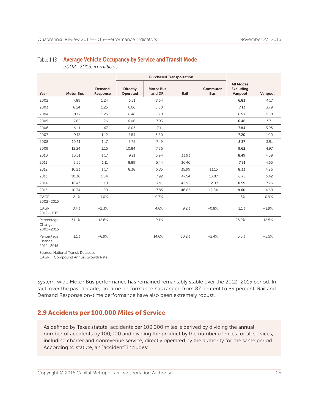|                                   |                  |                    |                      | <b>Purchased Transportation</b> |       |                        |                                                 |         |
|-----------------------------------|------------------|--------------------|----------------------|---------------------------------|-------|------------------------|-------------------------------------------------|---------|
| Year                              | <b>Motor Bus</b> | Demand<br>Response | Directly<br>Operated | <b>Motor Bus</b><br>and DR      | Rail  | Commuter<br><b>Bus</b> | <b>All Modes</b><br><b>Excluding</b><br>Vanpool | Vanpool |
| 2002                              | 7.89             | 1.24               | 6.31                 | 8.64                            |       |                        | 6.83                                            | 4.17    |
| 2003                              | 8.24             | 1.25               | 6.66                 | 8.80                            |       |                        | 7.13                                            | 3.79    |
| 2004                              | 8.17             | 1.25               | 6.46                 | 8.90                            |       |                        | 6.97                                            | 3.88    |
| 2005                              | 7.62             | 1.26               | 6.06                 | 7.93                            |       |                        | 6.46                                            | 3.71    |
| 2006                              | 9.11             | 1.67               | 8.05                 | 7.11                            |       |                        | 7.84                                            | 3.95    |
| 2007                              | 9.13             | 1.12               | 7.84                 | 5.80                            |       |                        | 7.20                                            | 4.00    |
| 2008                              | 10.61            | 1.17               | 8.75                 | 7.49                            |       |                        | 8.37                                            | 3.91    |
| 2009                              | 12.24            | 1.16               | 10.84                | 7.36                            |       |                        | 9.62                                            | 4.97    |
| 2010                              | 10.61            | 1.17               | 9.21                 | 6.94                            | 33.93 |                        | 8.49                                            | 4.59    |
| 2011                              | 9.55             | 1.11               | 8.89                 | 5.44                            | 36.46 |                        | 7.91                                            | 4.65    |
| 2012                              | 10.23            | 1.17               | 8.38                 | 6.85                            | 35.99 | 13.15                  | 8.33                                            | 4.96    |
| 2013                              | 10.38            | 1.04               |                      | 7.92                            | 47.54 | 13.87                  | 8.75                                            | 5.42    |
| 2014                              | 10.43            | 1.10               |                      | 7.91                            | 42.92 | 12.07                  | 8.59                                            | 7.26    |
| 2015                              | 10.34            | 1.09               |                      | 7.85                            | 46.85 | 12.84                  | 8.60                                            | 4.69    |
| CAGR<br>2002-2015                 | 2.1%             | $-1.0%$            |                      | $-0.7%$                         |       |                        | 1.8%                                            | 0.9%    |
| CAGR<br>$2012 - 2015$             | 0.4%             | $-2.3%$            |                      | 4.6%                            | 9.2%  | $-0.8%$                | 1.1%                                            | $-1.9%$ |
| Percentage<br>Change<br>2002-2015 | 31.1%            | $-12.6%$           |                      | $-9.1%$                         |       |                        | 25.9%                                           | 12.5%   |
| Percentage<br>Change<br>2012-2015 | 1.1%             | $-6.9%$            |                      | 14.6%                           | 30.2% | $-2.4%$                | 3.3%                                            | $-5.5%$ |

#### Table 1.18 Average Vehicle Occupancy by Service and Transit Mode  *2002–2015, in millions*

Source: National Transit Database

CAGR = Compound Annual Growth Rate

System-wide Motor Bus performance has remained remarkably stable over the 2012–2015 period. In fact, over the past decade, on-time performance has ranged from 87 percent to 89 percent. Rail and Demand Response on-time performance have also been extremely robust.

#### 2.9 Accidents per 100,000 Miles of Service

As defined by Texas statute, accidents per 100,000 miles is derived by dividing the annual number of accidents by 100,000 and dividing the product by the number of miles for all services, including charter and nonrevenue service, directly operated by the authority for the same period. According to statute, an "accident" includes: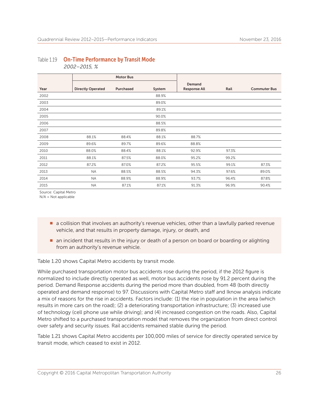#### Motor Bus Year Directly Operated Purchased System Demand Response All **Rail** Rail Commuter Bus 2002 88.9% 2003 89.0% 2004 89.1% 2005 90.0% 2006 88.5% 2007 89.8% 2008 88.1% 88.4% 88.1% 88.7% 2009 89.6% 89.7% 89.6% 88.8% 2010 88.0% 88.4% 88.1% 92.9% 97.3% 2011 88.1% 87.5% 88.0% 95.2% 99.2% 2012 87.2% 87.0% 87.2% 95.5% 99.1% 87.3% 2013 NA 88.5% 88.5% 94.3% 97.6% 89.0% 2014 NA 88.9% 88.9% 93.7% 96.4% 87.8% 2015 NA 87.1% 87.1% 91.3% 96.9% 90.4%

#### Table 1.19 On-Time Performance by Transit Mode  *2002–2015, %*

Source: Capital Metro

N/A = Not applicable

- **n** a collision that involves an authority's revenue vehicles, other than a lawfully parked revenue vehicle, and that results in property damage, injury, or death, and
- n an incident that results in the injury or death of a person on board or boarding or alighting from an authority's revenue vehicle.

Table 1.20 shows Capital Metro accidents by transit mode.

While purchased transportation motor bus accidents rose during the period, if the 2012 figure is normalized to include directly operated as well, motor bus accidents rose by 91.2 percent during the period. Demand Response accidents during the period more than doubled, from 48 (both directly operated and demand response) to 97. Discussions with Capital Metro staff and Iknow analysis indicate a mix of reasons for the rise in accidents. Factors include: (1) the rise in population in the area (which results in more cars on the road); (2) a deteriorating transportation infrastructure; (3) increased use of technology (cell phone use while driving); and (4) increased congestion on the roads. Also, Capital Metro shifted to a purchased transportation model that removes the organization from direct control over safety and security issues. Rail accidents remained stable during the period.

Table 1.21 shows Capital Metro accidents per 100,000 miles of service for directly operated service by transit mode, which ceased to exist in 2012.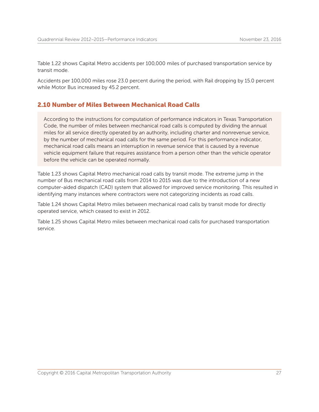Table 1.22 shows Capital Metro accidents per 100,000 miles of purchased transportation service by transit mode.

Accidents per 100,000 miles rose 23.0 percent during the period, with Rail dropping by 15.0 percent while Motor Bus increased by 45.2 percent.

#### 2.10 Number of Miles Between Mechanical Road Calls

According to the instructions for computation of performance indicators in Texas Transportation Code, the number of miles between mechanical road calls is computed by dividing the annual miles for all service directly operated by an authority, including charter and nonrevenue service, by the number of mechanical road calls for the same period. For this performance indicator, mechanical road calls means an interruption in revenue service that is caused by a revenue vehicle equipment failure that requires assistance from a person other than the vehicle operator before the vehicle can be operated normally.

Table 1.23 shows Capital Metro mechanical road calls by transit mode. The extreme jump in the number of Bus mechanical road calls from 2014 to 2015 was due to the introduction of a new computer-aided dispatch (CAD) system that allowed for improved service monitoring. This resulted in identifying many instances where contractors were not categorizing incidents as road calls.

Table 1.24 shows Capital Metro miles between mechanical road calls by transit mode for directly operated service, which ceased to exist in 2012.

Table 1.25 shows Capital Metro miles between mechanical road calls for purchased transportation service.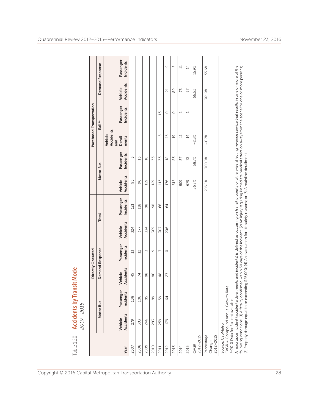| Table 1.20                        | 2007-2015                                                            | <b>Accidents by Transit Mode</b> |                                                                                                                                                                                                                                                                                                                                                                                                                                                                                                      |                          |           |                  |                  |                  |                                        |                          |                  |                         |
|-----------------------------------|----------------------------------------------------------------------|----------------------------------|------------------------------------------------------------------------------------------------------------------------------------------------------------------------------------------------------------------------------------------------------------------------------------------------------------------------------------------------------------------------------------------------------------------------------------------------------------------------------------------------------|--------------------------|-----------|------------------|------------------|------------------|----------------------------------------|--------------------------|------------------|-------------------------|
|                                   |                                                                      |                                  |                                                                                                                                                                                                                                                                                                                                                                                                                                                                                                      | Directly Operated        |           |                  |                  |                  |                                        | Purchased Transportation |                  |                         |
|                                   |                                                                      | Motor Bus                        |                                                                                                                                                                                                                                                                                                                                                                                                                                                                                                      | Demand Response          |           | <b>Total</b>     |                  | Motor Bus        |                                        | Rail**                   |                  | Demand Response         |
|                                   | Vehicle                                                              | Passenger                        | Vehicle                                                                                                                                                                                                                                                                                                                                                                                                                                                                                              | Passenger                | Vehicle   | Passenger        | Vehicle          | Passenger        | Accidents<br>Vehicle<br>Derail-<br>and | Passenger                | Vehicle          | Passenger               |
| Year                              | Accidents                                                            | <b>Incidents</b>                 | <b>Accidents</b>                                                                                                                                                                                                                                                                                                                                                                                                                                                                                     | Incidents                | Accidents | <b>Incidents</b> | <b>Accidents</b> | <b>Incidents</b> | ments                                  | Incidents                | <b>Accidents</b> | <b>Incidents</b>        |
| 2007                              | 279                                                                  | 108                              | 45                                                                                                                                                                                                                                                                                                                                                                                                                                                                                                   | $\mathbb{Z}$             | 324       | 121              | 95               | $\sim$           |                                        |                          |                  |                         |
| 2008                              | 303                                                                  | 106                              | $\overline{7}$                                                                                                                                                                                                                                                                                                                                                                                                                                                                                       | $\overline{2}$           | 577       | 118              | 96               | $^{15}$          |                                        |                          |                  |                         |
| 2009                              | 246                                                                  | 85                               | 88                                                                                                                                                                                                                                                                                                                                                                                                                                                                                                   | $\sim$                   | 334       | 88               | 129              | $\frac{8}{10}$   |                                        |                          |                  |                         |
| 2010                              | 283                                                                  | 89                               | 86                                                                                                                                                                                                                                                                                                                                                                                                                                                                                                   | G                        | 369       | 98               | 129              | 33               |                                        |                          |                  |                         |
| 2011                              | 259                                                                  | 59                               | 48                                                                                                                                                                                                                                                                                                                                                                                                                                                                                                   | $\overline{\phantom{0}}$ | 307       | 66               | 113              | 53               | 5                                      | 13                       |                  |                         |
| 2012                              | 179                                                                  | 64                               | 27                                                                                                                                                                                                                                                                                                                                                                                                                                                                                                   | $\circ$                  | 206       | 64               | 176              | $\frac{8}{18}$   | $\overline{15}$                        | $\circ$                  | $\overline{z}$   | G                       |
| 2013                              |                                                                      |                                  |                                                                                                                                                                                                                                                                                                                                                                                                                                                                                                      |                          |           |                  | 515              | 83               | $\overline{a}$                         | $\circ$                  | 80               | $^{\circ}$              |
| 2014                              |                                                                      |                                  |                                                                                                                                                                                                                                                                                                                                                                                                                                                                                                      |                          |           |                  | 509              | 6                | $\Xi$                                  |                          | 75               | $\overline{\mathbf{u}}$ |
| 2015                              |                                                                      |                                  |                                                                                                                                                                                                                                                                                                                                                                                                                                                                                                      |                          |           |                  | 679              | 72               | $\overline{4}$                         |                          | 5                | $\overline{4}$          |
| 2012-2015<br>CAGR                 |                                                                      |                                  |                                                                                                                                                                                                                                                                                                                                                                                                                                                                                                      |                          |           |                  | 56.8%            | 58.7%            | $-2.3%$                                |                          | 66.5%            | 15.9%                   |
| Percentage<br>2012-2015<br>Change |                                                                      |                                  |                                                                                                                                                                                                                                                                                                                                                                                                                                                                                                      |                          |           |                  | 285.8%           | 300.0%           | $-6.7%$                                |                          | 361.9%           | 55.6%                   |
| Source: CapMetro                  | CAGR = Compound Annual Growth<br>** 2010 Data for Rail not available | Rate                             | A reportable incident (accidents/derailments and incidents) is defined as occurring on transit property or otherwise affecting revenue service that results in one or more of the<br>following conditions: (1) A fatality confirmed within 30 days of the incident; (2) An injury requiring immediate medical attention away from the scene for one or more persons;<br>(3) Property damage equal to or exceeding \$25,000; (4) An evacuation for life safety reasons; or (5) A mainline derailment. |                          |           |                  |                  |                  |                                        |                          |                  |                         |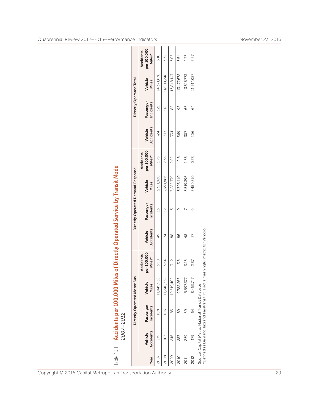|                                                                | $\overline{\phantom{0}}$<br>Φ<br>ത | $\boldsymbol{\omega}$ | $\infty$<br>$\sim$ | $\sigma$<br>$\circ$<br>20 | $\overline{ }$<br>$\overline{\phantom{0}}$<br>$\overline{\phantom{0}}$<br>$\sim$<br>$\sim$ | $\overline{\phantom{0}}$ | $\overline{5}$<br>v.<br>زە<br>នី č |  |
|----------------------------------------------------------------|------------------------------------|-----------------------|--------------------|---------------------------|--------------------------------------------------------------------------------------------|--------------------------|------------------------------------|--|
| Copyright © 2016 Capital Metropolitan Transportation Authority |                                    |                       |                    |                           |                                                                                            |                          |                                    |  |

| 111 | りゃくつ しろうり<br>l<br>j |
|-----|---------------------|
|     |                     |

|      |                             | Directly Operated Motor                                                                                | <b>Bus</b>       |                                           |                      | Directly Operated Demand Response |                  |                                           |                      | Directly Operated Total |                  |                                           |
|------|-----------------------------|--------------------------------------------------------------------------------------------------------|------------------|-------------------------------------------|----------------------|-----------------------------------|------------------|-------------------------------------------|----------------------|-------------------------|------------------|-------------------------------------------|
| Year | <b>Accidents</b><br>Vehicle | Passenger<br><b>Incidents</b>                                                                          | Vehicle<br>Miles | per 100,000<br><b>Accidents</b><br>Miles* | Accidents<br>Vehicle | Passenger<br>Incidents            | Vehicle<br>Miles | per 100,000<br><b>Accidents</b><br>Miles* | Accidents<br>Vehicle | Passenger<br>Incidents  | Vehicle<br>Miles | per 100,000<br><b>Accidents</b><br>Miles* |
| 2007 | 279                         | 108                                                                                                    | 11,049,958       | 3.50                                      | 45                   | 13                                | 3,321,920        | 1.75                                      | 324                  | 121                     | 14,371,878       | 3.10                                      |
| 2008 | 303                         | 106                                                                                                    | 11,240,362       | 3.64                                      | 74                   | $\overline{12}$                   | 3,659,886        | 235                                       | 377                  | 118                     | 14,900,248       | 3.32                                      |
| 2009 | 246                         | 85                                                                                                     | 10,619,408       | 3.12                                      | 88                   |                                   | 3,228,739        | 2.82                                      | 334                  | 88                      | 13,848,147       | 3.05                                      |
| 2010 | 283                         | 89                                                                                                     | 9,782,268        | 8 %                                       | 86                   | 9                                 | 3,395,410        | 2.8                                       | 369                  | 86                      | 13,177,678       | 3.54                                      |
|      | 259                         | 59                                                                                                     | 9,997,377        | 3.18                                      | $\frac{8}{3}$        |                                   | 3,519,396        | 1.56                                      | 307                  | 66                      | 13,516,773       | 2.76                                      |
| 2012 | 179                         | 64                                                                                                     | 8,463,747        | 2.87                                      | 27                   | $\circ$                           | 3,450,310        | 0.78                                      | 206                  | 64                      | 11,914,057       | 2.27                                      |
|      |                             | Source: Capital Metro; National Transit Database<br>*Defined as Demand Taxi and Paratransit. It is not |                  | a meaningful metric for Vanpool           |                      |                                   |                  |                                           |                      |                         |                  |                                           |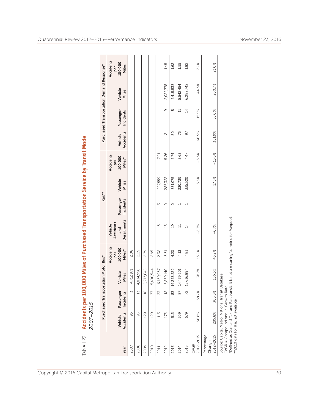| Table 1.22                        | 2007-2015                          | Accidents per 100                                                                                                                  |                   |                                       | 000 Miles of Purchased Transportation Service by Transit Mode, |                        |                  |                                       |                      |                        |                                           |                                      |
|-----------------------------------|------------------------------------|------------------------------------------------------------------------------------------------------------------------------------|-------------------|---------------------------------------|----------------------------------------------------------------|------------------------|------------------|---------------------------------------|----------------------|------------------------|-------------------------------------------|--------------------------------------|
|                                   |                                    | Purchased Transpor                                                                                                                 | tation Motor Bus* |                                       |                                                                | Rail**                 |                  |                                       |                      |                        | Purchased Transportation Demand Response* |                                      |
| Year                              | <b>Accidents</b><br>Vehicle        | Passenger<br>Incidents                                                                                                             | Vehicle<br>Miles  | Accidents<br>100,000<br>Miles*<br>per | <b>Derailments</b><br>Accidents<br>Vehicle<br>and              | Passenger<br>Incidents | Vehicle<br>Miles | Accidents<br>100,000<br>Miles*<br>per | Accidents<br>Vehicle | Passenger<br>Incidents | Vehicle<br>Miles                          | Accidents<br>per<br>100,000<br>Miles |
| 2007                              | 95                                 | M                                                                                                                                  | 4,712,971         | 2.08                                  |                                                                |                        |                  |                                       |                      |                        |                                           |                                      |
| 2008                              | 96                                 | 13                                                                                                                                 | 4,834,998         | 2.25                                  |                                                                |                        |                  |                                       |                      |                        |                                           |                                      |
| 2009                              | 129                                | $\frac{8}{18}$                                                                                                                     | 5,273,645         | 2.79                                  |                                                                |                        |                  |                                       |                      |                        |                                           |                                      |
| 2010                              | 129                                | 33                                                                                                                                 | 5,490,544         | 2.95                                  |                                                                |                        |                  |                                       |                      |                        |                                           |                                      |
| 2011                              | 113                                | 33                                                                                                                                 | 6,139,957         | 2.38                                  | 5                                                              | 13                     | 227,559          | 7.91                                  |                      |                        |                                           |                                      |
| 2012                              | 176                                | $\frac{8}{1}$                                                                                                                      | 5,859,140         | 3.31                                  | 15                                                             | $\circ$                | 285,322          | 5.26                                  | ದ                    | σ                      | 2,022,778                                 | 1.48                                 |
| 2013                              | 515                                | 83                                                                                                                                 | 14,253,229        | 4.20                                  | $\overline{c}$                                                 | $\circ$                | 331,075          | 5.74                                  | 80                   | $\infty$               | 5,418,833                                 | 1.62                                 |
| 2014                              | 509                                | 87                                                                                                                                 | 14,439,501        | 4.13                                  | Ч                                                              | $\overline{ }$         | 330,739          | 3.63                                  | 75                   | $\Xi$                  | 5,542,454                                 | 1.55                                 |
| 2015                              | 679                                | 72                                                                                                                                 | 15,616,894        | 4.81                                  | $\overline{4}$                                                 | $\overline{ }$         | 335,520          | 4.47                                  | 50                   | $\overline{4}$         | 6,082,742                                 | 1.82                                 |
| 2012-2015<br>CAGR                 | 56.8%                              | 58.7%                                                                                                                              | 38.7%             | 13.2%                                 | $-2.3%$                                                        |                        | 5.6%             | $-5.3%$                               | 66.5%                | 15.9%                  | 44.3%                                     | 7.2%                                 |
| Percentage<br>2012-2015<br>Change | 285.8%                             | 300.0%                                                                                                                             | 166.5%            | 45.2%                                 | $-6.7%$                                                        |                        | 17.6%            | $-15.0%$                              | 361.9%               | 55.6.%                 | 200.7%                                    | 23.0%                                |
|                                   | **2010 data for Rail not available | Source: Capital Metro; National Transit Database<br>CAGR = Compound Annual Growth Rate<br>*Defined as Demand Taxi and Paratransit. |                   |                                       | It is not a meaningful metric for Vanpool.                     |                        |                  |                                       |                      |                        |                                           |                                      |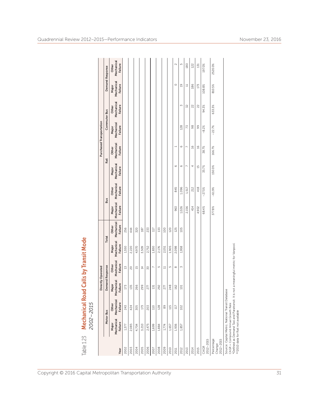| Table 1.23 Mechanical Road Calls by Transit Mode                         |                  |                                                                                                    |                                    |                                      |                                           |                  |                                |                                |                                       |                                |                                |                                |                                |                                |
|--------------------------------------------------------------------------|------------------|----------------------------------------------------------------------------------------------------|------------------------------------|--------------------------------------|-------------------------------------------|------------------|--------------------------------|--------------------------------|---------------------------------------|--------------------------------|--------------------------------|--------------------------------|--------------------------------|--------------------------------|
|                                                                          |                  | 2002-2015                                                                                          |                                    |                                      |                                           |                  |                                |                                |                                       |                                |                                |                                |                                |                                |
|                                                                          |                  |                                                                                                    |                                    | Directly Operated                    |                                           |                  |                                |                                |                                       |                                | Purchased Transportation       |                                |                                |                                |
|                                                                          |                  | Motor Bus                                                                                          |                                    | Demand Response                      | Total                                     |                  |                                | <b>Bus</b>                     | Rail                                  |                                |                                | Commuter Bus                   | Demand Response                |                                |
| Year                                                                     | Failure<br>Major | Mechanical Mechanical<br>Failure<br>Other                                                          | echanical<br>Failure<br>Major<br>Σ | Mechanical<br>Failure<br>Other       | Mechanical Mechanical<br>Failure<br>Major | Failure<br>Other | Mechanical<br>Failure<br>Major | Mechanical<br>Failure<br>Other | Mechanical<br><b>Failure</b><br>Major | Mechanical<br>Failure<br>Other | Mechanical<br>Failure<br>Major | Mechanical<br>Failure<br>Other | Mechanical<br>Failure<br>Major | Mechanical<br>Failure<br>Other |
| 2002                                                                     | 1,377            | 243                                                                                                | 173                                | 15                                   | 1,550                                     | 256              |                                |                                |                                       |                                |                                |                                |                                |                                |
| 2003                                                                     | 2,085            | 424                                                                                                | 135                                | $\approx$                            | 2,220                                     | 444              |                                |                                |                                       |                                |                                |                                |                                |                                |
| 2004                                                                     | 4,704            | 305                                                                                                | 266                                | $\overline{15}$                      | 4,970                                     | 320              |                                |                                |                                       |                                |                                |                                |                                |                                |
| 2005                                                                     | 3,210            | 173                                                                                                | 299                                | $\overline{4}$                       | 3,509                                     | 187              |                                |                                |                                       |                                |                                |                                |                                |                                |
| 2006                                                                     | 2,475            | 203                                                                                                | 277                                | 50                                   | 2,752                                     | 233              |                                |                                |                                       |                                |                                |                                |                                |                                |
| 2007                                                                     | 1,699            | 110                                                                                                | 131                                | $\sim$                               | 1,830                                     | 117              |                                |                                |                                       |                                |                                |                                |                                |                                |
| 2008                                                                     | 1,884            | 128                                                                                                | 292                                | S                                    | 2,176                                     | 133              |                                |                                |                                       |                                |                                |                                |                                |                                |
| 2009                                                                     | 1,774            | 89                                                                                                 | 277                                | $\Xi$                                | 2,051                                     | 100              |                                |                                |                                       |                                |                                |                                |                                |                                |
| 2010                                                                     | 1,657            | 115                                                                                                | 248                                | 5                                    | 1,905                                     | 120              |                                |                                |                                       |                                |                                |                                |                                |                                |
| 2011                                                                     | 1,936            | $117\,$                                                                                            | 162                                | ${}^{\infty}$                        | 2,098                                     | 125              | 963                            | 845                            | $\circ$                               | $\overline{\phantom{0}}$       |                                |                                | $\circ$                        | $\sim$                         |
| 2012                                                                     | 1,857            | 102                                                                                                | 101                                | $\sim$                               | 1,958                                     | 105              | 1,026                          | 1,096                          | $\circ$                               | $\circ$                        | 128                            | $\sim$                         | $\overline{a}$                 | S                              |
| 2013                                                                     |                  |                                                                                                    |                                    |                                      |                                           |                  | 2,156                          | 1,517                          | $\overline{ }$                        | $\overline{ }$                 | 73                             | 32                             | $\Xi$                          | 180                            |
| 2014                                                                     |                  |                                                                                                    |                                    |                                      |                                           |                  | 414                            | 212                            | 4                                     | $\frac{6}{2}$                  | $\frac{8}{2}$                  | $\approx$                      | 186                            | 122                            |
| 2015                                                                     |                  |                                                                                                    |                                    |                                      |                                           |                  | 4,902                          | 418                            | 15                                    | $\frac{6}{2}$                  | 99                             | 22                             | 173                            | 131                            |
| 2012-2015<br>CAGR                                                        |                  |                                                                                                    |                                    |                                      |                                           |                  | 68.4%                          | $-27.5%$                       | 35.7%                                 | 38.7%                          | $-8.2%$                        | 94.3%                          | 108.8%                         | 197.0%                         |
| Percentage<br>$2012 - 2015$<br>Change                                    |                  |                                                                                                    |                                    |                                      |                                           |                  | 377.8%                         | $-61.9%$                       | 150.0%                                | 166.7%                         | $-22.7%$                       | 633.3%                         | 810.5%                         | 2520.0%                        |
| CAGR = Compound Annual Growth Rate<br>**2010 data for Rail not available |                  | Source: Capital Metro; National Transit Database<br>*Defined as Demand Taxi and Paratransit. It is |                                    | not a meaningful metric for Vanpool. |                                           |                  |                                |                                |                                       |                                |                                |                                |                                |                                |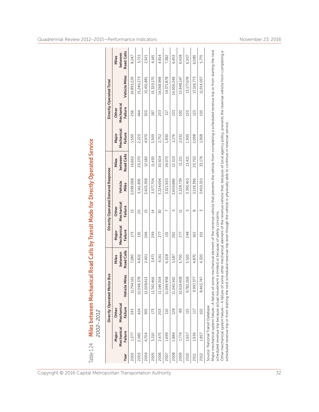| Table 1.24 |                                       | 2002–2012                                         | Miles between Mechanical Road Calls by Transit Mode for Directly Operated Service                                                                                                        |                                       |                                |                                   |                  |                                       |                                |                                |                                                                                                                                         |                                |
|------------|---------------------------------------|---------------------------------------------------|------------------------------------------------------------------------------------------------------------------------------------------------------------------------------------------|---------------------------------------|--------------------------------|-----------------------------------|------------------|---------------------------------------|--------------------------------|--------------------------------|-----------------------------------------------------------------------------------------------------------------------------------------|--------------------------------|
|            |                                       | Directly Operated Motor                           | <b>Bus</b>                                                                                                                                                                               |                                       |                                | Directly Operated Demand Response |                  |                                       |                                |                                | Directly Operated Total                                                                                                                 |                                |
| Year       | Mechanical<br><b>Failure</b><br>Major | Mechanical<br>Failure<br>Other                    | iles<br>Vehicle M                                                                                                                                                                        | <b>Road Calls</b><br>between<br>Miles | Mechanical<br>Failure<br>Major | Mechanical<br>Failure<br>Other    | Vehicle<br>Miles | <b>Road Calls</b><br>between<br>Miles | Mechanical<br>Failure<br>Major | Mechanical<br>Failure<br>Other | Vehicle Miles                                                                                                                           | Road Calls<br>between<br>Miles |
| 2002       | 1,377                                 | 243                                               | 61<br>11,794,1                                                                                                                                                                           | 7,280                                 | 173                            | 13                                | 3,099,068        | 16,662                                | 1,550                          | 256                            | 14,893,229                                                                                                                              | 8,247                          |
| 2003       | 2,085                                 | 424                                               | ğ<br>12,098,3                                                                                                                                                                            | 4,822                                 | 135                            | 20                                | 3,141,895        | 20,270                                | 2,220                          | 444                            | 15,240,273                                                                                                                              | 5,721                          |
| 2004       | 4,704                                 | 305                                               | N<br>12,028,6                                                                                                                                                                            | 2,401                                 | 266                            | $\overline{15}$                   | 3,423,268        | 12,182                                | 4,970                          | 320                            | 15,451,881                                                                                                                              | 2,921                          |
| 2005       | 3,210                                 | 173                                               | 11,742,466                                                                                                                                                                               | 3,471                                 | 299                            | $\overline{4}$                    | 3,577,704        | 11,430                                | 3,509                          | 187                            | 15,320,170                                                                                                                              | 4,145                          |
| 2006       | 2,475                                 | 203                                               | 11,144,304                                                                                                                                                                               | 4,161                                 | 277                            | 30                                | 3,224,694        | 10,504                                | 2,752                          | 233                            | 14,368,998                                                                                                                              | 4,814                          |
| 2007       | 1,699                                 | 110                                               | ஜ<br>11,049,95                                                                                                                                                                           | 6,108                                 | 131                            |                                   | 3,321,920        | 24,072                                | 1,830                          | 117                            | 14, 371, 878                                                                                                                            | 7,382                          |
| 2008       | 1,884                                 | 128                                               | 11,240,362                                                                                                                                                                               | 5,587                                 | 292                            | 5                                 | 3,659,886        | 12,323                                | 2,176                          | 133                            | 14,900,248                                                                                                                              | 6,453                          |
| 2009       | 1,774                                 | 89                                                | $\overline{\infty}$<br>10,619,40                                                                                                                                                         | 5,700                                 | 277                            | $\Xi$                             | 3,228,739        | 11,211                                | 2,051                          | 100                            | 13,848,147                                                                                                                              | 6,438                          |
| 2010       | 1,657                                 | 115                                               | $\frac{8}{2}$<br>9,782,26                                                                                                                                                                | 5,520                                 | 248                            | 5                                 | 3,395,410        | 13,421                                | 1,905                          | 120                            | 13,177,678                                                                                                                              | 6,507                          |
| 2011       | 1,936                                 | 117                                               | 9,997,377                                                                                                                                                                                | 4,870                                 | 162                            | $^{\circ}$                        | 3,519,396        | 20,702                                | 2,098                          | 125                            | 13,516,773                                                                                                                              | 6,080                          |
| 2012       | 1,857                                 | 102                                               | 8,463,747                                                                                                                                                                                | 4,320                                 | 101                            | $\mathsf{M}$                      | 3,450,310        | 33,176                                | 1,958                          | 105                            | 11,914,057                                                                                                                              | 5,775                          |
|            | Source: National Transit Database     |                                                   | Major mechanical system failure-A failure of some mechanical element of the revenue vehicle that prevents the vehicle from completing a scheduled revenue trip or from starting the next |                                       |                                |                                   |                  |                                       |                                |                                |                                                                                                                                         |                                |
|            |                                       |                                                   | scheduled revenue trip because actual movement is limited or because of safety concerns.                                                                                                 |                                       |                                |                                   |                  |                                       |                                |                                |                                                                                                                                         |                                |
|            |                                       | Other mechanical system failure - A failure of so | scheduled revenue trip or from starting the next scheduled revenue trip even though the vehicle is physically able to continue in revenue service.                                       |                                       |                                |                                   |                  |                                       |                                |                                | me other mechanical element of the revenue vehicle that, because of local agency policy, prevents the revenue vehicle from completing a |                                |

Copyright © 2016 Capital Metropolitan Transportation Authority 32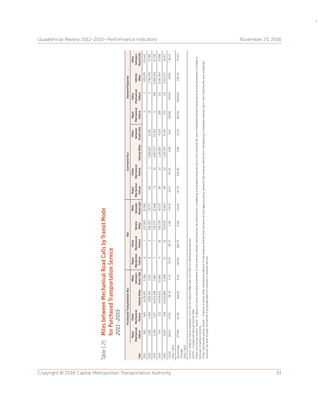|                                   |                             | 2011-2015                                 | Table 1.25 Miles between Mechanical Road Calls by Transit Mode<br>for Purchased Transportation Service                                                                                                                                                                                                                                                                                              |                                       |                                |                                |                  |                                       |                                |                                |                                                                                                                                                                                          |                                |                                |                                |                  |                                       |
|-----------------------------------|-----------------------------|-------------------------------------------|-----------------------------------------------------------------------------------------------------------------------------------------------------------------------------------------------------------------------------------------------------------------------------------------------------------------------------------------------------------------------------------------------------|---------------------------------------|--------------------------------|--------------------------------|------------------|---------------------------------------|--------------------------------|--------------------------------|------------------------------------------------------------------------------------------------------------------------------------------------------------------------------------------|--------------------------------|--------------------------------|--------------------------------|------------------|---------------------------------------|
|                                   |                             |                                           | Purchased Transportation Bus                                                                                                                                                                                                                                                                                                                                                                        |                                       |                                | Rail                           |                  |                                       |                                |                                | Commuter Bus                                                                                                                                                                             |                                |                                | <b>Demand Response</b>         |                  |                                       |
| Year                              | Failure<br>Major            | Mechanical Mechanical<br>Failure<br>Other | Vehicle Miles                                                                                                                                                                                                                                                                                                                                                                                       | <b>Road Calls</b><br>between<br>Miles | Mechanical<br>Failure<br>Major | Mechanical<br>Failure<br>Other | Vehicle<br>Miles | <b>Road Calls</b><br>between<br>Miles | Mechanical<br>Failure<br>Major | Mechanical<br>Failure<br>Other | Vehicle Miles                                                                                                                                                                            | Road Calls<br>between<br>Miles | Mechanical<br>Failure<br>Major | Mechanical<br>Failure<br>Other | Vehicle<br>Miles | <b>Road Calls</b><br>between<br>Miles |
| 2011                              | 963                         | 845                                       | 6,139,957                                                                                                                                                                                                                                                                                                                                                                                           | 3,396                                 | O                              | $\overline{a}$                 | 227,559          | 32,508                                |                                |                                |                                                                                                                                                                                          |                                | $\circ$                        | $\sim$                         | 422,879          | 211,440                               |
| 2012                              | 1,026                       | 1,096                                     | 5,859,140                                                                                                                                                                                                                                                                                                                                                                                           | 2,761                                 | G                              | O                              | 285,322          | 23,777                                | 128                            | M                              | 1,099,267                                                                                                                                                                                | 8,391                          | $\overline{a}$                 | S                              | 1,794,376        | 74,766                                |
| 2013                              | 2,156                       | 1,517                                     | 14,253,229                                                                                                                                                                                                                                                                                                                                                                                          | 3,881                                 |                                |                                | 331,075          | 23,648                                | 73                             | 32                             | 1,087,077                                                                                                                                                                                | 10,353                         | Ч                              | 180                            | 5,296,229        | 27,729                                |
| 2014                              | 414                         | 212                                       | 14,439,501                                                                                                                                                                                                                                                                                                                                                                                          | 23,066                                | 4                              | $\frac{1}{2}$                  | 330,739          | 16,537                                | 98                             | R                              | 1,118,267                                                                                                                                                                                | 9,319                          | 186                            | 122                            | 5,542,454        | 17,995                                |
| 2015                              | 4,902                       | 418                                       | 15,616,894                                                                                                                                                                                                                                                                                                                                                                                          | 2,936                                 | 15                             | $\frac{6}{1}$                  | 335,520          | 10,823                                | 99                             | 22                             | 1,130,597                                                                                                                                                                                | 9,344                          | 173                            | 131                            | 5,933,117        | 19,517                                |
| 2012-2015<br>CAGR                 | 68.4%                       | $-27.5%$                                  | 38.7%                                                                                                                                                                                                                                                                                                                                                                                               | 2.1%                                  | 35.7%                          | 38.7%                          | 5.6%             | $-23.1%$                              | $-8.2%$                        | 94.3%                          | 0.9%                                                                                                                                                                                     | 3.6%                           | 108.8%                         | 197.0%                         | 49.0%            | $-36.1%$                              |
| Percentage<br>2012-2015<br>Change | 377.8%                      | $-61.9%$                                  | 166.5%                                                                                                                                                                                                                                                                                                                                                                                              | 6.3%                                  | 150.0%                         | 166.7%                         | 17.6%            | $-54.5%$                              | $-22.7%$                       | 633.3%                         | 2.9%                                                                                                                                                                                     | 11.4%                          | 810.5%                         | 2520.0%                        | 230.7%           | $-73.9%$                              |
|                                   | because of safety concerns. | CAGR = Compound Annual Growth Rate        | Other mechanical system failure- A failure of some other mechanical element of the revenue vehicle that becaus or local agency policy, prevents the revenue vehicle from completing a scheduled revenue trip or from starting<br>Source: National Transit Database, Form S10 for Vehicle Miles and Form R20 for Mechanical Failures<br>Major mechanical system failure-A failure of some mechanical |                                       |                                |                                |                  |                                       |                                |                                | element of the revenue vehicle that prevents the vehicle from completing a scheduled revenue trip or from starting the next scheduled revenue trip because actual movement is limited or |                                |                                |                                |                  |                                       |
|                                   |                             |                                           | revenue trip even though the vehicle is physically able to continue in revenue service.                                                                                                                                                                                                                                                                                                             |                                       |                                |                                |                  |                                       |                                |                                |                                                                                                                                                                                          |                                |                                |                                |                  |                                       |

 $\overline{1}$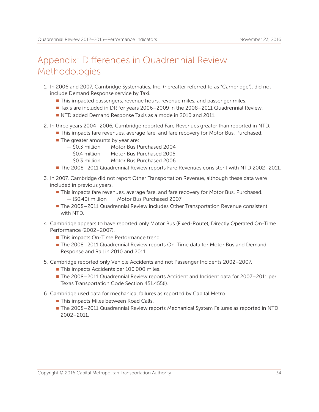## Appendix: Differences in Quadrennial Review **Methodologies**

- 1. In 2006 and 2007, Cambridge Systematics, Inc. (hereafter referred to as "Cambridge"), did not include Demand Response service by Taxi.
	- **This impacted passengers, revenue hours, revenue miles, and passenger miles.**
	- <sup>n</sup> Taxis are included in DR for years 2006–2009 in the 2008–2011 Quadrennial Review.
	- **NTD added Demand Response Taxis as a mode in 2010 and 2011.**
- 2. In three years 2004–2006, Cambridge reported Fare Revenues greater than reported in NTD.
	- This impacts fare revenues, average fare, and fare recovery for Motor Bus, Purchased.
	- $\blacksquare$  The greater amounts by year are:
		- \$0.3 million Motor Bus Purchased 2004
		- \$0.4 million Motor Bus Purchased 2005
		- \$0.3 million Motor Bus Purchased 2006
	- The 2008–2011 Quadrennial Review reports Fare Revenues consistent with NTD 2002–2011.
- 3. In 2007, Cambridge did not report Other Transportation Revenue, although these data were included in previous years.
	- This impacts fare revenues, average fare, and fare recovery for Motor Bus, Purchased. — (\$0.40) million Motor Bus Purchased 2007
	- <sup>n</sup> The 2008–2011 Quadrennial Review includes Other Transportation Revenue consistent with NTD.
- 4. Cambridge appears to have reported only Motor Bus (Fixed-Route), Directly Operated On-Time Performance (2002–2007).
	- **This impacts On-Time Performance trend.**
	- <sup>n</sup> The 2008–2011 Quadrennial Review reports On-Time data for Motor Bus and Demand Response and Rail in 2010 and 2011.
- 5. Cambridge reported only Vehicle Accidents and not Passenger Incidents 2002–2007.
	- This impacts Accidents per 100,000 miles.
	- <sup>n</sup> The 2008–2011 Quadrennial Review reports Accident and Incident data for 2007–2011 per Texas Transportation Code Section 451.455(i).
- 6. Cambridge used data for mechanical failures as reported by Capital Metro.
	- **This impacts Miles between Road Calls.**
	- The 2008-2011 Quadrennial Review reports Mechanical System Failures as reported in NTD 2002–2011.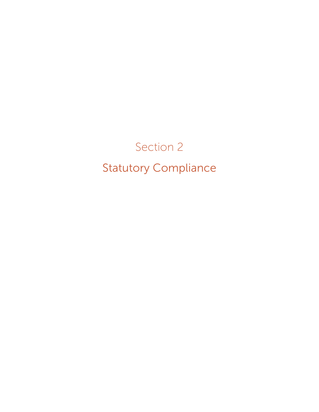# Section 2 Statutory Compliance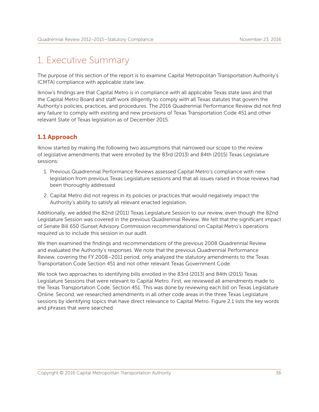## 1. Executive Summary

The purpose of this section of the report is to examine Capital Metropolitan Transportation Authority's (CMTA) compliance with applicable state law.

Iknow's findings are that Capital Metro is in compliance with all applicable Texas state laws and that the Capital Metro Board and staff work diligently to comply with all Texas statutes that govern the Authority's policies, practices, and procedures. The 2016 Quadrennial Performance Review did not find any failure to comply with existing and new provisions of Texas Transportation Code 451 and other relevant State of Texas legislation as of December 2015.

## 1.1 Approach

Iknow started by making the following two assumptions that narrowed our scope to the review of legislative amendments that were enrolled by the 83rd (2013) and 84th (2015) Texas Legislature sessions:

- 1. Previous Quadrennial Performance Reviews assessed Capital Metro's compliance with new legislation from previous Texas Legislature sessions and that all issues raised in those reviews had been thoroughly addressed
- 2. Capital Metro did not regress in its policies or practices that would negatively impact the Authority's ability to satisfy all relevant enacted legislation.

Additionally, we added the 82nd (2011) Texas Legislature Session to our review, even though the 82nd Legislature Session was covered in the previous Quadrennial Review. We felt that the significant impact of Senate Bill 650 (Sunset Advisory Commission recommendations) on Capital Metro's operations required us to include this session in our audit.

We then examined the findings and recommendations of the previous 2008 Quadrennial Review and evaluated the Authority's responses. We note that the previous Quadrennial Performance Review, covering the FY 2008–2011 period, only analyzed the statutory amendments to the Texas Transportation Code Section 451 and not other relevant Texas Government Code.

We took two approaches to identifying bills enrolled in the 83rd (2013) and 84th (2015) Texas Legislature Sessions that were relevant to Capital Metro. First, we reviewed all amendments made to the Texas Transportation Code, Section 451. This was done by reviewing each bill on Texas Legislature Online. Second, we researched amendments in all other code areas in the three Texas Legislature sessions by identifying topics that have direct relevance to Capital Metro. Figure 2.1 lists the key words and phrases that were searched.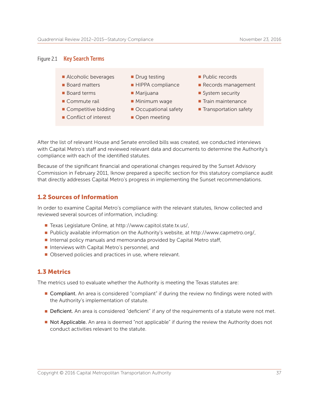#### Figure 2.1 **Key Search Terms**

- **n** Alcoholic beverages **n** Drug testing **n** Public records
- -
	-
- 
- 
- 
- 
- 
- -
- Conflict of interest Open meeting
- 
- **Board matters General HIPPA compliance General Records management**
- Board terms **N** Marijuana n System security
- **n** Commute rail **n** Minimum wage **n** Train maintenance
- Competitive bidding Occupational safety Transportation safety

After the list of relevant House and Senate enrolled bills was created, we conducted interviews with Capital Metro's staff and reviewed relevant data and documents to determine the Authority's compliance with each of the identified statutes.

Because of the significant financial and operational changes required by the Sunset Advisory Commission in February 2011, Iknow prepared a specific section for this statutory compliance audit that directly addresses Capital Metro's progress in implementing the Sunset recommendations.

#### 1.2 Sources of Information

In order to examine Capital Metro's compliance with the relevant statutes, Iknow collected and reviewed several sources of information, including:

- Texas Legislature Online, at http://www.capitol.state.tx.us/,
- <sup>n</sup> Publicly available information on the Authority's website, at http://www.capmetro.org/,
- Internal policy manuals and memoranda provided by Capital Metro staff,
- Interviews with Capital Metro's personnel, and
- Observed policies and practices in use, where relevant.

### 1.3 Metrics

The metrics used to evaluate whether the Authority is meeting the Texas statutes are:

- **Compliant.** An area is considered "compliant" if during the review no findings were noted with the Authority's implementation of statute.
- **Deficient**. An area is considered "deficient" if any of the requirements of a statute were not met.
- **Not Applicable.** An area is deemed "not applicable" if during the review the Authority does not conduct activities relevant to the statute.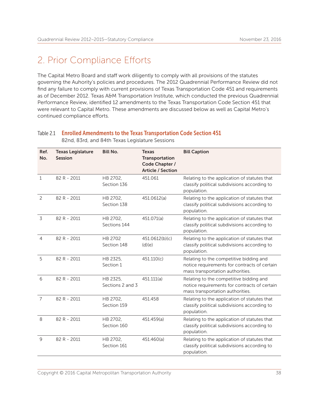## 2. Prior Compliance Efforts

The Capital Metro Board and staff work diligently to comply with all provisions of the statutes governing the Auhority's policies and procedures. The 2012 Quadrennial Performance Review did not find any failure to comply with current provisions of Texas Transportation Code 451 and requirements as of December 2012. Texas A&M Transportation Institute, which conducted the previous Quadrennial Performance Review, identified 12 amendments to the Texas Transportation Code Section 451 that were relevant to Capital Metro. These amendments are discussed below as well as Capital Metro's continued compliance efforts.

| Ref.<br>No.    | <b>Texas Legislature</b><br><b>Session</b> | <b>Bill No.</b>              | <b>Texas</b><br>Transportation<br>Code Chapter /<br><b>Article / Section</b> | <b>Bill Caption</b>                                                                                                         |
|----------------|--------------------------------------------|------------------------------|------------------------------------------------------------------------------|-----------------------------------------------------------------------------------------------------------------------------|
| $\mathbf{1}$   | 82 R - 2011                                | HB 2702,<br>Section 136      | 451.061                                                                      | Relating to the application of statutes that<br>classify political subdivisions according to<br>population.                 |
| $\overline{c}$ | 82 R - 2011                                | HB 2702,<br>Section 138      | 451.0612(a)                                                                  | Relating to the application of statutes that<br>classify political subdivisions according to<br>population.                 |
| 3              | 82 R - 2011                                | HB 2702,<br>Sections 144     | 451.071(a)                                                                   | Relating to the application of statutes that<br>classify political subdivisions according to<br>population.                 |
| $\overline{4}$ | 82 R - 2011                                | HB 2702<br>Section 148       | 451.0612(b)(c)<br>(d)(e)                                                     | Relating to the application of statutes that<br>classify political subdivisions according to<br>population.                 |
| 5              | 82 R - 2011                                | HB 2325,<br>Section 1        | 451.110(c)                                                                   | Relating to the competitive bidding and<br>notice requirements for contracts of certain<br>mass transportation authorities. |
| 6              | 82 R - 2011                                | HB 2325.<br>Sections 2 and 3 | 451.111(a)                                                                   | Relating to the competitive bidding and<br>notice requirements for contracts of certain<br>mass transportation authorities. |
| $\overline{7}$ | 82 R - 2011                                | HB 2702,<br>Section 159      | 451.458                                                                      | Relating to the application of statutes that<br>classify political subdivisions according to<br>population.                 |
| 8              | 82 R - 2011                                | HB 2702.<br>Section 160      | 451.459(a)                                                                   | Relating to the application of statutes that<br>classify political subdivisions according to<br>population.                 |
| 9              | 82 R - 2011                                | HB 2702,<br>Section 161      | 451.460(a)                                                                   | Relating to the application of statutes that<br>classify political subdivisions according to<br>population.                 |

Table 2.1 Enrolled Amendments to the Texas Transportation Code Section 451 82nd, 83rd, and 84th Texas Legislature Sessions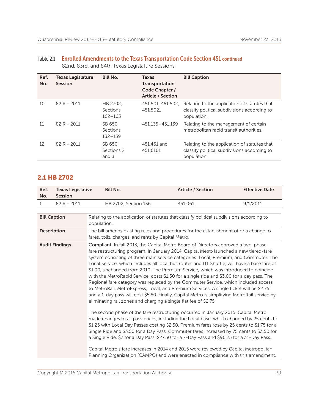| Ref.<br>No. | Texas Legislature<br><b>Session</b> | <b>Bill No.</b>                            | <b>Texas</b><br>Transportation<br>Code Chapter /<br><b>Article / Section</b> | <b>Bill Caption</b>                                                                                         |
|-------------|-------------------------------------|--------------------------------------------|------------------------------------------------------------------------------|-------------------------------------------------------------------------------------------------------------|
| 10          | $82 R - 2011$                       | HB 2702.<br><b>Sections</b><br>$162 - 163$ | 451.501, 451.502.<br>451.5021                                                | Relating to the application of statutes that<br>classify political subdivisions according to<br>population. |
| 11          | 82 R - 2011                         | SB 650.<br><b>Sections</b><br>$132 - 139$  | 451.135 - 451.139                                                            | Relating to the management of certain<br>metropolitan rapid transit authorities.                            |
| 12          | 82 R - 2011                         | SB 650,<br>Sections 2<br>and 3             | 451.461 and<br>451.6101                                                      | Relating to the application of statutes that<br>classify political subdivisions according to<br>population. |

| Table 2.1 Enrolled Amendments to the Texas Transportation Code Section 451 continued |
|--------------------------------------------------------------------------------------|
| 82nd, 83rd, and 84th Texas Legislature Sessions                                      |

### 2.1 HB 2702

| Ref.<br>No.  | <b>Texas Legislative</b><br><b>Session</b> | <b>Bill No.</b>                                                                                                                                                                                                                                                                                                                                                                                                                                                                                                                                                                                                                                                                                                                                                                                                                                                                                                                                                                                                                                                                                                                                                                                                                                                                                                                                                                                                                                                                                                                                                        | <b>Article / Section</b> | <b>Effective Date</b> |
|--------------|--------------------------------------------|------------------------------------------------------------------------------------------------------------------------------------------------------------------------------------------------------------------------------------------------------------------------------------------------------------------------------------------------------------------------------------------------------------------------------------------------------------------------------------------------------------------------------------------------------------------------------------------------------------------------------------------------------------------------------------------------------------------------------------------------------------------------------------------------------------------------------------------------------------------------------------------------------------------------------------------------------------------------------------------------------------------------------------------------------------------------------------------------------------------------------------------------------------------------------------------------------------------------------------------------------------------------------------------------------------------------------------------------------------------------------------------------------------------------------------------------------------------------------------------------------------------------------------------------------------------------|--------------------------|-----------------------|
| $\mathbf{1}$ | 82 R - 2011                                | HB 2702, Section 136                                                                                                                                                                                                                                                                                                                                                                                                                                                                                                                                                                                                                                                                                                                                                                                                                                                                                                                                                                                                                                                                                                                                                                                                                                                                                                                                                                                                                                                                                                                                                   | 451.061                  | 9/1/2011              |
|              |                                            |                                                                                                                                                                                                                                                                                                                                                                                                                                                                                                                                                                                                                                                                                                                                                                                                                                                                                                                                                                                                                                                                                                                                                                                                                                                                                                                                                                                                                                                                                                                                                                        |                          |                       |
|              | <b>Bill Caption</b>                        | Relating to the application of statutes that classify political subdivisions according to<br>population.                                                                                                                                                                                                                                                                                                                                                                                                                                                                                                                                                                                                                                                                                                                                                                                                                                                                                                                                                                                                                                                                                                                                                                                                                                                                                                                                                                                                                                                               |                          |                       |
|              | <b>Description</b>                         | The bill amends existing rules and procedures for the establishment of or a change to<br>fares, tolls, charges, and rents by Capital Metro.                                                                                                                                                                                                                                                                                                                                                                                                                                                                                                                                                                                                                                                                                                                                                                                                                                                                                                                                                                                                                                                                                                                                                                                                                                                                                                                                                                                                                            |                          |                       |
|              | <b>Audit Findings</b>                      | Compliant. In fall 2013, the Capital Metro Board of Directors approved a two-phase<br>fare restructuring program. In January 2014, Capital Metro launched a new tiered-fare<br>system consisting of three main service categories: Local, Premium, and Commuter. The<br>Local Service, which includes all local bus routes and UT Shuttle, will have a base fare of<br>\$1.00, unchanged from 2010. The Premium Service, which was introduced to coincide<br>with the MetroRapid Service, costs \$1.50 for a single ride and \$3.00 for a day pass. The<br>Regional fare category was replaced by the Commuter Service, which included access<br>to MetroRail, MetroExpress, Local, and Premium Services. A single ticket will be \$2.75<br>and a 1-day pass will cost \$5.50. Finally, Capital Metro is simplifying MetroRail service by<br>eliminating rail zones and charging a single flat fee of \$2.75.<br>The second phase of the fare restructuring occurred in January 2015. Capital Metro<br>made changes to all pass prices, including the Local base, which changed by 25 cents to<br>\$1.25 with Local Day Passes costing \$2.50. Premium fares rose by 25 cents to \$1.75 for a<br>Single Ride and \$3.50 for a Day Pass. Commuter fares increased by 75 cents to \$3.50 for<br>a Single Ride, \$7 for a Day Pass, \$27.50 for a 7-Day Pass and \$96.25 for a 31-Day Pass.<br>Capital Metro's fare increases in 2014 and 2015 were reviewed by Capital Metropolitan<br>Planning Organization (CAMPO) and were enacted in compliance with this amendment. |                          |                       |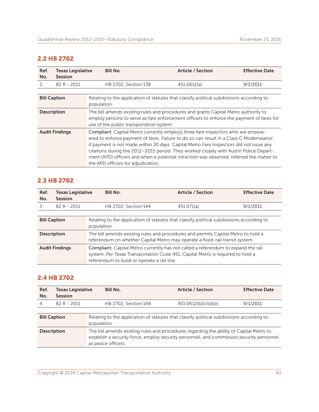## 2.2 HB 2702

| Ref.<br>No.         | <b>Texas Legislative</b><br><b>Session</b> | <b>Bill No.</b>                                                                                                                                                                                                                                                                                                                                                                                                                                                                                | <b>Article / Section</b> | <b>Effective Date</b> |
|---------------------|--------------------------------------------|------------------------------------------------------------------------------------------------------------------------------------------------------------------------------------------------------------------------------------------------------------------------------------------------------------------------------------------------------------------------------------------------------------------------------------------------------------------------------------------------|--------------------------|-----------------------|
| 2                   | 82 R - 2011                                | HB 2702, Section 138                                                                                                                                                                                                                                                                                                                                                                                                                                                                           | 451.0612(a)              | 9/1/2011              |
|                     |                                            |                                                                                                                                                                                                                                                                                                                                                                                                                                                                                                |                          |                       |
| <b>Bill Caption</b> |                                            | Relating to the application of statutes that classify political subdivisions according to<br>population.                                                                                                                                                                                                                                                                                                                                                                                       |                          |                       |
| <b>Description</b>  |                                            | The bill amends existing rules and procedures and grants Capital Metro authority to<br>employ persons to serve as fare enforcement officers to enforce the payment of fares for<br>use of the public transportation system.                                                                                                                                                                                                                                                                    |                          |                       |
|                     | <b>Audit Findings</b>                      | Compliant. Capital Metro currently employs three fare inspectors who are empow-<br>ered to enforce payment of fares. Failure to do so can result in a Class C Misdemeanor<br>if payment is not made within 30 days. Capital Metro Fare Inspectors did not issue any<br>citations during the 2012-2015 period. They worked closely with Austin Police Depart-<br>ment (APD) officers and when a potential infraction was observed, referred the matter to<br>the APD officers for adjudication. |                          |                       |

### 2.3 HB 2702

| Ref.<br>No.         | <b>Texas Legislative</b><br><b>Session</b> | <b>Bill No.</b>                                                                                                                                                                                                    | <b>Article / Section</b> | <b>Effective Date</b> |
|---------------------|--------------------------------------------|--------------------------------------------------------------------------------------------------------------------------------------------------------------------------------------------------------------------|--------------------------|-----------------------|
| 3                   | 82 R - 2011                                | HB 2702, Section 144                                                                                                                                                                                               | 451.071(a)               | 9/1/2011              |
|                     |                                            |                                                                                                                                                                                                                    |                          |                       |
| <b>Bill Caption</b> |                                            | Relating to the application of statutes that classify political subdivisions according to<br>population.                                                                                                           |                          |                       |
| <b>Description</b>  |                                            | The bill amends existing rules and procedures and permits Capital Metro to hold a<br>referendum on whether Capital Metro may operate a fixed-rail transit system.                                                  |                          |                       |
|                     | <b>Audit Findings</b>                      | Compliant. Capital Metro currently has not called a referendum to expand the rail<br>system. Per Texas Transportation Code 451, Capital Metro is required to hold a<br>referendum to build or operate a rail line. |                          |                       |

## 2.4 HB 2702

| Ref.<br>No.         | <b>Texas Legislative</b><br><b>Session</b> | <b>Bill No.</b>                                                                                                                                                                                           | <b>Article / Section</b> | <b>Effective Date</b> |
|---------------------|--------------------------------------------|-----------------------------------------------------------------------------------------------------------------------------------------------------------------------------------------------------------|--------------------------|-----------------------|
| 4                   | 82 R - 2011                                | HB 2702, Section 148                                                                                                                                                                                      | 451.0612(b)(c)(d)(e)     | 9/1/2011              |
|                     |                                            |                                                                                                                                                                                                           |                          |                       |
| <b>Bill Caption</b> |                                            | Relating to the application of statutes that classify political subdivisions according to<br>population.                                                                                                  |                          |                       |
| <b>Description</b>  |                                            | The bill amends existing rules and procedures regarding the ability of Capital Metro to<br>establish a security force, employ security personnel, and commission security personnel<br>as peace officers. |                          |                       |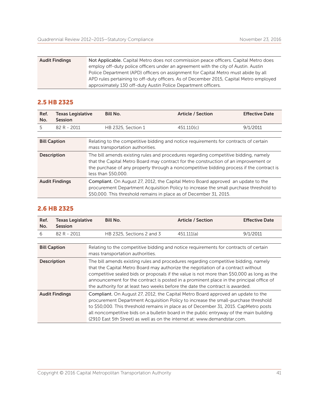| <b>Audit Findings</b> | Not Applicable. Capital Metro does not commission peace officers. Capital Metro does   |
|-----------------------|----------------------------------------------------------------------------------------|
|                       | employ off-duty police officers under an agreement with the city of Austin. Austin     |
|                       | Police Department (APD) officers on assignment for Capital Metro must abide by all     |
|                       | APD rules pertaining to off-duty officers. As of December 2015, Capital Metro employed |
|                       | approximately 130 off-duty Austin Police Department officers.                          |

### 2.5 HB 2325

| Ref.<br>No.         | Texas Legislative<br>Session | <b>Bill No.</b>                  | <b>Article / Section</b>                                                                                                                                                                                                                                               | <b>Effective Date</b> |
|---------------------|------------------------------|----------------------------------|------------------------------------------------------------------------------------------------------------------------------------------------------------------------------------------------------------------------------------------------------------------------|-----------------------|
| 5                   | 82 R - 2011                  | HB 2325, Section 1               | 451.110(c)                                                                                                                                                                                                                                                             | 9/1/2011              |
|                     |                              |                                  |                                                                                                                                                                                                                                                                        |                       |
| <b>Bill Caption</b> |                              | mass transportation authorities. | Relating to the competitive bidding and notice requirements for contracts of certain                                                                                                                                                                                   |                       |
| <b>Description</b>  |                              | less than \$50,000.              | The bill amends existing rules and procedures regarding competitive bidding, namely<br>that the Capital Metro Board may contract for the construction of an improvement or<br>the purchase of any property through a noncompetitive bidding process if the contract is |                       |
|                     | <b>Audit Findings</b>        |                                  | <b>Compliant.</b> On August 27, 2012, the Capital Metro Board approved an update to the<br>procurement Department Acquisition Policy to increase the small purchase threshold to<br>\$50,000. This threshold remains in place as of December 31, 2015.                 |                       |

### 2.6 HB 2325

| Ref.<br>No.         | Texas Legislative<br><b>Session</b> | <b>Bill No.</b>                                                                                                                                                                                                                                                                                                                                                                                                                                   | <b>Article / Section</b> | <b>Effective Date</b> |
|---------------------|-------------------------------------|---------------------------------------------------------------------------------------------------------------------------------------------------------------------------------------------------------------------------------------------------------------------------------------------------------------------------------------------------------------------------------------------------------------------------------------------------|--------------------------|-----------------------|
| 6                   | 82 R - 2011                         | HB 2325, Sections 2 and 3                                                                                                                                                                                                                                                                                                                                                                                                                         | 451.111(a)               | 9/1/2011              |
| <b>Bill Caption</b> |                                     | Relating to the competitive bidding and notice requirements for contracts of certain<br>mass transportation authorities.                                                                                                                                                                                                                                                                                                                          |                          |                       |
| <b>Description</b>  |                                     | The bill amends existing rules and procedures regarding competitive bidding, namely<br>that the Capital Metro Board may authorize the negotiation of a contract without<br>competitive sealed bids or proposals if the value is not more than \$50,000 as long as the<br>announcement for the contract is posted in a prominent place in the principal office of<br>the authority for at least two weeks before the date the contract is awarded. |                          |                       |
|                     | <b>Audit Findings</b>               | Compliant. On August 27, 2012, the Capital Metro Board approved an update to the<br>procurement Department Acquisition Policy to increase the small-purchase threshold<br>to \$50,000. This threshold remains in place as of December 31, 2015. CapMetro posts<br>all noncompetitive bids on a bulletin board in the public entryway of the main building<br>(2910 East 5th Street) as well as on the internet at: www.demandstar.com.            |                          |                       |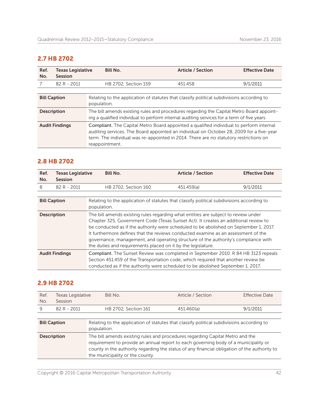## 2.7 HB 2702

| Ref.<br>No.                                                                                                                                                                                                                                                                                                             | <b>Texas Legislative</b><br>Session | <b>Bill No.</b>                                                                                          | <b>Article / Section</b> | <b>Effective Date</b> |
|-------------------------------------------------------------------------------------------------------------------------------------------------------------------------------------------------------------------------------------------------------------------------------------------------------------------------|-------------------------------------|----------------------------------------------------------------------------------------------------------|--------------------------|-----------------------|
|                                                                                                                                                                                                                                                                                                                         | 82 R - 2011                         | HB 2702, Section 159                                                                                     | 451.458                  | 9/1/2011              |
|                                                                                                                                                                                                                                                                                                                         |                                     |                                                                                                          |                          |                       |
| <b>Bill Caption</b>                                                                                                                                                                                                                                                                                                     |                                     | Relating to the application of statutes that classify political subdivisions according to<br>population. |                          |                       |
| The bill amends existing rules and procedures regarding the Capital Metro Board appoint-<br><b>Description</b><br>ing a qualified individual to perform internal auditing services for a term of five years.                                                                                                            |                                     |                                                                                                          |                          |                       |
| Compliant. The Capital Metro Board appointed a qualified individual to perform internal<br><b>Audit Findings</b><br>auditing services. The Board appointed an individual on October 28, 2009 for a five-year<br>term. The individual was re-appointed in 2014. There are no statutory restrictions on<br>reappointment. |                                     |                                                                                                          |                          |                       |

## 2.8 HB 2702

| Ref.<br>No.           | <b>Texas Legislative</b><br><b>Session</b> | <b>Bill No.</b>                                                                                                                                                                                                                                                                                                                                                                                                                                                                                               | <b>Article / Section</b>                                                                                                                                                                                                                                   | <b>Effective Date</b> |  |
|-----------------------|--------------------------------------------|---------------------------------------------------------------------------------------------------------------------------------------------------------------------------------------------------------------------------------------------------------------------------------------------------------------------------------------------------------------------------------------------------------------------------------------------------------------------------------------------------------------|------------------------------------------------------------------------------------------------------------------------------------------------------------------------------------------------------------------------------------------------------------|-----------------------|--|
| 8                     | 82 R - 2011                                | HB 2702, Section 160                                                                                                                                                                                                                                                                                                                                                                                                                                                                                          | 451.459(a)                                                                                                                                                                                                                                                 | 9/1/2011              |  |
|                       |                                            |                                                                                                                                                                                                                                                                                                                                                                                                                                                                                                               |                                                                                                                                                                                                                                                            |                       |  |
| <b>Bill Caption</b>   |                                            | Relating to the application of statutes that classify political subdivisions according to<br>population.                                                                                                                                                                                                                                                                                                                                                                                                      |                                                                                                                                                                                                                                                            |                       |  |
| <b>Description</b>    |                                            | The bill amends existing rules regarding what entities are subject to review under<br>Chapter 325, Government Code (Texas Sunset Act). It creates an additional review to<br>be conducted as if the authority were scheduled to be abolished on September 1, 2017.<br>It furthermore defines that the reviews conducted examine as an assessment of the<br>governance, management, and operating structure of the authority's compliance with<br>the duties and requirements placed on it by the legislature. |                                                                                                                                                                                                                                                            |                       |  |
| <b>Audit Findings</b> |                                            |                                                                                                                                                                                                                                                                                                                                                                                                                                                                                                               | Compliant. The Sunset Review was completed in September 2010. R 84 HB 3123 repeals<br>Section 451.459 of the Transportation code, which required that another review be<br>conducted as if the authority were scheduled to be abolished September 1, 2017. |                       |  |

## 2.9 HB 2702

| Ref.<br>No.         | Texas Legislative<br>Session | Bill No.                                                                                                 | Article / Section                                                                                                                                                                                                                                                    | <b>Effective Date</b> |  |
|---------------------|------------------------------|----------------------------------------------------------------------------------------------------------|----------------------------------------------------------------------------------------------------------------------------------------------------------------------------------------------------------------------------------------------------------------------|-----------------------|--|
| 9                   | 82 R - 2011                  | HB 2702, Section 161                                                                                     | 451.460(a)                                                                                                                                                                                                                                                           | 9/1/2011              |  |
|                     |                              |                                                                                                          |                                                                                                                                                                                                                                                                      |                       |  |
| <b>Bill Caption</b> |                              | Relating to the application of statutes that classify political subdivisions according to<br>population. |                                                                                                                                                                                                                                                                      |                       |  |
| <b>Description</b>  |                              | the municipality or the county.                                                                          | The bill amends existing rules and procedures regarding Capital Metro and the<br>requirement to provide an annual report to each governing body of a municipality or<br>county in the authority regarding the status of any financial obligation of the authority to |                       |  |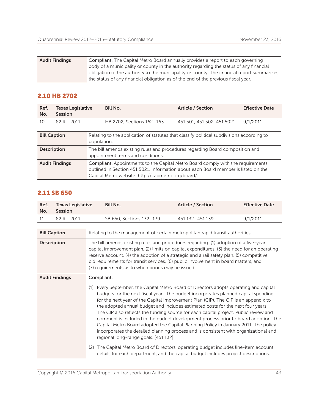| <b>Audit Findings</b> | Compliant. The Capital Metro Board annually provides a report to each governing            |
|-----------------------|--------------------------------------------------------------------------------------------|
|                       | body of a municipality or county in the authority regarding the status of any financial    |
|                       | obligation of the authority to the municipality or county. The financial report summarizes |
|                       | the status of any financial obligation as of the end of the previous fiscal year.          |

## 2.10 HB 2702

| Ref.<br>No.           | <b>Texas Legislative</b><br><b>Session</b> | Bill No.                                                                                                           | <b>Article / Section</b>                                                                                                                                                                                                           | <b>Effective Date</b> |  |
|-----------------------|--------------------------------------------|--------------------------------------------------------------------------------------------------------------------|------------------------------------------------------------------------------------------------------------------------------------------------------------------------------------------------------------------------------------|-----------------------|--|
| 10                    | $82 R - 2011$                              | HB 2702, Sections 162-163                                                                                          | 451.501, 451.502, 451.5021                                                                                                                                                                                                         | 9/1/2011              |  |
| <b>Bill Caption</b>   |                                            | population.                                                                                                        | Relating to the application of statutes that classify political subdivisions according to                                                                                                                                          |                       |  |
| <b>Description</b>    |                                            | The bill amends existing rules and procedures regarding Board composition and<br>appointment terms and conditions. |                                                                                                                                                                                                                                    |                       |  |
| <b>Audit Findings</b> |                                            |                                                                                                                    | <b>Compliant.</b> Appointments to the Capital Metro Board comply with the requirements<br>outlined in Section 451,5021. Information about each Board member is listed on the<br>Capital Metro website: http://capmetro.org/board/. |                       |  |

### 2.11 SB 650

| Ref.<br>No.                                                                                                                                                                                                                                                                                                                                                                                                                                      | <b>Texas Legislative</b><br><b>Session</b> | <b>Bill No.</b>                                                                                                                                                                                                                                                                                                                                                                                                                                                                                                                                                                                                                                                                                                                                               | <b>Article / Section</b> | <b>Effective Date</b> |
|--------------------------------------------------------------------------------------------------------------------------------------------------------------------------------------------------------------------------------------------------------------------------------------------------------------------------------------------------------------------------------------------------------------------------------------------------|--------------------------------------------|---------------------------------------------------------------------------------------------------------------------------------------------------------------------------------------------------------------------------------------------------------------------------------------------------------------------------------------------------------------------------------------------------------------------------------------------------------------------------------------------------------------------------------------------------------------------------------------------------------------------------------------------------------------------------------------------------------------------------------------------------------------|--------------------------|-----------------------|
| 11                                                                                                                                                                                                                                                                                                                                                                                                                                               | 82 R - 2011                                | SB 650, Sections 132-139                                                                                                                                                                                                                                                                                                                                                                                                                                                                                                                                                                                                                                                                                                                                      | 451.132-451.139          | 9/1/2011              |
| <b>Bill Caption</b>                                                                                                                                                                                                                                                                                                                                                                                                                              |                                            | Relating to the management of certain metropolitan rapid transit authorities.                                                                                                                                                                                                                                                                                                                                                                                                                                                                                                                                                                                                                                                                                 |                          |                       |
| The bill amends existing rules and procedures regarding: (1) adoption of a five-year<br><b>Description</b><br>capital improvement plan, (2) limits on capital expenditures, (3) the need for an operating<br>reserve account, (4) the adoption of a strategic and a rail safety plan, (5) competitive<br>bid requirements for transit services, (6) public involvement in board matters, and<br>(7) requirements as to when bonds may be issued. |                                            |                                                                                                                                                                                                                                                                                                                                                                                                                                                                                                                                                                                                                                                                                                                                                               |                          |                       |
|                                                                                                                                                                                                                                                                                                                                                                                                                                                  | <b>Audit Findings</b>                      | Compliant.                                                                                                                                                                                                                                                                                                                                                                                                                                                                                                                                                                                                                                                                                                                                                    |                          |                       |
|                                                                                                                                                                                                                                                                                                                                                                                                                                                  |                                            | Every September, the Capital Metro Board of Directors adopts operating and capital<br>(1)<br>budgets for the next fiscal year. The budget incorporates planned capital spending<br>for the next year of the Capital Improvement Plan (CIP). The CIP is an appendix to<br>the adopted annual budget and includes estimated costs for the next four years.<br>The CIP also reflects the funding source for each capital project. Public review and<br>comment is included in the budget development process prior to board adoption. The<br>Capital Metro Board adopted the Capital Planning Policy in January 2011. The policy<br>incorporates the detailed planning process and is consistent with organizational and<br>regional long-range goals. [451.132] |                          |                       |
|                                                                                                                                                                                                                                                                                                                                                                                                                                                  |                                            | The Capital Metro Board of Directors' operating budget includes line-item account<br>(2)<br>details for each department, and the capital budget includes project descriptions,                                                                                                                                                                                                                                                                                                                                                                                                                                                                                                                                                                                |                          |                       |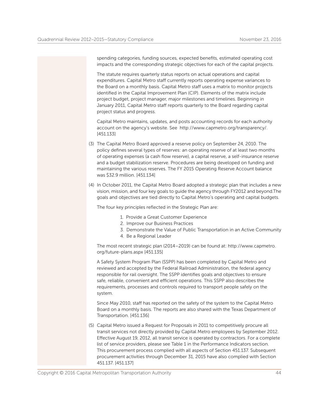spending categories, funding sources, expected benefits, estimated operating cost impacts and the corresponding strategic objectives for each of the capital projects.

 The statute requires quarterly status reports on actual operations and capital expenditures. Capital Metro staff currently reports operating expense variances to the Board on a monthly basis. Capital Metro staff uses a matrix to monitor projects identified in the Capital Improvement Plan (CIP). Elements of the matrix include project budget, project manager, major milestones and timelines. Beginning in January 2011, Capital Metro staff reports quarterly to the Board regarding capital project status and progress.

 Capital Metro maintains, updates, and posts accounting records for each authority account on the agency's website. See http://www.capmetro.org/transparency/. [451.133]

- (3) The Capital Metro Board approved a reserve policy on September 24, 2010. The policy defines several types of reserves: an operating reserve of at least two months of operating expenses (a cash flow reserve), a capital reserve, a self-insurance reserve and a budget stabilization reserve. Procedures are being developed on funding and maintaining the various reserves. The FY 2015 Operating Reserve Account balance was \$32.9 million. [451.134]
- (4) In October 2011, the Capital Metro Board adopted a strategic plan that includes a new vision, mission, and four key goals to guide the agency through FY2012 and beyond.The goals and objectives are tied directly to Capital Metro's operating and capital budgets.

The four key principles reflected in the Strategic Plan are:

- 1. Provide a Great Customer Experience
- 2. Improve our Business Practices
- 3. Demonstrate the Value of Public Transportation in an Active Community
- 4. Be a Regional Leader

 The most recent strategic plan (2014–2019) can be found at: http://www.capmetro. org/future-plans.aspx [451.135]

 A Safety System Program Plan (SSPP) has been completed by Capital Metro and reviewed and accepted by the Federal Railroad Administration, the federal agency responsible for rail oversight. The SSPP identifies goals and objectives to ensure safe, reliable, convenient and efficient operations. This SSPP also describes the requirements, processes and controls required to transport people safely on the system.

 Since May 2010, staff has reported on the safety of the system to the Capital Metro Board on a monthly basis. The reports are also shared with the Texas Department of Transportation. [451.136]

(5) Capital Metro issued a Request for Proposals in 2011 to competitively procure all transit services not directly provided by Capital Metro employees by September 2012. Effective August 19, 2012, all transit service is operated by contractors. For a complete list of service providers, please see Table 1 in the Performance Indicators section. This procurement process complied with all aspects of Section 451.137. Subsequent procurement activities through December 31, 2015 have also complied with Section 451.137. [451.137]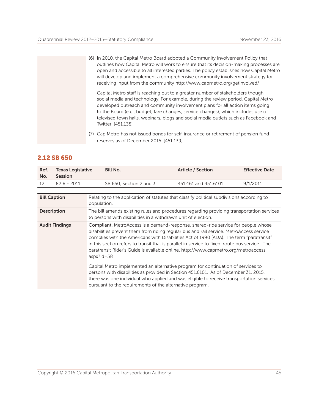(6) In 2010, the Capital Metro Board adopted a Community Involvement Policy that outlines how Capital Metro will work to ensure that its decision-making processes are open and accessible to all interested parties. The policy establishes how Capital Metro will develop and implement a comprehensive community involvement strategy for receiving input from the community http://www.capmetro.org/getinvolved/

 Capital Metro staff is reaching out to a greater number of stakeholders though social media and technology. For example, during the review period, Capital Metro developed outreach and community involvement plans for all action items going to the Board (e.g., budget, fare changes, service changes), which includes use of televised town halls, webinars, blogs and social media outlets such as Facebook and Twitter. [451.138]

(7) Cap Metro has not issued bonds for self-insurance or retirement of pension fund reserves as of December 2015. [451.139]

### 2.12 SB 650

| Ref.<br>No.                                                                                                                                                                      | <b>Texas Legislative</b><br><b>Session</b> | <b>Bill No.</b>                                                                                                                                                                                                                                                                                                                                                                                                                                                                  | <b>Article / Section</b> | <b>Effective Date</b> |
|----------------------------------------------------------------------------------------------------------------------------------------------------------------------------------|--------------------------------------------|----------------------------------------------------------------------------------------------------------------------------------------------------------------------------------------------------------------------------------------------------------------------------------------------------------------------------------------------------------------------------------------------------------------------------------------------------------------------------------|--------------------------|-----------------------|
| 12                                                                                                                                                                               | 82 R - 2011                                | SB 650, Section 2 and 3                                                                                                                                                                                                                                                                                                                                                                                                                                                          | 451.461 and 451.6101     | 9/1/2011              |
|                                                                                                                                                                                  |                                            |                                                                                                                                                                                                                                                                                                                                                                                                                                                                                  |                          |                       |
| <b>Bill Caption</b>                                                                                                                                                              |                                            | Relating to the application of statutes that classify political subdivisions according to<br>population.                                                                                                                                                                                                                                                                                                                                                                         |                          |                       |
| The bill amends existing rules and procedures regarding providing transportation services<br><b>Description</b><br>to persons with disabilities in a withdrawn unit of election. |                                            |                                                                                                                                                                                                                                                                                                                                                                                                                                                                                  |                          |                       |
| <b>Audit Findings</b>                                                                                                                                                            |                                            | Compliant. MetroAccess is a demand-response, shared-ride service for people whose<br>disabilities prevent them from riding regular bus and rail service. MetroAccess service<br>complies with the Americans with Disabilities Act of 1990 (ADA). The term "paratransit"<br>in this section refers to transit that is parallel in service to fixed-route bus service. The<br>paratransit Rider's Guide is available online. http://www.capmetro.org/metroaccess.<br>$aspx$ ?id=58 |                          |                       |
|                                                                                                                                                                                  |                                            | Capital Metro implemented an alternative program for continuation of services to<br>persons with disabilities as provided in Section 451.6101. As of December 31, 2015,<br>there was one individual who applied and was eligible to receive transportation services<br>pursuant to the requirements of the alternative program.                                                                                                                                                  |                          |                       |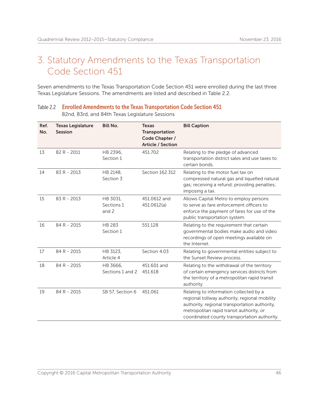## 3. Statutory Amendments to the Texas Transportation Code Section 451

Seven amendments to the Texas Transportation Code Section 451 were enrolled during the last three Texas Legislature Sessions. The amendments are listed and described in Table 2.2.

#### Table 2.2 Enrolled Amendments to the Texas Transportation Code Section 451 82nd, 83rd, and 84th Texas Legislature Sessions

| Ref.<br>No. | <b>Texas Legislature</b><br>Session | <b>Bill No.</b>                 | <b>Texas</b><br>Transportation<br>Code Chapter /<br><b>Article / Section</b> | <b>Bill Caption</b>                                                                                                                                                                                                                  |
|-------------|-------------------------------------|---------------------------------|------------------------------------------------------------------------------|--------------------------------------------------------------------------------------------------------------------------------------------------------------------------------------------------------------------------------------|
| 13          | 82 R - 2011                         | HB 2396,<br>Section 1           | 451.702                                                                      | Relating to the pledge of advanced<br>transportation district sales and use taxes to<br>certain bonds.                                                                                                                               |
| 14          | 83 R - 2013                         | HB 2148,<br>Section 3           | Section 162.312                                                              | Relating to the motor fuel tax on<br>compressed natural gas and liquefied natural<br>gas; receiving a refund; providing penalties;<br>imposing a tax.                                                                                |
| 15          | 83 R - 2013                         | HB 3031,<br>Sections 1<br>and 2 | 451.0612 and<br>451.0612(a)                                                  | Allows Capital Metro to employ persons<br>to serve as fare enforcement officers to<br>enforce the payment of fares for use of the<br>public transportation system.                                                                   |
| 16          | 84 R - 2015                         | <b>HB 283</b><br>Section 1      | 551.128                                                                      | Relating to the requirement that certain<br>governmental bodies make audio and video<br>recordings of open meetings available on<br>the Internet.                                                                                    |
| 17          | 84 R - 2015                         | HB 3123,<br>Article 4           | Section 4.03                                                                 | Relating to governmental entities subject to<br>the Sunset Review process.                                                                                                                                                           |
| 18          | 84 R - 2015                         | HB 3666,<br>Sections 1 and 2    | 451.601 and<br>451.618                                                       | Relating to the withdrawal of the territory<br>of certain emergency services districts from<br>the territory of a metropolitan rapid transit<br>authority.                                                                           |
| 19          | 84 R - 2015                         | SB 57, Section 6                | 451.061                                                                      | Relating to information collected by a<br>regional tollway authority, regional mobility<br>authority, regional transportation authority,<br>metropolitan rapid transit authority, or<br>coordinated county transportation authority. |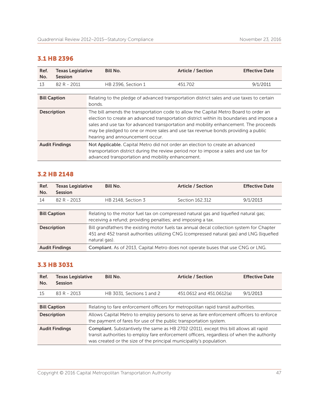## 3.1 HB 2396

| Ref.<br>No.           | <b>Texas Legislative</b><br><b>Session</b> | <b>Bill No.</b>                                                                                                                                                                                                              | <b>Article / Section</b>                                                                                                                                                                                                                                                                                                                                      | <b>Effective Date</b> |
|-----------------------|--------------------------------------------|------------------------------------------------------------------------------------------------------------------------------------------------------------------------------------------------------------------------------|---------------------------------------------------------------------------------------------------------------------------------------------------------------------------------------------------------------------------------------------------------------------------------------------------------------------------------------------------------------|-----------------------|
| 13                    | 82 R - 2011                                | HB 2396, Section 1                                                                                                                                                                                                           | 451.702                                                                                                                                                                                                                                                                                                                                                       | 9/1/2011              |
|                       |                                            |                                                                                                                                                                                                                              |                                                                                                                                                                                                                                                                                                                                                               |                       |
| <b>Bill Caption</b>   |                                            | bonds.                                                                                                                                                                                                                       | Relating to the pledge of advanced transportation district sales and use taxes to certain                                                                                                                                                                                                                                                                     |                       |
| <b>Description</b>    |                                            | hearing and announcement occur.                                                                                                                                                                                              | The bill amends the transportation code to allow the Capital Metro Board to order an<br>election to create an advanced transportation district within its boundaries and impose a<br>sales and use tax for advanced transportation and mobility enhancement. The proceeds<br>may be pledged to one or more sales and use tax revenue bonds providing a public |                       |
| <b>Audit Findings</b> |                                            | Not Applicable. Capital Metro did not order an election to create an advanced<br>transportation district during the review period nor to impose a sales and use tax for<br>advanced transportation and mobility enhancement. |                                                                                                                                                                                                                                                                                                                                                               |                       |

### 3.2 HB 2148

| Ref.<br>No.           | <b>Texas Legislative</b><br><b>Session</b> | Bill No.                                                                                                                                                                                                | <b>Article / Section</b> | <b>Effective Date</b> |  |
|-----------------------|--------------------------------------------|---------------------------------------------------------------------------------------------------------------------------------------------------------------------------------------------------------|--------------------------|-----------------------|--|
| 14                    | 82 R - 2013                                | HB 2148, Section 3                                                                                                                                                                                      | Section 162.312          | 9/1/2013              |  |
|                       |                                            |                                                                                                                                                                                                         |                          |                       |  |
| <b>Bill Caption</b>   |                                            | Relating to the motor fuel tax on compressed natural gas and liquefied natural gas;<br>receiving a refund; providing penalties; and imposing a tax.                                                     |                          |                       |  |
| <b>Description</b>    |                                            | Bill grandfathers the existing motor fuels tax annual decal collection system for Chapter<br>451 and 452 transit authorities utilizing CNG (compressed natural gas) and LNG (liquefied<br>natural gas). |                          |                       |  |
| <b>Audit Findings</b> |                                            | Compliant. As of 2013, Capital Metro does not operate buses that use CNG or LNG.                                                                                                                        |                          |                       |  |

## 3.3 HB 3031

| Ref.<br>No.           | <b>Texas Legislative</b><br>Session | <b>Bill No.</b>                                                                                                                                                                                                                                            | <b>Article / Section</b> | <b>Effective Date</b> |  |
|-----------------------|-------------------------------------|------------------------------------------------------------------------------------------------------------------------------------------------------------------------------------------------------------------------------------------------------------|--------------------------|-----------------------|--|
| 15                    | 83 R - 2013                         | HB 3031, Sections 1 and 2                                                                                                                                                                                                                                  | 451.0612 and 451.0612(a) | 9/1/2013              |  |
|                       |                                     |                                                                                                                                                                                                                                                            |                          |                       |  |
| <b>Bill Caption</b>   |                                     | Relating to fare enforcement officers for metropolitan rapid transit authorities.                                                                                                                                                                          |                          |                       |  |
| <b>Description</b>    |                                     | Allows Capital Metro to employ persons to serve as fare enforcement officers to enforce<br>the payment of fares for use of the public transportation system.                                                                                               |                          |                       |  |
| <b>Audit Findings</b> |                                     | Compliant. Substantively the same as HB 2702 (2011), except this bill allows all rapid<br>transit authorities to employ fare enforcement officers, regardless of when the authority<br>was created or the size of the principal municipality's population. |                          |                       |  |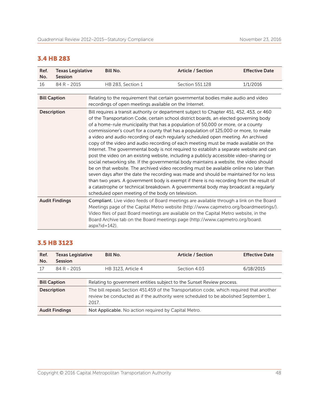## 3.4 HB 283

| Ref.<br>No.        | <b>Texas Legislative</b><br><b>Session</b> | <b>Bill No.</b>                                        | <b>Article / Section</b>                                                                                                                                                                                                                                                                                                                                                                                                                                                                                                                                                                                                                                                                                                                                                                                                                                                                                                                                                                                                                                                                                                                                                                       | <b>Effective Date</b> |
|--------------------|--------------------------------------------|--------------------------------------------------------|------------------------------------------------------------------------------------------------------------------------------------------------------------------------------------------------------------------------------------------------------------------------------------------------------------------------------------------------------------------------------------------------------------------------------------------------------------------------------------------------------------------------------------------------------------------------------------------------------------------------------------------------------------------------------------------------------------------------------------------------------------------------------------------------------------------------------------------------------------------------------------------------------------------------------------------------------------------------------------------------------------------------------------------------------------------------------------------------------------------------------------------------------------------------------------------------|-----------------------|
| 16                 | 84 R - 2015                                | HB 283, Section 1                                      | Section 551.128                                                                                                                                                                                                                                                                                                                                                                                                                                                                                                                                                                                                                                                                                                                                                                                                                                                                                                                                                                                                                                                                                                                                                                                | 1/1/2016              |
|                    |                                            |                                                        |                                                                                                                                                                                                                                                                                                                                                                                                                                                                                                                                                                                                                                                                                                                                                                                                                                                                                                                                                                                                                                                                                                                                                                                                |                       |
|                    | <b>Bill Caption</b>                        | recordings of open meetings available on the Internet. | Relating to the requirement that certain governmental bodies make audio and video                                                                                                                                                                                                                                                                                                                                                                                                                                                                                                                                                                                                                                                                                                                                                                                                                                                                                                                                                                                                                                                                                                              |                       |
| <b>Description</b> |                                            | scheduled open meeting of the body on television.      | Bill requires a transit authority or department subject to Chapter 451, 452, 453, or 460<br>of the Transportation Code, certain school district boards, an elected governing body<br>of a home-rule municipality that has a population of 50,000 or more, or a county<br>commissioner's court for a county that has a population of 125,000 or more, to make<br>a video and audio recording of each regularly scheduled open meeting. An archived<br>copy of the video and audio recording of each meeting must be made available on the<br>Internet. The governmental body is not required to establish a separate website and can<br>post the video on an existing website, including a publicly accessible video-sharing or<br>social networking site. If the governmental body maintains a website, the video should<br>be on that website. The archived video recording must be available online no later than<br>seven days after the date the recording was made and should be maintained for no less<br>than two years. A government body is exempt if there is no recording from the result of<br>a catastrophe or technical breakdown. A governmental body may broadcast a regularly |                       |
|                    | <b>Audit Findings</b>                      | aspx?id=142).                                          | Compliant. Live video feeds of Board meetings are available through a link on the Board<br>Meetings page of the Capital Metro website (http://www.capmetro.org/boardmeetings/).<br>Video files of past Board meetings are available on the Capital Metro website, in the<br>Board Archive tab on the Board meetings page (http://www.capmetro.org/board.                                                                                                                                                                                                                                                                                                                                                                                                                                                                                                                                                                                                                                                                                                                                                                                                                                       |                       |

### 3.5 HB 3123

| Ref.<br>No.           | Texas Legislative<br><b>Session</b> | <b>Bill No.</b>                                                                                                                                                                          | <b>Article / Section</b> | <b>Effective Date</b> |  |
|-----------------------|-------------------------------------|------------------------------------------------------------------------------------------------------------------------------------------------------------------------------------------|--------------------------|-----------------------|--|
| 17                    | 84 R - 2015                         | <b>HB 3123, Article 4</b>                                                                                                                                                                | Section 4.03             | 6/18/2015             |  |
|                       |                                     |                                                                                                                                                                                          |                          |                       |  |
| <b>Bill Caption</b>   |                                     | Relating to government entities subject to the Sunset Review process.                                                                                                                    |                          |                       |  |
| <b>Description</b>    |                                     | The bill repeals Section 451.459 of the Transportation code, which required that another<br>review be conducted as if the authority were scheduled to be abolished September 1,<br>2017. |                          |                       |  |
| <b>Audit Findings</b> |                                     | Not Applicable. No action required by Capital Metro.                                                                                                                                     |                          |                       |  |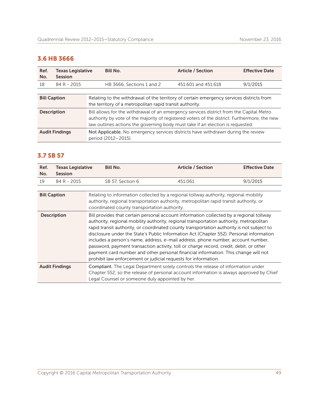## 3.6 HB 3666

| Ref.<br>No.           | <b>Texas Legislative</b><br>Session | <b>Bill No.</b>                                                                                                                                                                                                                                                           | <b>Article / Section</b> | <b>Effective Date</b> |  |
|-----------------------|-------------------------------------|---------------------------------------------------------------------------------------------------------------------------------------------------------------------------------------------------------------------------------------------------------------------------|--------------------------|-----------------------|--|
| 18                    | 84 R - 2015                         | HB 3666, Sections 1 and 2                                                                                                                                                                                                                                                 | 451,601 and 451,618      | 9/1/2015              |  |
|                       |                                     |                                                                                                                                                                                                                                                                           |                          |                       |  |
| <b>Bill Caption</b>   |                                     | Relating to the withdrawal of the territory of certain emergency services districts from<br>the territory of a metropolitan rapid transit authority.                                                                                                                      |                          |                       |  |
| <b>Description</b>    |                                     | Bill allows for the withdrawal of an emergency services district from the Capital Metro<br>authority by vote of the majority of registered voters of the district. Furthermore, the new<br>law outlines actions the governing body must take if an election is requested. |                          |                       |  |
| <b>Audit Findings</b> |                                     | Not Applicable. No emergency services districts have withdrawn during the review<br>period (2012-2015).                                                                                                                                                                   |                          |                       |  |

## 3.7 SB 57

| Ref.<br>No.                                                                                                                                                                                                                                                                                                                                                                                                                                                                                                                                                                                                                                                                                                                            | <b>Texas Legislative</b><br><b>Session</b> | <b>Bill No.</b>                                                                                                                                                                                                                | <b>Article / Section</b> | <b>Effective Date</b> |
|----------------------------------------------------------------------------------------------------------------------------------------------------------------------------------------------------------------------------------------------------------------------------------------------------------------------------------------------------------------------------------------------------------------------------------------------------------------------------------------------------------------------------------------------------------------------------------------------------------------------------------------------------------------------------------------------------------------------------------------|--------------------------------------------|--------------------------------------------------------------------------------------------------------------------------------------------------------------------------------------------------------------------------------|--------------------------|-----------------------|
| 19                                                                                                                                                                                                                                                                                                                                                                                                                                                                                                                                                                                                                                                                                                                                     | 84 R - 2015                                | SB 57, Section 6                                                                                                                                                                                                               | 451.061                  | 9/1/2015              |
|                                                                                                                                                                                                                                                                                                                                                                                                                                                                                                                                                                                                                                                                                                                                        |                                            |                                                                                                                                                                                                                                |                          |                       |
| <b>Bill Caption</b>                                                                                                                                                                                                                                                                                                                                                                                                                                                                                                                                                                                                                                                                                                                    |                                            | Relating to information collected by a regional tollway authority, regional mobility<br>authority, regional transportation authority, metropolitan rapid transit authority, or<br>coordinated county transportation authority. |                          |                       |
| Bill provides that certain personal account information collected by a regional tollway<br><b>Description</b><br>authority, regional mobility authority, regional transportation authority, metropolitan<br>rapid transit authority, or coordinated county transportation authority is not subject to<br>disclosure under the State's Public Information Act (Chapter 552). Personal information<br>includes a person's name, address, e-mail address, phone number, account number,<br>password, payment transaction activity, toll or charge record, credit, debit, or other<br>payment card number and other personal financial information. This change will not<br>prohibit law enforcement or judicial requests for information. |                                            |                                                                                                                                                                                                                                |                          |                       |
| <b>Compliant.</b> The Legal Department solely controls the release of information under<br><b>Audit Findings</b><br>Chapter 552, so the release of personal account information is always approved by Chief<br>Legal Counsel or someone duly appointed by her.                                                                                                                                                                                                                                                                                                                                                                                                                                                                         |                                            |                                                                                                                                                                                                                                |                          |                       |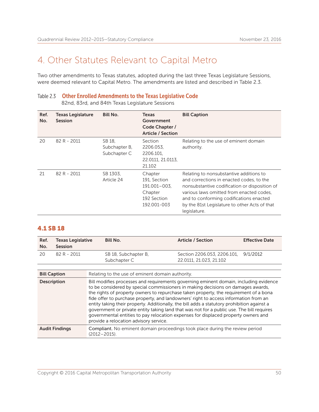## 4. Other Statutes Relevant to Capital Metro

Two other amendments to Texas statutes, adopted during the last three Texas Legislature Sessions, were deemed relevant to Capital Metro. The amendments are listed and described in Table 2.3.

#### Table 2.3 Other Enrolled Amendments to the Texas Legislative Code

82nd, 83rd, and 84th Texas Legislature Sessions

| Ref.<br>No. | <b>Texas Legislature</b><br><b>Session</b> | <b>Bill No.</b>                         | Texas<br>Government<br>Code Chapter /<br><b>Article / Section</b>                | <b>Bill Caption</b>                                                                                                                                                                                                                                                                          |
|-------------|--------------------------------------------|-----------------------------------------|----------------------------------------------------------------------------------|----------------------------------------------------------------------------------------------------------------------------------------------------------------------------------------------------------------------------------------------------------------------------------------------|
| 20          | 82 R - 2011                                | SB 18,<br>Subchapter B.<br>Subchapter C | Section<br>2206.053,<br>2206.101.<br>22.0111, 21.0113,<br>21.102                 | Relating to the use of eminent domain<br>authority.                                                                                                                                                                                                                                          |
| 21          | 82 R - 2011                                | SB 1303,<br>Article 24                  | Chapter<br>191. Section<br>191.001-003,<br>Chapter<br>192 Section<br>192.001-003 | Relating to nonsubstantive additions to<br>and corrections in enacted codes, to the<br>nonsubstantive codification or disposition of<br>various laws omitted from enacted codes.<br>and to conforming codifications enacted<br>by the 81st Legislature to other Acts of that<br>legislature. |

### 4.1 SB 18

| Ref. | <b>Texas Legislative</b> | Bill No.             | <b>Article / Section</b>             | <b>Effective Date</b> |
|------|--------------------------|----------------------|--------------------------------------|-----------------------|
| No.  | <b>Session</b>           |                      |                                      |                       |
| 20   | 82 R - 2011              | SB 18, Subchapter B, | Section 2206.053, 2206.101, 9/1/2012 |                       |
|      |                          | Subchapter C         | 22.0111, 21.023, 21.102              |                       |
|      |                          |                      |                                      |                       |

| <b>Bill Caption</b>   | Relating to the use of eminent domain authority.                                                                                                                                                                                                                                                                                                                                                                                                                                                                                                                                                                                                                                       |
|-----------------------|----------------------------------------------------------------------------------------------------------------------------------------------------------------------------------------------------------------------------------------------------------------------------------------------------------------------------------------------------------------------------------------------------------------------------------------------------------------------------------------------------------------------------------------------------------------------------------------------------------------------------------------------------------------------------------------|
| <b>Description</b>    | Bill modifies processes and requirements governing eminent domain, including evidence<br>to be considered by special commissioners in making decisions on damages awards,<br>the rights of property owners to repurchase taken property, the requirement of a bona<br>fide offer to purchase property, and landowners' right to access information from an<br>entity taking their property. Additionally, the bill adds a statutory prohibition against a<br>government or private entity taking land that was not for a public use. The bill requires<br>governmental entities to pay relocation expenses for displaced property owners and<br>provide a relocation advisory service. |
| <b>Audit Findings</b> | <b>Compliant.</b> No eminent domain proceedings took place during the review period<br>$(2012 - 2015)$ .                                                                                                                                                                                                                                                                                                                                                                                                                                                                                                                                                                               |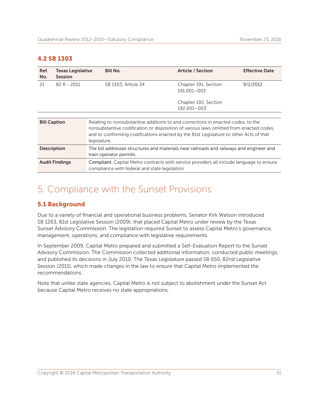### 4.2 SB 1303

| Ref.<br>No.                                                                                                                                                                                                                                                                                                | <b>Texas Legislative</b><br><b>Session</b> | <b>Bill No.</b>                                                                                                     | <b>Article / Section</b>            | <b>Effective Date</b> |
|------------------------------------------------------------------------------------------------------------------------------------------------------------------------------------------------------------------------------------------------------------------------------------------------------------|--------------------------------------------|---------------------------------------------------------------------------------------------------------------------|-------------------------------------|-----------------------|
| 21                                                                                                                                                                                                                                                                                                         | 82 R - 2011                                | SB 1303, Article 24                                                                                                 | Chapter 191, Section<br>191.001-003 | 9/1/2012              |
|                                                                                                                                                                                                                                                                                                            |                                            |                                                                                                                     | Chapter 192, Section<br>192.001-003 |                       |
|                                                                                                                                                                                                                                                                                                            |                                            |                                                                                                                     |                                     |                       |
| <b>Bill Caption</b><br>Relating to nonsubstantive additions to and corrections in enacted codes, to the<br>nonsubstantive codification or disposition of various laws omitted from enacted codes,<br>and to conforming codifications enacted by the 81st Legislature to other Acts of that<br>legislature. |                                            |                                                                                                                     |                                     |                       |
| <b>Description</b>                                                                                                                                                                                                                                                                                         |                                            | The bill addresses structures and materials near railroads and railways and engineer and<br>train operator permits. |                                     |                       |
| Compliant. Capital Metro contracts with service providers all include language to ensure<br><b>Audit Findings</b><br>compliance with federal and state legislation.                                                                                                                                        |                                            |                                                                                                                     |                                     |                       |

## 5. Compliance with the Sunset Provisions

#### 5.1 Background

Due to a variety of financial and operational business problems, Senator Kirk Watson introduced SB 1263, 81st Legislative Session (2009), that placed Capital Metro under review by the Texas Sunset Advisory Commission. The legislation required Sunset to assess Capital Metro's governance, management, operations, and compliance with legislative requirements.

In September 2009, Capital Metro prepared and submitted a Self-Evaluation Report to the Sunset Advisory Commission. The Commission collected additional information, conducted public meetings, and published its decisions in July 2010. The Texas Legislature passed SB 650, 82nd Legislative Session (2011), which made changes in the law to ensure that Capital Metro implemented the recommendations.

Note that unlike state agencies, Capital Metro is not subject to abolishment under the Sunset Act because Capital Metro receives no state appropriations.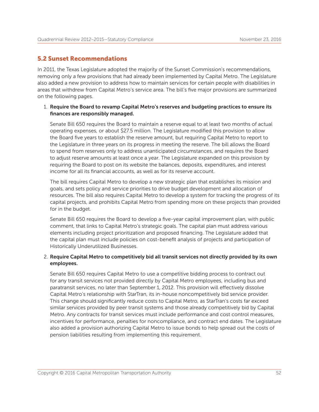#### 5.2 Sunset Recommendations

In 2011, the Texas Legislature adopted the majority of the Sunset Commission's recommendations, removing only a few provisions that had already been implemented by Capital Metro. The Legislature also added a new provision to address how to maintain services for certain people with disabilities in areas that withdrew from Capital Metro's service area. The bill's five major provisions are summarized on the following pages.

#### 1. Require the Board to revamp Capital Metro's reserves and budgeting practices to ensure its finances are responsibly managed.

Senate Bill 650 requires the Board to maintain a reserve equal to at least two months of actual operating expenses, or about \$27.5 million. The Legislature modified this provision to allow the Board five years to establish the reserve amount, but requiring Capital Metro to report to the Legislature in three years on its progress in meeting the reserve. The bill allows the Board to spend from reserves only to address unanticipated circumstances, and requires the Board to adjust reserve amounts at least once a year. The Legislature expanded on this provision by requiring the Board to post on its website the balances, deposits, expenditures, and interest income for all its financial accounts, as well as for its reserve account.

The bill requires Capital Metro to develop a new strategic plan that establishes its mission and goals, and sets policy and service priorities to drive budget development and allocation of resources. The bill also requires Capital Metro to develop a system for tracking the progress of its capital projects, and prohibits Capital Metro from spending more on these projects than provided for in the budget.

Senate Bill 650 requires the Board to develop a five-year capital improvement plan, with public comment, that links to Capital Metro's strategic goals. The capital plan must address various elements including project prioritization and proposed financing. The Legislature added that the capital plan must include policies on cost-benefit analysis of projects and participation of Historically Underutilized Businesses.

#### 2. Require Capital Metro to competitively bid all transit services not directly provided by its own employees.

Senate Bill 650 requires Capital Metro to use a competitive bidding process to contract out for any transit services not provided directly by Capital Metro employees, including bus and paratransit services, no later than September 1, 2012. This provision will effectively dissolve Capital Metro's relationship with StarTran, its in-house noncompetitively bid service provider. This change should significantly reduce costs to Capital Metro, as StarTran's costs far exceed similar services provided by peer transit systems and those already competitively bid by Capital Metro. Any contracts for transit services must include performance and cost control measures, incentives for performance, penalties for noncompliance, and contract end dates. The Legislature also added a provision authorizing Capital Metro to issue bonds to help spread out the costs of pension liabilities resulting from implementing this requirement.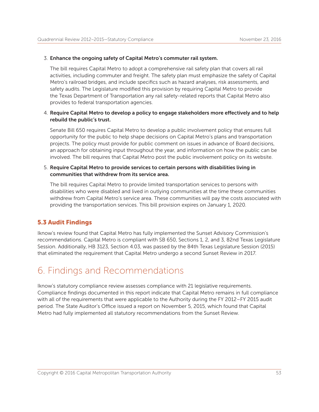#### 3. Enhance the ongoing safety of Capital Metro's commuter rail system.

The bill requires Capital Metro to adopt a comprehensive rail safety plan that covers all rail activities, including commuter and freight. The safety plan must emphasize the safety of Capital Metro's railroad bridges, and include specifics such as hazard analyses, risk assessments, and safety audits. The Legislature modified this provision by requiring Capital Metro to provide the Texas Department of Transportation any rail safety-related reports that Capital Metro also provides to federal transportation agencies.

#### 4. Require Capital Metro to develop a policy to engage stakeholders more effectively and to help rebuild the public's trust.

Senate Bill 650 requires Capital Metro to develop a public involvement policy that ensures full opportunity for the public to help shape decisions on Capital Metro's plans and transportation projects. The policy must provide for public comment on issues in advance of Board decisions, an approach for obtaining input throughout the year, and information on how the public can be involved. The bill requires that Capital Metro post the public involvement policy on its website.

#### 5. Require Capital Metro to provide services to certain persons with disabilities living in communities that withdrew from its service area.

The bill requires Capital Metro to provide limited transportation services to persons with disabilities who were disabled and lived in outlying communities at the time these communities withdrew from Capital Metro's service area. These communities will pay the costs associated with providing the transportation services. This bill provision expires on January 1, 2020.

### 5.3 Audit Findings

Iknow's review found that Capital Metro has fully implemented the Sunset Advisory Commission's recommendations. Capital Metro is compliant with SB 650, Sections 1, 2, and 3, 82nd Texas Legislature Session. Additionally, HB 3123, Section 4.03, was passed by the 84th Texas Legislature Session (2015) that eliminated the requirement that Capital Metro undergo a second Sunset Review in 2017.

## 6. Findings and Recommendations

Iknow's statutory compliance review assesses compliance with 21 legislative requirements. Compliance findings documented in this report indicate that Capital Metro remains in full compliance with all of the requirements that were applicable to the Authority during the FY 2012–FY 2015 audit period. The State Auditor's Office issued a report on November 5, 2015, which found that Capital Metro had fully implemented all statutory recommendations from the Sunset Review.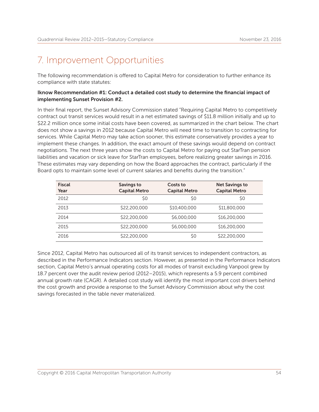## 7. Improvement Opportunities

The following recommendation is offered to Capital Metro for consideration to further enhance its compliance with state statutes:

#### Iknow Recommendation #1: Conduct a detailed cost study to determine the financial impact of implementing Sunset Provision #2.

In their final report, the Sunset Advisory Commission stated "Requiring Capital Metro to competitively contract out transit services would result in a net estimated savings of \$11.8 million initially and up to \$22.2 million once some initial costs have been covered, as summarized in the chart below. The chart does not show a savings in 2012 because Capital Metro will need time to transition to contracting for services. While Capital Metro may take action sooner, this estimate conservatively provides a year to implement these changes. In addition, the exact amount of these savings would depend on contract negotiations. The next three years show the costs to Capital Metro for paying out StarTran pension liabilities and vacation or sick leave for StarTran employees, before realizing greater savings in 2016. These estimates may vary depending on how the Board approaches the contract, particularly if the Board opts to maintain some level of current salaries and benefits during the transition."

| <b>Fiscal</b><br>Year | Savings to<br><b>Capital Metro</b> | Costs to<br><b>Capital Metro</b> | <b>Net Savings to</b><br><b>Capital Metro</b> |
|-----------------------|------------------------------------|----------------------------------|-----------------------------------------------|
| 2012                  | S0                                 | S0                               | S0                                            |
| 2013                  | \$22,200,000                       | \$10,400,000                     | \$11,800,000                                  |
| 2014                  | \$22,200,000                       | \$6,000,000                      | \$16,200,000                                  |
| 2015                  | \$22,200,000                       | \$6,000,000                      | \$16,200,000                                  |
| 2016                  | \$22,200,000                       | \$0                              | \$22,200,000                                  |

Since 2012, Capital Metro has outsourced all of its transit services to independent contractors, as described in the Performance Indicators section. However, as presented in the Performance Indicators section, Capital Metro's annual operating costs for all modes of transit excluding Vanpool grew by 18.7 percent over the audit review period (2012–2015), which represents a 5.9 percent combined annual growth rate (CAGR). A detailed cost study will identify the most important cost drivers behind the cost growth and provide a response to the Sunset Advisory Commission about why the cost savings forecasted in the table never materialized.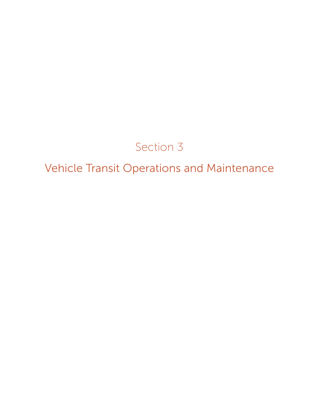# Section 3

Vehicle Transit Operations and Maintenance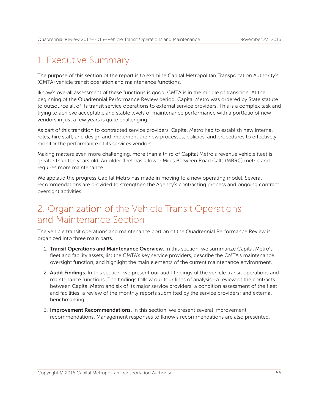## 1. Executive Summary

The purpose of this section of the report is to examine Capital Metropolitan Transportation Authority's (CMTA) vehicle transit operation and maintenance functions.

Iknow's overall assessment of these functions is good. CMTA is in the middle of transition. At the beginning of the Quadrennial Performance Review period, Capital Metro was ordered by State statute to outsource all of its transit service operations to external service providers. This is a complex task and trying to achieve acceptable and stable levels of maintenance performance with a portfolio of new vendors in just a few years is quite challenging.

As part of this transition to contracted service providers, Capital Metro had to establish new internal roles, hire staff, and design and implement the new processes, policies, and procedures to effectively monitor the performance of its services vendors.

Making matters even more challenging, more than a third of Capital Metro's revenue vehicle fleet is greater than ten years old. An older fleet has a lower Miles Between Road Calls (MBRC) metric and requires more maintenance.

We applaud the progress Capital Metro has made in moving to a new operating model. Several recommendations are provided to strengthen the Agency's contracting process and ongoing contract oversight activities.

## 2. Organization of the Vehicle Transit Operations and Maintenance Section

The vehicle transit operations and maintenance portion of the Quadrennial Performance Review is organized into three main parts.

- 1. Transit Operations and Maintenance Overview. In this section, we summarize Capital Metro's fleet and facility assets, list the CMTA's key service providers, describe the CMTA's maintenance oversight function, and highlight the main elements of the current maintenance environment.
- 2. Audit Findings. In this section, we present our audit findings of the vehicle transit operations and maintenance functions. The findings follow our four lines of analysis—a review of the contracts between Capital Metro and six of its major service providers; a condition assessment of the fleet and facilities; a review of the monthly reports submitted by the service providers; and external benchmarking.
- 3. Improvement Recommendations. In this section, we present several improvement recommendations. Management responses to Iknow's recommendations are also presented.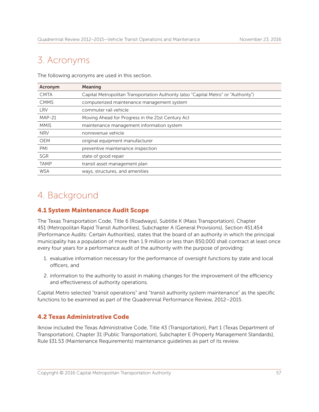## 3. Acronyms

The following acronyms are used in this section.

| Acronym     | Meaning                                                                             |
|-------------|-------------------------------------------------------------------------------------|
| <b>CMTA</b> | Capital Metropolitan Transportation Authority (also "Capital Metro" or "Authority") |
| <b>CMMS</b> | computerized maintenance management system                                          |
| <b>LRV</b>  | commuter rail vehicle                                                               |
| $MAP-21$    | Moving Ahead for Progress in the 21st Century Act                                   |
| <b>MMIS</b> | maintenance management information system                                           |
| <b>NRV</b>  | nonrevenue vehicle                                                                  |
| <b>OEM</b>  | original equipment manufacturer                                                     |
| PMI         | preventive maintenance inspection                                                   |
| <b>SGR</b>  | state of good repair                                                                |
| <b>TAMP</b> | transit asset management plan                                                       |
| <b>WSA</b>  | ways, structures, and amenities                                                     |

## 4. Background

## 4.1 System Maintenance Audit Scope

The Texas Transportation Code, Title 6 (Roadways), Subtitle K (Mass Transportation), Chapter 451 (Metropolitan Rapid Transit Authorities), Subchapter A (General Provisions), Section 451.454 (Performance Audits: Certain Authorities), states that the board of an authority in which the principal municipality has a population of more than 1.9 million or less than 850,000 shall contract at least once every four years for a performance audit of the authority with the purpose of providing:

- 1. evaluative information necessary for the performance of oversight functions by state and local officers, and
- 2. information to the authority to assist in making changes for the improvement of the efficiency and effectiveness of authority operations.

Capital Metro selected "transit operations" and "transit authority system maintenance" as the specific functions to be examined as part of the Quadrennial Performance Review, 2012–2015.

## 4.2 Texas Administrative Code

Iknow included the Texas Administrative Code, Title 43 (Transportation), Part 1 (Texas Department of Transportation), Chapter 31 (Public Transportation), Subchapter E (Property Management Standards), Rule §31.53 (Maintenance Requirements) maintenance guidelines as part of its review.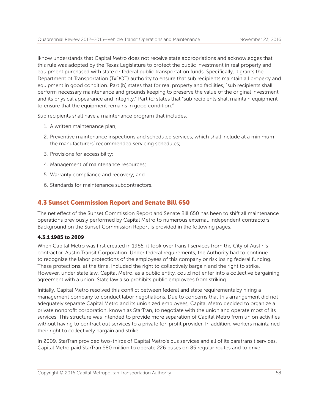Iknow understands that Capital Metro does not receive state appropriations and acknowledges that this rule was adopted by the Texas Legislature to protect the public investment in real property and equipment purchased with state or federal public transportation funds. Specifically, it grants the Department of Transportation (TxDOT) authority to ensure that sub recipients maintain all property and equipment in good condition. Part (b) states that for real property and facilities, "sub recipients shall perform necessary maintenance and grounds keeping to preserve the value of the original investment and its physical appearance and integrity." Part (c) states that "sub recipients shall maintain equipment to ensure that the equipment remains in good condition."

Sub recipients shall have a maintenance program that includes:

- 1. A written maintenance plan;
- 2. Preventive maintenance inspections and scheduled services, which shall include at a minimum the manufacturers' recommended servicing schedules;
- 3. Provisions for accessibility;
- 4. Management of maintenance resources;
- 5. Warranty compliance and recovery; and
- 6. Standards for maintenance subcontractors.

#### 4.3 Sunset Commission Report and Senate Bill 650

The net effect of the Sunset Commission Report and Senate Bill 650 has been to shift all maintenance operations previously performed by Capital Metro to numerous external, independent contractors. Background on the Sunset Commission Report is provided in the following pages.

#### 4.3.1 1985 to 2009

When Capital Metro was first created in 1985, it took over transit services from the City of Austin's contractor, Austin Transit Corporation. Under federal requirements, the Authority had to continue to recognize the labor protections of the employees of this company or risk losing federal funding. These protections, at the time, included the right to collectively bargain and the right to strike. However, under state law, Capital Metro, as a public entity, could not enter into a collective bargaining agreement with a union. State law also prohibits public employees from striking.

Initially, Capital Metro resolved this conflict between federal and state requirements by hiring a management company to conduct labor negotiations. Due to concerns that this arrangement did not adequately separate Capital Metro and its unionized employees, Capital Metro decided to organize a private nonprofit corporation, known as StarTran, to negotiate with the union and operate most of its services. This structure was intended to provide more separation of Capital Metro from union activities without having to contract out services to a private for-profit provider. In addition, workers maintained their right to collectively bargain and strike.

In 2009, StarTran provided two-thirds of Capital Metro's bus services and all of its paratransit services. Capital Metro paid StarTran \$80 million to operate 226 buses on 85 regular routes and to drive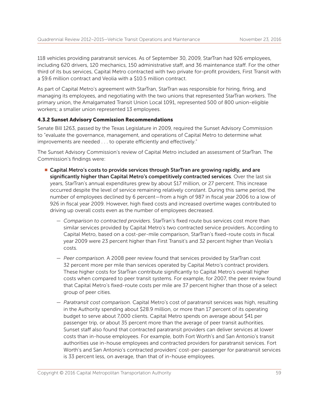118 vehicles providing paratransit services. As of September 30, 2009, StarTran had 926 employees, including 620 drivers, 120 mechanics, 150 administrative staff, and 36 maintenance staff. For the other third of its bus services, Capital Metro contracted with two private for-profit providers, First Transit with a \$9.6 million contract and Veolia with a \$10.5 million contract.

As part of Capital Metro's agreement with StarTran, StarTran was responsible for hiring, firing, and managing its employees, and negotiating with the two unions that represented StarTran workers. The primary union, the Amalgamated Transit Union Local 1091, represented 500 of 800 union-eligible workers; a smaller union represented 13 employees.

#### 4.3.2 Sunset Advisory Commission Recommendations

Senate Bill 1263, passed by the Texas Legislature in 2009, required the Sunset Advisory Commission to "evaluate the governance, management, and operations of Capital Metro to determine what improvements are needed . . . to operate efficiently and effectively."

The Sunset Advisory Commission's review of Capital Metro included an assessment of StarTran. The Commission's findings were:

- **E** Capital Metro's costs to provide services through StarTran are growing rapidly, and are significantly higher than Capital Metro's competitively contracted services. Over the last six years, StarTran's annual expenditures grew by about \$17 million, or 27 percent. This increase occurred despite the level of service remaining relatively constant. During this same period, the number of employees declined by 6 percent—from a high of 987 in fiscal year 2006 to a low of 926 in fiscal year 2009. However, high fixed costs and increased overtime wages contributed to driving up overall costs even as the number of employees decreased.
	- *Comparison to contracted providers.* StarTran's fixed route bus services cost more than similar services provided by Capital Metro's two contracted service providers. According to Capital Metro, based on a cost-per-mile comparison, StarTran's fixed-route costs in fiscal year 2009 were 23 percent higher than First Transit's and 32 percent higher than Veolia's costs.
	- *Peer comparison.* A 2008 peer review found that services provided by StarTran cost 32 percent more per mile than services operated by Capital Metro's contract providers. These higher costs for StarTran contribute significantly to Capital Metro's overall higher costs when compared to peer transit systems. For example, for 2007, the peer review found that Capital Metro's fixed-route costs per mile are 37 percent higher than those of a select group of peer cities.
	- *Paratransit cost comparison.* Capital Metro's cost of paratransit services was high, resulting in the Authority spending about \$28.9 million, or more than 17 percent of its operating budget to serve about 7,000 clients. Capital Metro spends on average about \$41 per passenger trip, or about 35 percent more than the average of peer transit authorities. Sunset staff also found that contracted paratransit providers can deliver services at lower costs than in-house employees. For example, both Fort Worth's and San Antonio's transit authorities use in-house employees and contracted providers for paratransit services. Fort Worth's and San Antonio's contracted providers' cost-per-passenger for paratransit services is 33 percent less, on average, than that of in-house employees.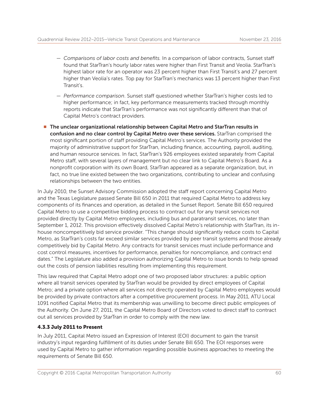- *Comparisons of labor costs and benefits.* In a comparison of labor contracts, Sunset staff found that StarTran's hourly labor rates were higher than First Transit and Veolia. StarTran's highest labor rate for an operator was 23 percent higher than First Transit's and 27 percent higher than Veolia's rates. Top pay for StarTran's mechanics was 13 percent higher than First Transit's.
- *Performance comparison*. Sunset staff questioned whether StarTran's higher costs led to higher performance; in fact, key performance measurements tracked through monthly reports indicate that StarTran's performance was not significantly different than that of Capital Metro's contract providers.
- The unclear organizational relationship between Capital Metro and StarTran results in confusion and no clear control by Capital Metro over these services. StarTran comprised the most significant portion of staff providing Capital Metro's services. The Authority provided the majority of administrative support for StarTran, including finance, accounting, payroll, auditing, and human resource services. In fact, StarTran's 926 employees existed separately from Capital Metro staff, with several layers of management but no clear link to Capital Metro's Board. As a nonprofit corporation with its own Board, StarTran appeared as a separate organization, but, in fact, no true line existed between the two organizations, contributing to unclear and confusing relationships between the two entities.

In July 2010, the Sunset Advisory Commission adopted the staff report concerning Capital Metro and the Texas Legislature passed Senate Bill 650 in 2011 that required Capital Metro to address key components of its finances and operation, as detailed in the Sunset Report. Senate Bill 650 required Capital Metro to use a competitive bidding process to contract out for any transit services not provided directly by Capital Metro employees, including bus and paratransit services, no later than September 1, 2012. This provision effectively dissolved Capital Metro's relationship with StarTran, its inhouse noncompetitively bid service provider. "This change should significantly reduce costs to Capital Metro, as StarTran's costs far exceed similar services provided by peer transit systems and those already competitively bid by Capital Metro. Any contracts for transit services must include performance and cost control measures, incentives for performance, penalties for noncompliance, and contract end dates." The Legislature also added a provision authorizing Capital Metro to issue bonds to help spread out the costs of pension liabilities resulting from implementing this requirement.

This law required that Capital Metro adopt one of two proposed labor structures: a public option where all transit services operated by StarTran would be provided by direct employees of Capital Metro; and a private option where all services not directly operated by Capital Metro employees would be provided by private contractors after a competitive procurement process. In May 2011, ATU Local 1091 notified Capital Metro that its membership was unwilling to become direct public employees of the Authority. On June 27, 2011, the Capital Metro Board of Directors voted to direct staff to contract out all services provided by StarTran in order to comply with the new law.

#### 4.3.3 July 2011 to Present

In July 2011, Capital Metro issued an Expression of Interest (EOI) document to gain the transit industry's input regarding fulfillment of its duties under Senate Bill 650. The EOI responses were used by Capital Metro to gather information regarding possible business approaches to meeting the requirements of Senate Bill 650.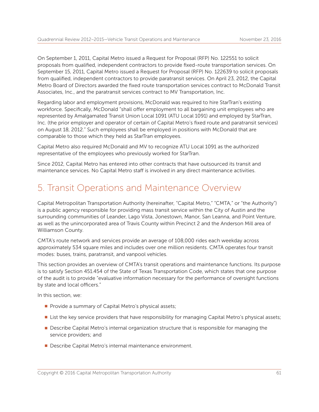On September 1, 2011, Capital Metro issued a Request for Proposal (RFP) No. 122551 to solicit proposals from qualified, independent contractors to provide fixed-route transportation services. On September 15, 2011, Capital Metro issued a Request for Proposal (RFP) No. 122639 to solicit proposals from qualified, independent contractors to provide paratransit services. On April 23, 2012, the Capital Metro Board of Directors awarded the fixed route transportation services contract to McDonald Transit Associates, Inc., and the paratransit services contract to MV Transportation, Inc.

Regarding labor and employment provisions, McDonald was required to hire StarTran's existing workforce. Specifically, McDonald "shall offer employment to all bargaining unit employees who are represented by Amalgamated Transit Union Local 1091 (ATU Local 1091) and employed by StarTran, Inc. (the prior employer and operator of certain of Capital Metro's fixed route and paratransit services) on August 18, 2012." Such employees shall be employed in positions with McDonald that are comparable to those which they held as StarTran employees.

Capital Metro also required McDonald and MV to recognize ATU Local 1091 as the authorized representative of the employees who previously worked for StarTran.

Since 2012, Capital Metro has entered into other contracts that have outsourced its transit and maintenance services. No Capital Metro staff is involved in any direct maintenance activities.

## 5. Transit Operations and Maintenance Overview

Capital Metropolitan Transportation Authority (hereinafter, "Capital Metro," "CMTA," or "the Authority") is a public agency responsible for providing mass transit service within the City of Austin and the surrounding communities of Leander, Lago Vista, Jonestown, Manor, San Leanna, and Point Venture, as well as the unincorporated area of Travis County within Precinct 2 and the Anderson Mill area of Williamson County.

CMTA's route network and services provide an average of 108,000 rides each weekday across approximately 534 square miles and includes over one million residents. CMTA operates four transit modes: buses, trains, paratransit, and vanpool vehicles.

This section provides an overview of CMTA's transit operations and maintenance functions. Its purpose is to satisfy Section 451.454 of the State of Texas Transportation Code, which states that one purpose of the audit is to provide "evaluative information necessary for the performance of oversight functions by state and local officers."

In this section, we:

- Provide a summary of Capital Metro's physical assets;
- **If** List the key service providers that have responsibility for managing Capital Metro's physical assets;
- **Describe Capital Metro's internal organization structure that is responsible for managing the** service providers; and
- **Describe Capital Metro's internal maintenance environment.**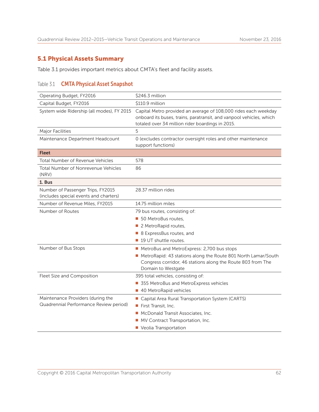## 5.1 Physical Assets Summary

Table 3.1 provides important metrics about CMTA's fleet and facility assets.

## Table 3.1 **CMTA Physical Asset Snapshot**

| Operating Budget, FY2016                                                    | \$246.3 million                                                                                                                                                                            |
|-----------------------------------------------------------------------------|--------------------------------------------------------------------------------------------------------------------------------------------------------------------------------------------|
| Capital Budget, FY2016                                                      | \$110.9 million                                                                                                                                                                            |
| System wide Ridership (all modes), FY 2015                                  | Capital Metro provided an average of 108,000 rides each weekday<br>onboard its buses, trains, paratransit, and vanpool vehicles, which<br>totaled over 34 million rider boardings in 2015. |
| Major Facilities                                                            | 5                                                                                                                                                                                          |
| Maintenance Department Headcount                                            | 0 (excludes contractor oversight roles and other maintenance<br>support functions)                                                                                                         |
| <b>Fleet</b>                                                                |                                                                                                                                                                                            |
| <b>Total Number of Revenue Vehicles</b>                                     | 578                                                                                                                                                                                        |
| <b>Total Number of Nonrevenue Vehicles</b><br>(NRV)                         | 86                                                                                                                                                                                         |
| 1. Bus                                                                      |                                                                                                                                                                                            |
| Number of Passenger Trips, FY2015<br>(includes special events and charters) | 28.37 million rides                                                                                                                                                                        |
| Number of Revenue Miles, FY2015                                             | 14.75 million miles                                                                                                                                                                        |
| Number of Routes                                                            | 79 bus routes, consisting of:                                                                                                                                                              |
|                                                                             | 50 MetroBus routes.                                                                                                                                                                        |
|                                                                             | 2 MetroRapid routes,                                                                                                                                                                       |
|                                                                             | ■ 8 ExpressBus routes, and                                                                                                                                                                 |
|                                                                             | 19 UT shuttle routes.                                                                                                                                                                      |
| Number of Bus Stops                                                         | MetroBus and MetroExpress: 2,700 bus stops                                                                                                                                                 |
|                                                                             | MetroRapid: 43 stations along the Route 801 North Lamar/South<br>Congress corridor, 46 stations along the Route 803 from The<br>Domain to Westgate                                         |
| Fleet Size and Composition                                                  | 395 total vehicles, consisting of:                                                                                                                                                         |
|                                                                             | 355 MetroBus and MetroExpress vehicles<br>m,                                                                                                                                               |
|                                                                             | 40 MetroRapid vehicles                                                                                                                                                                     |
| Maintenance Providers (during the                                           | Capital Area Rural Transportation System (CARTS)                                                                                                                                           |
| Quadrennial Performance Review period)                                      | First Transit, Inc.<br>$\sim$                                                                                                                                                              |
|                                                                             | McDonald Transit Associates, Inc.<br>ш                                                                                                                                                     |
|                                                                             | MV Contract Transportation, Inc.                                                                                                                                                           |
|                                                                             | Veolia Transportation                                                                                                                                                                      |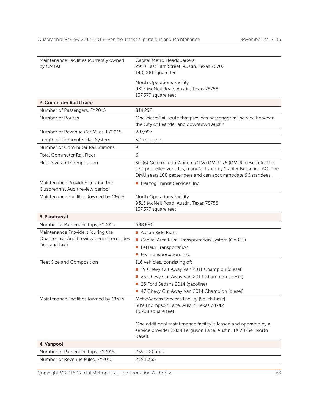| Maintenance Facilities (currently owned<br>by CMTA)                   | Capital Metro Headquarters<br>2910 East Fifth Street, Austin, Texas 78702                                                                                                                         |
|-----------------------------------------------------------------------|---------------------------------------------------------------------------------------------------------------------------------------------------------------------------------------------------|
|                                                                       | 140,000 square feet                                                                                                                                                                               |
|                                                                       | North Operations Facility                                                                                                                                                                         |
|                                                                       | 9315 McNeil Road, Austin, Texas 78758                                                                                                                                                             |
|                                                                       | 137,377 square feet                                                                                                                                                                               |
| 2. Commuter Rail (Train)                                              |                                                                                                                                                                                                   |
| Number of Passengers, FY2015                                          | 814,292                                                                                                                                                                                           |
| Number of Routes                                                      | One MetroRail route that provides passenger rail service between<br>the City of Leander and downtown Austin                                                                                       |
| Number of Revenue Car Miles, FY2015                                   | 287,997                                                                                                                                                                                           |
| Length of Commuter Rail System                                        | 32-mile line                                                                                                                                                                                      |
| Number of Commuter Rail Stations                                      | 9                                                                                                                                                                                                 |
| <b>Total Commuter Rail Fleet</b>                                      | 6                                                                                                                                                                                                 |
| Fleet Size and Composition                                            | Six (6) Gelenk Treib Wagen (GTW) DMU 2/6 (DMU) diesel-electric,<br>self-propelled vehicles, manufactured by Stadler Bussnang AG. The<br>DMU seats 108 passengers and can accommodate 96 standees. |
| Maintenance Providers (during the<br>Quadrennial Audit review period) | Herzog Transit Services, Inc.                                                                                                                                                                     |
| Maintenance Facilities (owned by CMTA)                                | North Operations Facility<br>9315 McNeil Road, Austin, Texas 78758<br>137,377 square feet                                                                                                         |
| 3. Paratransit                                                        |                                                                                                                                                                                                   |
| Number of Passenger Trips, FY2015                                     | 698,896                                                                                                                                                                                           |
| Maintenance Providers (during the                                     | Austin Ride Right                                                                                                                                                                                 |
| Quadrennial Audit review period; excludes                             | Capital Area Rural Transportation System (CARTS)                                                                                                                                                  |
| Demand taxi)                                                          | <b>LeFleur Transportation</b>                                                                                                                                                                     |
|                                                                       | MV Transportation, Inc.                                                                                                                                                                           |
| Fleet Size and Composition                                            | 116 vehicles, consisting of:                                                                                                                                                                      |
|                                                                       | 19 Chevy Cut Away Van 2011 Champion (diesel)                                                                                                                                                      |
|                                                                       | 25 Chevy Cut Away Van 2013 Champion (diesel)                                                                                                                                                      |
|                                                                       | 25 Ford Sedans 2014 (gasoline)                                                                                                                                                                    |
|                                                                       | 47 Chevy Cut Away Van 2014 Champion (diesel)                                                                                                                                                      |
| Maintenance Facilities (owned by CMTA)                                | MetroAccess Services Facility [South Base]                                                                                                                                                        |
|                                                                       | 509 Thompson Lane, Austin, Texas 78742<br>19,738 square feet                                                                                                                                      |
|                                                                       | One additional maintenance facility is leased and operated by a<br>service provider (1834 Ferguson Lane, Austin, TX 78754 [North<br>Base]).                                                       |
| 4. Vanpool                                                            |                                                                                                                                                                                                   |
| Number of Passenger Trips, FY2015                                     | 259,000 trips                                                                                                                                                                                     |
| Number of Revenue Miles, FY2015                                       | 2,241,335                                                                                                                                                                                         |

Copyright © 2016 Capital Metropolitan Transportation Authority 63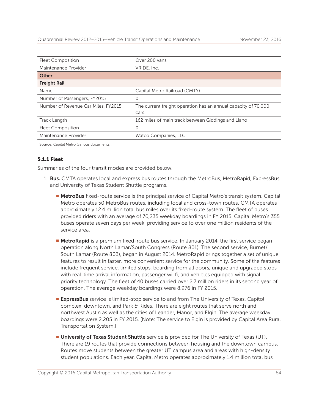| <b>Fleet Composition</b>            | Over 200 vans                                                  |
|-------------------------------------|----------------------------------------------------------------|
| Maintenance Provider                | VRIDE, Inc.                                                    |
| <b>Other</b>                        |                                                                |
| <b>Freight Rail</b>                 |                                                                |
| Name                                | Capital Metro Railroad (CMTY)                                  |
| Number of Passengers, FY2015        | 0                                                              |
| Number of Revenue Car Miles, FY2015 | The current freight operation has an annual capacity of 70,000 |
|                                     | cars.                                                          |
| Track Length                        | 162 miles of main track between Giddings and Llano             |
| <b>Fleet Composition</b>            | 0                                                              |
| Maintenance Provider                | Watco Companies, LLC                                           |

Source: Capital Metro (various documents).

#### 5.1.1 Fleet

Summaries of the four transit modes are provided below.

- 1. **Bus.** CMTA operates local and express bus routes through the MetroBus, MetroRapid, ExpressBus, and University of Texas Student Shuttle programs.
	- **MetroBus** fixed-route service is the principal service of Capital Metro's transit system. Capital Metro operates 50 MetroBus routes, including local and cross-town routes. CMTA operates approximately 12.4 million total bus miles over its fixed-route system. The fleet of buses provided riders with an average of 70,235 weekday boardings in FY 2015. Capital Metro's 355 buses operate seven days per week, providing service to over one million residents of the service area.
	- **MetroRapid** is a premium fixed-route bus service. In January 2014, the first service began operation along North Lamar/South Congress (Route 801). The second service, Burnet/ South Lamar (Route 803), began in August 2014. MetroRapid brings together a set of unique features to result in faster, more convenient service for the community. Some of the features include frequent service, limited stops, boarding from all doors, unique and upgraded stops with real-time arrival information, passenger wi-fi, and vehicles equipped with signalpriority technology. The fleet of 40 buses carried over 2.7 million riders in its second year of operation. The average weekday boardings were 8,976 in FY 2015.
	- **ExpressBus** service is limited-stop service to and from The University of Texas, Capitol complex, downtown, and Park & Rides. There are eight routes that serve north and northwest Austin as well as the cities of Leander, Manor, and Elgin. The average weekday boardings were 2,205 in FY 2015. (Note: The service to Elgin is provided by Capital Area Rural Transportation System.)
	- **Iniversity of Texas Student Shuttle** service is provided for The University of Texas (UT). There are 19 routes that provide connections between housing and the downtown campus. Routes move students between the greater UT campus area and areas with high-density student populations. Each year, Capital Metro operates approximately 1.4 million total bus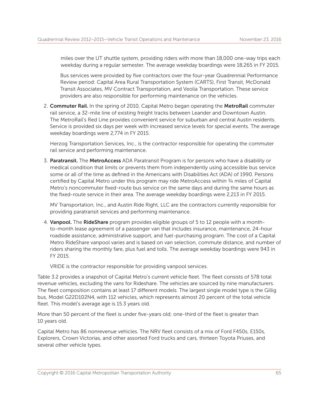miles over the UT shuttle system, providing riders with more than 18,000 one-way trips each weekday during a regular semester. The average weekday boardings were 18,265 in FY 2015.

 Bus services were provided by five contractors over the four-year Quadrennial Performance Review period: Capital Area Rural Transportation System (CARTS), First Transit, McDonald Transit Associates, MV Contract Transportation, and Veolia Transportation. These service providers are also responsible for performing maintenance on the vehicles.

2. Commuter Rail. In the spring of 2010, Capital Metro began operating the MetroRail commuter rail service, a 32-mile line of existing freight tracks between Leander and Downtown Austin. The MetroRail's Red Line provides convenient service for suburban and central Austin residents. Service is provided six days per week with increased service levels for special events. The average weekday boardings were 2,774 in FY 2015.

Herzog Transportation Services, Inc., is the contractor responsible for operating the commuter rail service and performing maintenance.

3. Paratransit. The MetroAccess ADA Paratransit Program is for persons who have a disability or medical condition that limits or prevents them from independently using accessible bus service some or all of the time as defined in the Americans with Disabilities Act (ADA) of 1990. Persons certified by Capital Metro under this program may ride MetroAccess within ¾ miles of Capital Metro's noncommuter fixed-route bus service on the same days and during the same hours as the fixed-route service in their area. The average weekday boardings were 2,213 in FY 2015.

MV Transportation, Inc., and Austin Ride Right, LLC are the contractors currently responsible for providing paratransit services and performing maintenance.

4. Vanpool. The RideShare program provides eligible groups of 5 to 12 people with a monthto-month lease agreement of a passenger van that includes insurance, maintenance, 24-hour roadside assistance, administrative support, and fuel-purchasing program. The cost of a Capital Metro RideShare vanpool varies and is based on van selection, commute distance, and number of riders sharing the monthly fare, plus fuel and tolls. The average weekday boardings were 943 in FY 2015.

VRIDE is the contractor responsible for providing vanpool services.

Table 3.2 provides a snapshot of Capital Metro's current vehicle fleet. The fleet consists of 578 total revenue vehicles, excluding the vans for Rideshare. The vehicles are sourced by nine manufacturers. The fleet composition contains at least 17 different models. The largest single model type is the Gillig bus, Model G22D102N4, with 112 vehicles, which represents almost 20 percent of the total vehicle fleet. This model's average age is 15.3 years old.

More than 50 percent of the fleet is under five-years old; one-third of the fleet is greater than 10 years old.

Capital Metro has 86 nonrevenue vehicles. The NRV fleet consists of a mix of Ford F450s, E150s, Explorers, Crown Victorias, and other assorted Ford trucks and cars, thirteen Toyota Priuses, and several other vehicle types.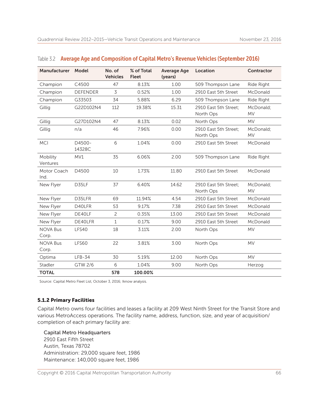| Manufacturer             | Model            | No. of<br><b>Vehicles</b> | % of Total<br><b>Fleet</b> | <b>Average Age</b><br>(years) | Location                           | Contractor             |
|--------------------------|------------------|---------------------------|----------------------------|-------------------------------|------------------------------------|------------------------|
| Champion                 | C4500            | 47                        | 8.13%                      | 1.00                          | 509 Thompson Lane                  | Ride Right             |
| Champion                 | <b>DEFENDER</b>  | 3                         | 0.52%                      | 1.00                          | 2910 East 5th Street               | McDonald               |
| Champion                 | G33503           | 34                        | 5.88%                      | 6.29                          | 509 Thompson Lane                  | Ride Right             |
| Gillig                   | G22D102N4        | 112                       | 19.38%                     | 15.31                         | 2910 East 5th Street:<br>North Ops | McDonald;<br><b>MV</b> |
| Gillig                   | G27D102N4        | 47                        | 8.13%                      | 0.02                          | North Ops                          | <b>MV</b>              |
| Gillig                   | n/a              | 46                        | 7.96%                      | 0.00                          | 2910 East 5th Street;<br>North Ops | McDonald;<br><b>MV</b> |
| <b>MCI</b>               | D4500-<br>14328C | 6                         | 1.04%                      | 0.00                          | 2910 East 5th Street               | McDonald               |
| Mobility<br>Ventures     | MV1              | 35                        | 6.06%                      | 2.00                          | 509 Thompson Lane                  | Ride Right             |
| Motor Coach<br>Ind.      | D4500            | 10                        | 1.73%                      | 11.80                         | 2910 East 5th Street               | McDonald               |
| New Flyer                | D35LF            | 37                        | 6.40%                      | 14.62                         | 2910 East 5th Street:<br>North Ops | McDonald:<br><b>MV</b> |
| New Flyer                | D35LFR           | 69                        | 11.94%                     | 4.54                          | 2910 East 5th Street               | McDonald               |
| New Flyer                | D40LFR           | 53                        | 9.17%                      | 7.38                          | 2910 East 5th Street               | McDonald               |
| New Flyer                | DE40LF           | $\overline{c}$            | 0.35%                      | 13.00                         | 2910 East 5th Street               | McDonald               |
| New Flyer                | DE40LFR          | 1                         | 0.17%                      | 9.00                          | 2910 East 5th Street               | McDonald               |
| <b>NOVA Bus</b><br>Corp. | LFS40            | 18                        | 3.11%                      | 2.00                          | North Ops                          | <b>MV</b>              |
| <b>NOVA Bus</b><br>Corp. | <b>LFS60</b>     | 22                        | 3.81%                      | 3.00                          | North Ops                          | <b>MV</b>              |
| Optima                   | $LFB-34$         | 30                        | 5.19%                      | 12.00                         | North Ops                          | <b>MV</b>              |
| Stadler                  | GTW 2/6          | 6                         | 1.04%                      | 9.00                          | North Ops                          | Herzog                 |
| <b>TOTAL</b>             |                  | 578                       | 100.00%                    |                               |                                    |                        |

#### Table 3.2 Average Age and Composition of Capital Metro's Revenue Vehicles (September 2016)

Source: Capital Metro Fleet List, October 3, 2016; Iknow analysis.

#### 5.1.2 Primary Facilities

Capital Metro owns four facilities and leases a facility at 209 West Ninth Street for the Transit Store and various MetroAccess operations. The facility name, address, function, size, and year of acquisition/ completion of each primary facility are:

Capital Metro Headquarters 2910 East Fifth Street Austin, Texas 78702 Administration: 29,000 square feet, 1986 Maintenance: 140,000 square feet, 1986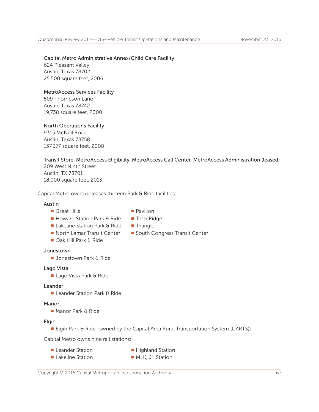## Capital Metro Administrative Annex/Child Care Facility

624 Pleasant Valley Austin, Texas 78702 25,500 square feet, 2006

#### MetroAccess Services Facility

509 Thompson Lane Austin, Texas 78742 19,738 square feet, 2000

## North Operations Facility

9315 McNeil Road Austin, Texas 78758 137,377 square feet, 2008

#### Transit Store, MetroAccess Eligibility, MetroAccess Call Center, MetroAccess Administration (leased) 209 West Ninth Street Austin, TX 78701 18,000 square feet, 2013

Capital Metro owns or leases thirteen Park & Ride facilities:

#### Austin

- **n** Great Hills **n Pavilion**
- 
- $\blacksquare$  Howard Station Park & Ride  $\blacksquare$  Tech Ridge
	-
- Lakeline Station Park & Ride Triangle
- 
- Oak Hill Park & Ride
- North Lamar Transit Center South Congress Transit Center

#### Jonestown

**Jonestown Park & Ride** 

#### Lago Vista

 $\blacksquare$  Lago Vista Park & Ride

#### Leander

■ Leander Station Park & Ride

#### Manor

 $\blacksquare$  Manor Park & Ride

#### Elgin

■ Elgin Park & Ride [owned by the Capital Area Rural Transportation System (CARTS)]

Capital Metro owns nine rail stations:

- **Example:** Leander Station **n** Highland Station
- Lakeline Station NLK, Jr. Station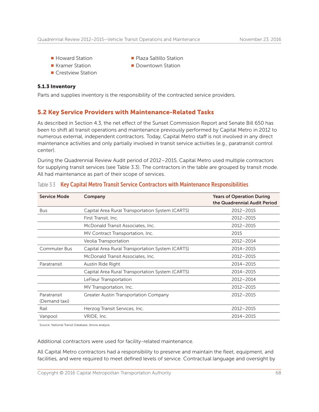- 
- Howard Station Nation Network Plaza Saltillo Station
- **n** Kramer Station **n Downtown Station**
- **n** Crestview Station

#### 5.1.3 Inventory

Parts and supplies inventory is the responsibility of the contracted service providers.

# 5.2 Key Service Providers with Maintenance-Related Tasks

As described in Section 4.3, the net effect of the Sunset Commission Report and Senate Bill 650 has been to shift all transit operations and maintenance previously performed by Capital Metro in 2012 to numerous external, independent contractors. Today, Capital Metro staff is not involved in any direct maintenance activities and only partially involved in transit service activities (e.g., paratransit control center).

During the Quadrennial Review Audit period of 2012–2015, Capital Metro used multiple contractors for supplying transit services (see Table 3.3). The contractors in the table are grouped by transit mode. All had maintenance as part of their scope of services.

| <b>Service Mode</b>                                                     | Company                                          | <b>Years of Operation During</b><br>the Quadrennial Audit Period |
|-------------------------------------------------------------------------|--------------------------------------------------|------------------------------------------------------------------|
| <b>Bus</b>                                                              | Capital Area Rural Transportation System (CARTS) | 2012-2015                                                        |
|                                                                         | First Transit, Inc.                              | 2012-2015                                                        |
|                                                                         | McDonald Transit Associates, Inc.                | 2012-2015                                                        |
|                                                                         | MV Contract Transportation, Inc.                 | 2015                                                             |
|                                                                         | Veolia Transportation                            | 2012-2014                                                        |
| <b>Commuter Bus</b><br>Capital Area Rural Transportation System (CARTS) |                                                  | 2014-2015                                                        |
|                                                                         | McDonald Transit Associates, Inc.                | 2012-2015                                                        |
| Paratransit                                                             | Austin Ride Right                                | 2014-2015                                                        |
|                                                                         | Capital Area Rural Transportation System (CARTS) | 2014-2015                                                        |
|                                                                         | LeFleur Transportation                           | 2012-2014                                                        |
|                                                                         | MV Transportation, Inc.                          | 2012-2015                                                        |
| Paratransit<br>(Demand taxi)                                            | Greater Austin Transportation Company            | 2012-2015                                                        |
| Rail                                                                    | 2012-2015<br>Herzog Transit Services, Inc.       |                                                                  |
| Vanpool                                                                 | VRIDE, Inc.                                      | 2014-2015                                                        |

#### Table 3.3 Key Capital Metro Transit Service Contractors with Maintenance Responsibilities

Source: National Transit Database; Iknow analysis.

Additional contractors were used for facility-related maintenance.

All Capital Metro contractors had a responsibility to preserve and maintain the fleet, equipment, and facilities, and were required to meet defined levels of service. Contractual language and oversight by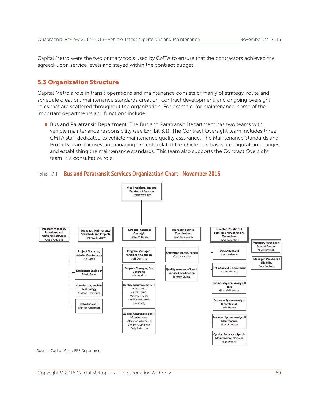Capital Metro were the two primary tools used by CMTA to ensure that the contractors achieved the agreed-upon service levels and stayed within the contract budget.

# 5.3 Organization Structure

Capital Metro's role in transit operations and maintenance consists primarily of strategy, route and schedule creation, maintenance standards creation, contract development, and ongoing oversight roles that are scattered throughout the organization. For example, for maintenance, some of the important departments and functions include:

■ Bus and Paratransit Department. The Bus and Paratransit Department has two teams with vehicle maintenance responsibility (see Exhibit 3.1). The Contract Oversight team includes three CMTA staff dedicated to vehicle maintenance quality assurance. The Maintenance Standards and Projects team focuses on managing projects related to vehicle purchases, configuration changes, and establishing the maintenance standards. This team also supports the Contract Oversight team in a consultative role.



#### Exhibit 3.1 Bus and Paratransit Services Organization Chart-November 2016

Source: Capital Metro PBS Department.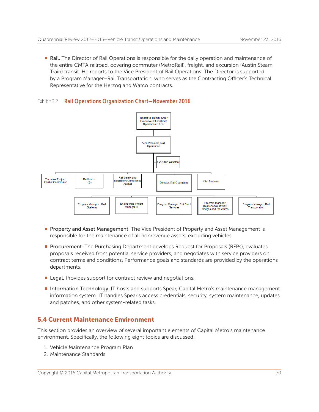**Rail.** The Director of Rail Operations is responsible for the daily operation and maintenance of the entire CMTA railroad, covering commuter (MetroRail), freight, and excursion (Austin Steam Train) transit. He reports to the Vice President of Rail Operations. The Director is supported by a Program Manager–Rail Transportation, who serves as the Contracting Officer's Technical Representative for the Herzog and Watco contracts.

#### Exhibit 3.2 Rail Operations Organization Chart-November 2016



- **Property and Asset Management.** The Vice President of Property and Asset Management is responsible for the maintenance of all nonrevenue assets, excluding vehicles.
- **Procurement.** The Purchasing Department develops Request for Proposals (RFPs), evaluates proposals received from potential service providers, and negotiates with service providers on contract terms and conditions. Performance goals and standards are provided by the operations departments.
- **Example 2** Legal. Provides support for contract review and negotiations.
- **n Information Technology**. IT hosts and supports Spear, Capital Metro's maintenance management information system. IT handles Spear's access credentials, security, system maintenance, updates and patches, and other system-related tasks.

# 5.4 Current Maintenance Environment

This section provides an overview of several important elements of Capital Metro's maintenance environment. Specifically, the following eight topics are discussed:

- 1. Vehicle Maintenance Program Plan
- 2. Maintenance Standards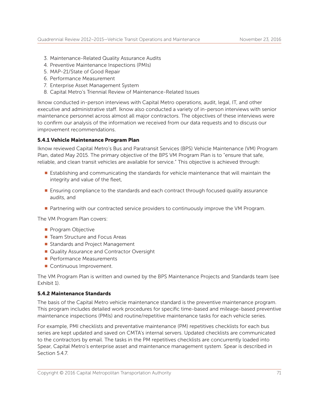- 3. Maintenance-Related Quality Assurance Audits
- 4. Preventive Maintenance Inspections (PMIs)
- 5. MAP-21/State of Good Repair
- 6. Performance Measurement
- 7. Enterprise Asset Management System
- 8. Capital Metro's Triennial Review of Maintenance-Related Issues

Iknow conducted in-person interviews with Capital Metro operations, audit, legal, IT, and other executive and administrative staff. Iknow also conducted a variety of in-person interviews with senior maintenance personnel across almost all major contractors. The objectives of these interviews were to confirm our analysis of the information we received from our data requests and to discuss our improvement recommendations.

#### 5.4.1 Vehicle Maintenance Program Plan

Iknow reviewed Capital Metro's Bus and Paratransit Services (BPS) Vehicle Maintenance (VM) Program Plan, dated May 2015. The primary objective of the BPS VM Program Plan is to "ensure that safe, reliable, and clean transit vehicles are available for service." This objective is achieved through:

- **E** Establishing and communicating the standards for vehicle maintenance that will maintain the integrity and value of the fleet,
- **Ensuring compliance to the standards and each contract through focused quality assurance** audits, and
- **Partnering with our contracted service providers to continuously improve the VM Program.**

The VM Program Plan covers:

- **Program Objective**
- Team Structure and Focus Areas
- Standards and Project Management
- Quality Assurance and Contractor Oversight
- **Performance Measurements**
- Continuous Improvement.

The VM Program Plan is written and owned by the BPS Maintenance Projects and Standards team (see Exhibit 1).

#### 5.4.2 Maintenance Standards

The basis of the Capital Metro vehicle maintenance standard is the preventive maintenance program. This program includes detailed work procedures for specific time-based and mileage-based preventive maintenance inspections (PMIs) and routine/repetitive maintenance tasks for each vehicle series.

For example, PMI checklists and preventative maintenance (PM) repetitives checklists for each bus series are kept updated and saved on CMTA's internal servers. Updated checklists are communicated to the contractors by email. The tasks in the PM repetitives checklists are concurrently loaded into Spear, Capital Metro's enterprise asset and maintenance management system. Spear is described in Section 5.4.7.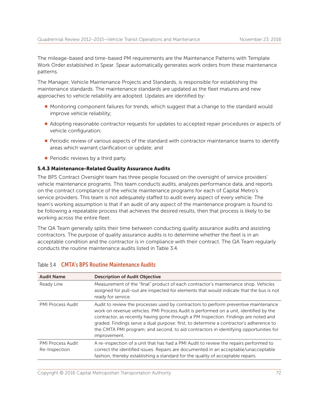The mileage-based and time-based PM requirements are the Maintenance Patterns with Template Work Order established in Spear. Spear automatically generates work orders from these maintenance patterns.

The Manager, Vehicle Maintenance Projects and Standards, is responsible for establishing the maintenance standards. The maintenance standards are updated as the fleet matures and new approaches to vehicle reliability are adopted. Updates are identified by:

- **n** Monitoring component failures for trends, which suggest that a change to the standard would improve vehicle reliability;
- Adopting reasonable contractor requests for updates to accepted repair procedures or aspects of vehicle configuration;
- **Periodic review of various aspects of the standard with contractor maintenance teams to identify** areas which warrant clarification or update; and
- $\blacksquare$  Periodic reviews by a third party.

#### 5.4.3 Maintenance-Related Quality Assurance Audits

The BPS Contract Oversight team has three people focused on the oversight of service providers' vehicle maintenance programs. This team conducts audits, analyzes performance data, and reports on the contract compliance of the vehicle maintenance programs for each of Capital Metro's service providers. This team is not adequately staffed to audit every aspect of every vehicle. The team's working assumption is that if an audit of any aspect of the maintenance program is found to be following a repeatable process that achieves the desired results, then that process is likely to be working across the entire fleet.

The QA Team generally splits their time between conducting quality assurance audits and assisting contractors. The purpose of quality assurance audits is to determine whether the fleet is in an acceptable condition and the contractor is in compliance with their contract. The QA Team regularly conducts the routine maintenance audits listed in Table 3.4.

| <b>Audit Name</b>                         | <b>Description of Audit Objective</b>                                                                                                                                                                                                                                                                                                                                                                                                                                  |
|-------------------------------------------|------------------------------------------------------------------------------------------------------------------------------------------------------------------------------------------------------------------------------------------------------------------------------------------------------------------------------------------------------------------------------------------------------------------------------------------------------------------------|
| Ready Line                                | Measurement of the "final" product of each contractor's maintenance shop. Vehicles<br>assigned for pull-out are inspected for elements that would indicate that the bus is not<br>ready for service.                                                                                                                                                                                                                                                                   |
| <b>PMI Process Audit</b>                  | Audit to review the processes used by contractors to perform preventive maintenance<br>work on revenue vehicles. PMI Process Audit is performed on a unit, identified by the<br>contractor, as recently having gone through a PM Inspection. Findings are noted and<br>graded. Findings serve a dual purpose: first, to determine a contractor's adherence to<br>the CMTA PMI program; and second, to aid contractors in identifying opportunities for<br>improvement. |
| <b>PMI Process Audit</b><br>Re-Inspection | A re-inspection of a unit that has had a PMI Audit to review the repairs performed to<br>correct the identified issues. Repairs are documented in an acceptable/unacceptable<br>fashion, thereby establishing a standard for the quality of acceptable repairs.                                                                                                                                                                                                        |

#### Table 3.4 CMTA's BPS Routine Maintenance Audits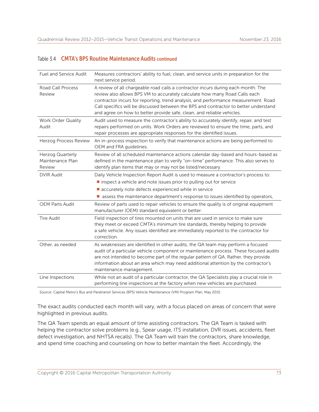#### Table 3.4 CMTA's BPS Routine Maintenance Audits continued

| <b>Fuel and Service Audit</b>                  | Measures contractors' ability to fuel, clean, and service units in preparation for the<br>next service period.                                                                                                                                                                                                                                                                                                         |
|------------------------------------------------|------------------------------------------------------------------------------------------------------------------------------------------------------------------------------------------------------------------------------------------------------------------------------------------------------------------------------------------------------------------------------------------------------------------------|
| <b>Road Call Process</b><br>Review             | A review of all chargeable road calls a contractor incurs during each month. The<br>review also allows BPS VM to accurately calculate how many Road Calls each<br>contractor incurs for reporting, trend analysis, and performance measurement. Road<br>Call specifics will be discussed between the BPS and contractor to better understand<br>and agree on how to better provide safe, clean, and reliable vehicles. |
| Work Order Quality<br>Audit                    | Audit used to measure the contractor's ability to accurately identify, repair, and test<br>repairs performed on units. Work Orders are reviewed to ensure the time, parts, and<br>repair processes are appropriate responses for the identified issues.                                                                                                                                                                |
| Herzog Process Review                          | An in-process inspection to verify that maintenance actions are being performed to<br>OEM and FRA guidelines.                                                                                                                                                                                                                                                                                                          |
| Herzog Quarterly<br>Maintenance Plan<br>Review | Review of all scheduled maintenance actions calendar day-based and hours-based as<br>defined in the maintenance plan to verify "on-time" performance. This also serves to<br>identify plan items that may or may not be listed/necessary.                                                                                                                                                                              |
| <b>DVIR Audit</b>                              | Daily Vehicle Inspection Report Audit is used to measure a contractor's process to:<br>Inspect a vehicle and note issues prior to pulling out for service<br>accurately note defects experienced while in service<br>assess the maintenance department's response to issues identified by operators,                                                                                                                   |
| <b>OEM Parts Audit</b>                         | Review of parts used to repair vehicles to ensure the quality is of original equipment<br>manufacturer (OEM) standard equivalent or better.                                                                                                                                                                                                                                                                            |
| <b>Tire Audit</b>                              | Field inspection of tires mounted on units that are used in service to make sure<br>they meet or exceed CMTA's minimum tire standards, thereby helping to provide<br>a safe vehicle. Any issues identified are immediately reported to the contractor for<br>correction.                                                                                                                                               |
| Other, as needed                               | As weaknesses are identified in other audits, the QA team may perform a focused<br>audit of a particular vehicle component or maintenance process. These focused audits<br>are not intended to become part of the regular pattern of QA. Rather, they provide<br>information about an area which may need additional attention by the contractor's<br>maintenance management.                                          |
| Line Inspections                               | While not an audit of a particular contractor, the QA Specialists play a crucial role in<br>performing line inspections at the factory when new vehicles are purchased.                                                                                                                                                                                                                                                |

Source: Capital Metro's Bus and Paratransit Services (BPS) Vehicle Maintenance (VM) Program Plan, May 2015.

The exact audits conducted each month will vary, with a focus placed on areas of concern that were highlighted in previous audits.

The QA Team spends an equal amount of time assisting contractors. The QA Team is tasked with helping the contractor solve problems (e.g., Spear usage, ITS installation, DVR issues, accidents, fleet defect investigation, and NHTSA recalls). The QA Team will train the contractors, share knowledge, and spend time coaching and counseling on how to better maintain the fleet. Accordingly, the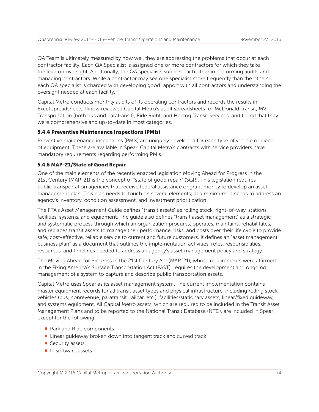QA Team is ultimately measured by how well they are addressing the problems that occur at each contractor facility. Each QA Specialist is assigned one or more contractors for which they take the lead on oversight. Additionally, the QA specialists support each other in performing audits and managing contractors. While a contractor may see one specialist more frequently than the others, each QA specialist is charged with developing good rapport with all contractors and understanding the oversight needed at each facility.

Capital Metro conducts monthly audits of its operating contractors and records the results in Excel spreadsheets. Iknow reviewed Capital Metro's audit spreadsheets for McDonald Transit, MV Transportation (both bus and paratransit), Ride Right, and Herzog Transit Services, and found that they were comprehensive and up-to-date in most categories.

#### 5.4.4 Preventive Maintenance Inspections (PMIs)

Preventive maintenance inspections (PMIs) are uniquely developed for each type of vehicle or piece of equipment. These are available in Spear. Capital Metro's contracts with service providers have mandatory requirements regarding performing PMIs.

#### 5.4.5 MAP-21/State of Good Repair

One of the main elements of the recently enacted legislation Moving Ahead for Progress in the 21st Century (MAP-21) is the concept of "state of good repair" (SGR). This legislation requires public transportation agencies that receive federal assistance or grant money to develop an asset management plan. This plan needs to touch on several elements; at a minimum, it needs to address an agency's inventory, condition assessment, and investment prioritization.

The FTA's Asset Management Guide defines "transit assets" as rolling stock, right-of-way, stations, facilities, systems, and equipment. The guide also defines "transit asset management" as a strategic and systematic process through which an organization procures, operates, maintains, rehabilitates, and replaces transit assets to manage their performance, risks, and costs over their life cycle to provide safe, cost-effective, reliable service to current and future customers. It defines an "asset management business plan" as a document that outlines the implementation activities, roles, responsibilities, resources, and timelines needed to address an agency's asset management policy and strategy.

The Moving Ahead for Progress in the 21st Century Act (MAP-21), whose requirements were affirmed in the Fixing America's Surface Transportation Act (FAST), requires the development and ongoing management of a system to capture and describe public transportation assets.

Capital Metro uses Spear as its asset management system. The current implementation contains master equipment records for all transit asset types and physical infrastructure, including rolling stock vehicles (bus, nonrevenue, paratransit, railcar, etc.), facilities/stationary assets, linear/fixed guideway, and systems equipment. All Capital Metro assets, which are required to be included in the Transit Asset Management Plans and to be reported to the National Transit Database (NTD), are included in Spear, except for the following:

- **Park and Ride components**
- $\blacksquare$  Linear guideway broken down into tangent track and curved track
- $\blacksquare$  Security assets
- **n** IT software assets.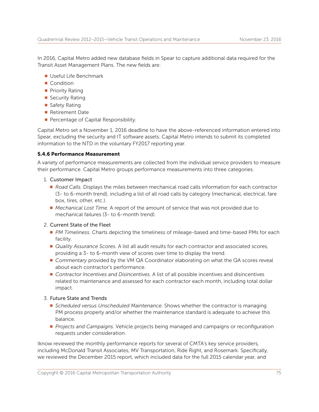In 2016, Capital Metro added new database fields in Spear to capture additional data required for the Transit Asset Management Plans. The new fields are:

- <sup>n</sup> Useful Life Benchmark
- Condition
- **Priority Rating**
- $\blacksquare$  Security Rating
- $\blacksquare$  Safety Rating
- Retirement Date
- **Percentage of Capital Responsibility.**

Capital Metro set a November 1, 2016 deadline to have the above-referenced information entered into Spear, excluding the security and IT software assets. Capital Metro intends to submit its completed information to the NTD in the voluntary FY2017 reporting year.

#### 5.4.6 Performance Measurement

A variety of performance measurements are collected from the individual service providers to measure their performance. Capital Metro groups performance measurements into three categories.

#### 1. Customer Impact

- **Road Calls. Displays the miles between mechanical road calls information for each contractor** (3- to 6-month trend), including a list of all road calls by category (mechanical, electrical, fare box, tires, other, etc.).
- **n** Mechanical Lost Time. A report of the amount of service that was not provided due to mechanical failures (3- to 6-month trend).

#### 2. Current State of the Fleet

- **PM Timeliness. Charts depicting the timeliness of mileage-based and time-based PMs for each** facility.
- *Quality Assurance Scores.* A list all audit results for each contractor and associated scores, providing a 3- to 6-month view of scores over time to display the trend.
- **Commentary provided by the VM QA Coordinator elaborating on what the QA scores reveal** about each contractor's performance.
- Contractor Incentives and Disincentives. A list of all possible incentives and disincentives related to maintenance and assessed for each contractor each month, including total dollar impact.

#### 3. Future State and Trends

- **Scheduled versus Unscheduled Maintenance. Shows whether the contractor is managing** PM process properly and/or whether the maintenance standard is adequate to achieve this balance.
- **Projects and Campaigns. Vehicle projects being managed and campaigns or reconfiguration** requests under consideration.

Iknow reviewed the monthly performance reports for several of CMTA's key service providers, including McDonald Transit Associates, MV Transportation, Ride Right, and Rosemark. Specifically, we reviewed the December 2015 report, which included data for the full 2015 calendar year, and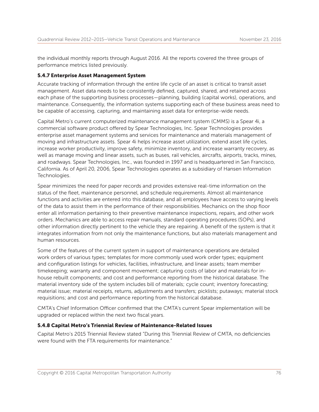the individual monthly reports through August 2016. All the reports covered the three groups of performance metrics listed previously.

#### 5.4.7 Enterprise Asset Management System

Accurate tracking of information through the entire life cycle of an asset is critical to transit asset management. Asset data needs to be consistently defined, captured, shared, and retained across each phase of the supporting business processes—planning, building (capital works), operations, and maintenance. Consequently, the information systems supporting each of these business areas need to be capable of accessing, capturing, and maintaining asset data for enterprise-wide needs.

Capital Metro's current computerized maintenance management system (CMMS) is a Spear 4i, a commercial software product offered by Spear Technologies, Inc. Spear Technologies provides enterprise asset management systems and services for maintenance and materials management of moving and infrastructure assets. Spear 4i helps increase asset utilization, extend asset life cycles, increase worker productivity, improve safety, minimize inventory, and increase warranty recovery, as well as manage moving and linear assets, such as buses, rail vehicles, aircrafts, airports, tracks, mines, and roadways. Spear Technologies, Inc., was founded in 1997 and is headquartered in San Francisco, California. As of April 20, 2006, Spear Technologies operates as a subsidiary of Hansen Information Technologies.

Spear minimizes the need for paper records and provides extensive real-time information on the status of the fleet, maintenance personnel, and schedule requirements. Almost all maintenance functions and activities are entered into this database, and all employees have access to varying levels of the data to assist them in the performance of their responsibilities. Mechanics on the shop floor enter all information pertaining to their preventive maintenance inspections, repairs, and other work orders. Mechanics are able to access repair manuals, standard operating procedures (SOPs), and other information directly pertinent to the vehicle they are repairing. A benefit of the system is that it integrates information from not only the maintenance functions, but also materials management and human resources.

Some of the features of the current system in support of maintenance operations are detailed work orders of various types; templates for more commonly used work order types; equipment and configuration listings for vehicles, facilities, infrastructure, and linear assets; team member timekeeping; warranty and component movement; capturing costs of labor and materials for inhouse rebuilt components; and cost and performance reporting from the historical database. The material inventory side of the system includes bill of materials; cycle count; inventory forecasting; material issue; material receipts, returns, adjustments and transfers; picklists; putaways; material stock requisitions; and cost and performance reporting from the historical database.

CMTA's Chief Information Officer confirmed that the CMTA's current Spear implementation will be upgraded or replaced within the next two fiscal years.

#### 5.4.8 Capital Metro's Triennial Review of Maintenance-Related Issues

Capital Metro's 2015 Triennial Review stated "During this Triennial Review of CMTA, no deficiencies were found with the FTA requirements for maintenance."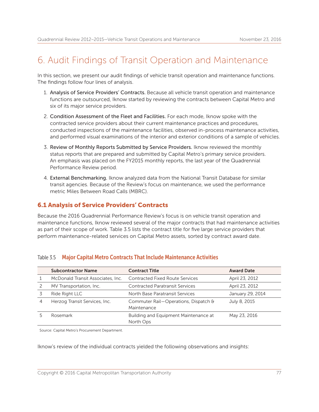# 6. Audit Findings of Transit Operation and Maintenance

In this section, we present our audit findings of vehicle transit operation and maintenance functions. The findings follow four lines of analysis.

- 1. Analysis of Service Providers' Contracts. Because all vehicle transit operation and maintenance functions are outsourced, Iknow started by reviewing the contracts between Capital Metro and six of its major service providers.
- 2. Condition Assessment of the Fleet and Facilities. For each mode, Iknow spoke with the contracted service providers about their current maintenance practices and procedures, conducted inspections of the maintenance facilities, observed in-process maintenance activities, and performed visual examinations of the interior and exterior conditions of a sample of vehicles.
- 3. Review of Monthly Reports Submitted by Service Providers. Iknow reviewed the monthly status reports that are prepared and submitted by Capital Metro's primary service providers. An emphasis was placed on the FY2015 monthly reports, the last year of the Quadrennial Performance Review period.
- 4. External Benchmarking. Iknow analyzed data from the National Transit Database for similar transit agencies. Because of the Review's focus on maintenance, we used the performance metric Miles Between Road Calls (MBRC).

# 6.1 Analysis of Service Providers' Contracts

Because the 2016 Quadrennial Performance Review's focus is on vehicle transit operation and maintenance functions, Iknow reviewed several of the major contracts that had maintenance activities as part of their scope of work. Table 3.5 lists the contract title for five large service providers that perform maintenance-related services on Capital Metro assets, sorted by contract award date.

|   | <b>Subcontractor Name</b>         | <b>Contract Title</b>                               | <b>Award Date</b> |
|---|-----------------------------------|-----------------------------------------------------|-------------------|
|   | McDonald Transit Associates, Inc. | <b>Contracted Fixed Route Services</b>              | April 23, 2012    |
|   | MV Transportation, Inc.           | <b>Contracted Paratransit Services</b>              | April 23, 2012    |
|   | Ride Right LLC                    | North Base Paratransit Services                     | January 29, 2014  |
| 4 | Herzog Transit Services, Inc.     | Commuter Rail-Operations, Dispatch &<br>Maintenance | July 8, 2015      |
|   | Rosemark                          | Building and Equipment Maintenance at<br>North Ops  | May 23, 2016      |

## Table 3.5 Major Capital Metro Contracts That Include Maintenance Activities

Source: Capital Metro's Procurement Department.

Iknow's review of the individual contracts yielded the following observations and insights: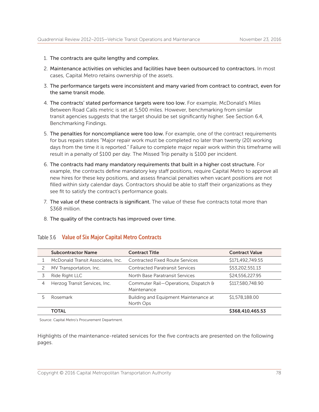- 1. The contracts are quite lengthy and complex.
- 2. Maintenance activities on vehicles and facilities have been outsourced to contractors. In most cases, Capital Metro retains ownership of the assets.
- 3. The performance targets were inconsistent and many varied from contract to contract, even for the same transit mode.
- 4. The contracts' stated performance targets were too low. For example, McDonald's Miles Between Road Calls metric is set at 5,500 miles. However, benchmarking from similar transit agencies suggests that the target should be set significantly higher. See Section 6.4, Benchmarking Findings.
- 5. The penalties for noncompliance were too low. For example, one of the contract requirements for bus repairs states "Major repair work must be completed no later than twenty (20) working days from the time it is reported." Failure to complete major repair work within this timeframe will result in a penalty of \$100 per day. The Missed Trip penalty is \$100 per incident.
- 6. The contracts had many mandatory requirements that built in a higher cost structure. For example, the contracts define mandatory key staff positions, require Capital Metro to approve all new hires for these key positions, and assess financial penalties when vacant positions are not filled within sixty calendar days. Contractors should be able to staff their organizations as they see fit to satisfy the contract's performance goals.
- 7. The value of these contracts is significant. The value of these five contracts total more than \$368 million.
- 8. The quality of the contracts has improved over time.

|   | <b>Subcontractor Name</b>         | <b>Contract Title</b>                               | <b>Contract Value</b> |
|---|-----------------------------------|-----------------------------------------------------|-----------------------|
|   | McDonald Transit Associates, Inc. | <b>Contracted Fixed Route Services</b>              | \$171,492,749.55      |
|   | MV Transportation, Inc.           | <b>Contracted Paratransit Services</b>              | \$53,202,551.13       |
|   | Ride Right LLC                    | North Base Paratransit Services                     | \$24,556,227.95       |
| 4 | Herzog Transit Services, Inc.     | Commuter Rail-Operations, Dispatch &<br>Maintenance | \$117,580,748.90      |
|   | Rosemark                          | Building and Equipment Maintenance at<br>North Ops  | \$1,578,188.00        |
|   | <b>TOTAL</b>                      |                                                     | \$368,410,465.53      |

#### Table 3.6 Value of Six Major Capital Metro Contracts

Source: Capital Metro's Procurement Department.

Highlights of the maintenance-related services for the five contracts are presented on the following pages.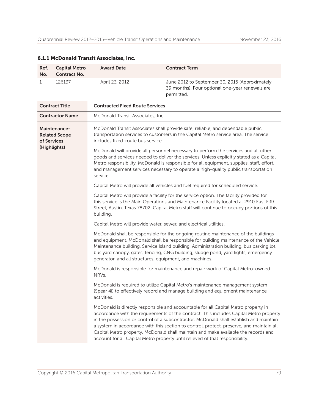| Ref.<br>No.                                                                                                                                                                                                                                                                                                                                                                                                                                                                                                                                                                                                                                                                                                                                                                                                                                                                                                                                                                                                                                                                    | <b>Capital Metro</b><br><b>Contract No.</b> | <b>Award Date</b>                                                                                                                                                                                                                                                                            | <b>Contract Term</b>                                                                                            |
|--------------------------------------------------------------------------------------------------------------------------------------------------------------------------------------------------------------------------------------------------------------------------------------------------------------------------------------------------------------------------------------------------------------------------------------------------------------------------------------------------------------------------------------------------------------------------------------------------------------------------------------------------------------------------------------------------------------------------------------------------------------------------------------------------------------------------------------------------------------------------------------------------------------------------------------------------------------------------------------------------------------------------------------------------------------------------------|---------------------------------------------|----------------------------------------------------------------------------------------------------------------------------------------------------------------------------------------------------------------------------------------------------------------------------------------------|-----------------------------------------------------------------------------------------------------------------|
| 1                                                                                                                                                                                                                                                                                                                                                                                                                                                                                                                                                                                                                                                                                                                                                                                                                                                                                                                                                                                                                                                                              | 126137                                      | April 23, 2012                                                                                                                                                                                                                                                                               | June 2012 to September 30, 2015 (Approximately<br>39 months). Four optional one-year renewals are<br>permitted. |
|                                                                                                                                                                                                                                                                                                                                                                                                                                                                                                                                                                                                                                                                                                                                                                                                                                                                                                                                                                                                                                                                                | <b>Contract Title</b>                       | <b>Contracted Fixed Route Services</b>                                                                                                                                                                                                                                                       |                                                                                                                 |
|                                                                                                                                                                                                                                                                                                                                                                                                                                                                                                                                                                                                                                                                                                                                                                                                                                                                                                                                                                                                                                                                                | <b>Contractor Name</b>                      | McDonald Transit Associates, Inc.                                                                                                                                                                                                                                                            |                                                                                                                 |
| McDonald Transit Associates shall provide safe, reliable, and dependable public<br>Maintenance-<br>transportation services to customers in the Capital Metro service area. The service<br><b>Related Scope</b><br>includes fixed-route bus service.<br>of Services<br>(Highlights)<br>McDonald will provide all personnel necessary to perform the services and all other<br>goods and services needed to deliver the services. Unless explicitly stated as a Capital<br>Metro responsibility, McDonald is responsible for all equipment, supplies, staff, effort,<br>and management services necessary to operate a high-quality public transportation<br>service.                                                                                                                                                                                                                                                                                                                                                                                                            |                                             |                                                                                                                                                                                                                                                                                              |                                                                                                                 |
|                                                                                                                                                                                                                                                                                                                                                                                                                                                                                                                                                                                                                                                                                                                                                                                                                                                                                                                                                                                                                                                                                |                                             |                                                                                                                                                                                                                                                                                              |                                                                                                                 |
|                                                                                                                                                                                                                                                                                                                                                                                                                                                                                                                                                                                                                                                                                                                                                                                                                                                                                                                                                                                                                                                                                |                                             |                                                                                                                                                                                                                                                                                              | Capital Metro will provide all vehicles and fuel required for scheduled service.                                |
|                                                                                                                                                                                                                                                                                                                                                                                                                                                                                                                                                                                                                                                                                                                                                                                                                                                                                                                                                                                                                                                                                |                                             | Capital Metro will provide a facility for the service option. The facility provided for<br>this service is the Main Operations and Maintenance Facility located at 2910 East Fifth<br>Street, Austin, Texas 78702. Capital Metro staff will continue to occupy portions of this<br>building. |                                                                                                                 |
|                                                                                                                                                                                                                                                                                                                                                                                                                                                                                                                                                                                                                                                                                                                                                                                                                                                                                                                                                                                                                                                                                |                                             | Capital Metro will provide water, sewer, and electrical utilities.                                                                                                                                                                                                                           |                                                                                                                 |
| McDonald shall be responsible for the ongoing routine maintenance of the buildings<br>and equipment. McDonald shall be responsible for building maintenance of the Vehicle<br>Maintenance building, Service Island building, Administration building, bus parking lot,<br>bus yard canopy, gates, fencing, CNG building, sludge pond, yard lights, emergency<br>generator, and all structures, equipment, and machines.<br>McDonald is responsible for maintenance and repair work of Capital Metro-owned<br>NRVs.<br>activities.<br>McDonald is directly responsible and accountable for all Capital Metro property in<br>accordance with the requirements of the contract. This includes Capital Metro property<br>in the possession or control of a subcontractor. McDonald shall establish and maintain<br>a system in accordance with this section to control, protect, preserve, and maintain all<br>Capital Metro property. McDonald shall maintain and make available the records and<br>account for all Capital Metro property until relieved of that responsibility. |                                             |                                                                                                                                                                                                                                                                                              |                                                                                                                 |
|                                                                                                                                                                                                                                                                                                                                                                                                                                                                                                                                                                                                                                                                                                                                                                                                                                                                                                                                                                                                                                                                                |                                             |                                                                                                                                                                                                                                                                                              |                                                                                                                 |
|                                                                                                                                                                                                                                                                                                                                                                                                                                                                                                                                                                                                                                                                                                                                                                                                                                                                                                                                                                                                                                                                                |                                             | McDonald is required to utilize Capital Metro's maintenance management system<br>(Spear 4i) to effectively record and manage building and equipment maintenance                                                                                                                              |                                                                                                                 |
|                                                                                                                                                                                                                                                                                                                                                                                                                                                                                                                                                                                                                                                                                                                                                                                                                                                                                                                                                                                                                                                                                |                                             |                                                                                                                                                                                                                                                                                              |                                                                                                                 |

# 6.1.1 McDonald Transit Associates, Inc.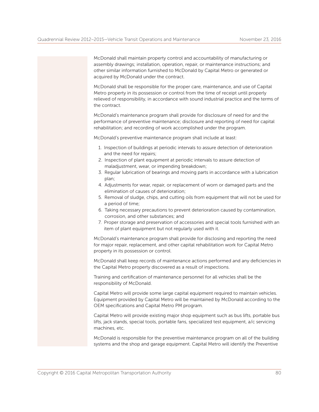McDonald shall maintain property control and accountability of manufacturing or assembly drawings; installation, operation, repair, or maintenance instructions; and other similar information furnished to McDonald by Capital Metro or generated or acquired by McDonald under the contract.

 McDonald shall be responsible for the proper care, maintenance, and use of Capital Metro property in its possession or control from the time of receipt until properly relieved of responsibility, in accordance with sound industrial practice and the terms of the contract.

 McDonald's maintenance program shall provide for disclosure of need for and the performance of preventive maintenance; disclosure and reporting of need for capital rehabilitation; and recording of work accomplished under the program.

McDonald's preventive maintenance program shall include at least:

- 1. Inspection of buildings at periodic intervals to assure detection of deterioration and the need for repairs;
- 2. Inspection of plant equipment at periodic intervals to assure detection of maladjustment, wear, or impending breakdown;
- 3. Regular lubrication of bearings and moving parts in accordance with a lubrication plan;
- 4. Adjustments for wear, repair, or replacement of worn or damaged parts and the elimination of causes of deterioration;
- 5. Removal of sludge, chips, and cutting oils from equipment that will not be used for a period of time;
- 6. Taking necessary precautions to prevent deterioration caused by contamination, corrosion, and other substances; and
- 7. Proper storage and preservation of accessories and special tools furnished with an item of plant equipment but not regularly used with it.

 McDonald's maintenance program shall provide for disclosing and reporting the need for major repair, replacement, and other capital rehabilitation work for Capital Metro property in its possession or control.

 McDonald shall keep records of maintenance actions performed and any deficiencies in the Capital Metro property discovered as a result of inspections.

 Training and certification of maintenance personnel for all vehicles shall be the responsibility of McDonald.

 Capital Metro will provide some large capital equipment required to maintain vehicles. Equipment provided by Capital Metro will be maintained by McDonald according to the OEM specifications and Capital Metro PM program.

 Capital Metro will provide existing major shop equipment such as bus lifts, portable bus lifts, jack stands, special tools, portable fans, specialized test equipment, a/c servicing machines, etc.

 McDonald is responsible for the preventive maintenance program on all of the building systems and the shop and garage equipment. Capital Metro will identify the Preventive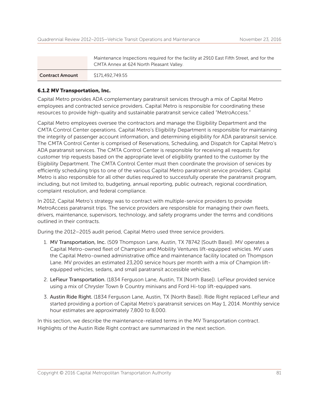|                        | Maintenance Inspections required for the facility at 2910 East Fifth Street, and for the<br>CMTA Annex at 624 North Pleasant Valley. |  |
|------------------------|--------------------------------------------------------------------------------------------------------------------------------------|--|
| <b>Contract Amount</b> | \$171,492,749.55                                                                                                                     |  |

#### 6.1.2 MV Transportation, Inc.

Capital Metro provides ADA complementary paratransit services through a mix of Capital Metro employees and contracted service providers. Capital Metro is responsible for coordinating these resources to provide high-quality and sustainable paratransit service called "MetroAccess."

Capital Metro employees oversee the contractors and manage the Eligibility Department and the CMTA Control Center operations. Capital Metro's Eligibility Department is responsible for maintaining the integrity of passenger account information, and determining eligibility for ADA paratransit service. The CMTA Control Center is comprised of Reservations, Scheduling, and Dispatch for Capital Metro's ADA paratransit services. The CMTA Control Center is responsible for receiving all requests for customer trip requests based on the appropriate level of eligibility granted to the customer by the Eligibility Department. The CMTA Control Center must then coordinate the provision of services by efficiently scheduling trips to one of the various Capital Metro paratransit service providers. Capital Metro is also responsible for all other duties required to successfully operate the paratransit program, including, but not limited to, budgeting, annual reporting, public outreach, regional coordination, complaint resolution, and federal compliance.

In 2012, Capital Metro's strategy was to contract with multiple-service providers to provide MetroAccess paratransit trips. The service providers are responsible for managing their own fleets, drivers, maintenance, supervisors, technology, and safety programs under the terms and conditions outlined in their contracts.

During the 2012–2015 audit period, Capital Metro used three service providers.

- 1. MV Transportation, Inc. (509 Thompson Lane, Austin, TX 78742 [South Base]). MV operates a Capital Metro-owned fleet of Champion and Mobility Ventures lift-equipped vehicles. MV uses the Capital Metro-owned administrative office and maintenance facility located on Thompson Lane. MV provides an estimated 23,200 service hours per month with a mix of Champion liftequipped vehicles, sedans, and small paratransit accessible vehicles.
- 2. LeFleur Transportation. (1834 Ferguson Lane, Austin, TX [North Base]). LeFleur provided service using a mix of Chrysler Town & Country minivans and Ford Hi-top lift-equipped vans.
- 3. Austin Ride Right. (1834 Ferguson Lane, Austin, TX [North Base]). Ride Right replaced LeFleur and started providing a portion of Capital Metro's paratransit services on May 1, 2014. Monthly service hour estimates are approximately 7,800 to 8,000.

In this section, we describe the maintenance-related terms in the MV Transportation contract. Highlights of the Austin Ride Right contract are summarized in the next section.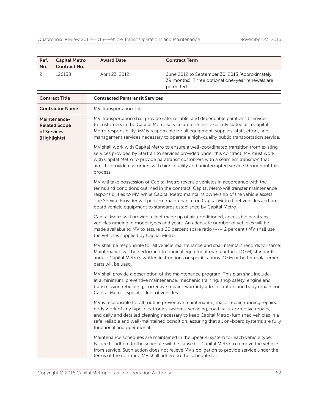| Ref.<br>No. | <b>Capital Metro</b><br><b>Contract No.</b> | <b>Award Date</b> | <b>Contract Term</b>                                                                                             |
|-------------|---------------------------------------------|-------------------|------------------------------------------------------------------------------------------------------------------|
|             | 126138                                      | April 23, 2012    | June 2012 to September 30, 2015 (Approximately<br>39 months). Three optional one-year renewals are<br>permitted. |

| <b>Contract Title</b>                                               | <b>Contracted Paratransit Services</b>                                                                                                                                                                                                                                                                                                                                                                                              |
|---------------------------------------------------------------------|-------------------------------------------------------------------------------------------------------------------------------------------------------------------------------------------------------------------------------------------------------------------------------------------------------------------------------------------------------------------------------------------------------------------------------------|
| <b>Contractor Name</b>                                              | MV Transportation, Inc.                                                                                                                                                                                                                                                                                                                                                                                                             |
| Maintenance-<br><b>Related Scope</b><br>of Services<br>(Highlights) | MV Transportation shall provide safe, reliable, and dependable paratransit services<br>to customers in the Capital Metro service area. Unless explicitly stated as a Capital<br>Metro responsibility, MV is responsible for all equipment, supplies, staff, effort, and<br>management services necessary to operate a high-quality public transportation service.                                                                   |
|                                                                     | MV shall work with Capital Metro to ensure a well-coordinated transition from existing<br>services provided by StarTran to services provided under this contract. MV must work<br>with Capital Metro to provide paratransit customers with a seamless transition that<br>aims to provide customers with high-quality and uninterrupted service throughout this<br>process.                                                          |
|                                                                     | MV will take possession of Capital Metro revenue vehicles in accordance with the<br>terms and conditions outlined in the contract. Capital Metro will transfer maintenance<br>responsibilities to MV, while Capital Metro maintains ownership of the vehicle assets.<br>The Service Provider will perform maintenance on Capital Metro fleet vehicles and on-<br>board vehicle equipment to standards established by Capital Metro. |
|                                                                     | Capital Metro will provide a fleet made up of air-conditioned, accessible paratransit<br>vehicles ranging in model types and years. An adequate number of vehicles will be<br>made available to MV to assure a 20 percent spare ratio $(+/- 2$ percent.) MV shall use<br>the vehicles supplied by Capital Metro.                                                                                                                    |
|                                                                     | MV shall be responsible for all vehicle maintenance and shall maintain records for same.<br>Maintenance will be performed to original equipment manufacturer (OEM) standards<br>and/or Capital Metro's written instructions or specifications. OEM or better replacement<br>parts will be used.                                                                                                                                     |
|                                                                     | MV shall provide a description of the maintenance program. This plan shall include,<br>at a minimum, preventive maintenance, mechanic training, shop safety, engine and<br>transmission rebuilding, corrective repairs, warranty administration and body repairs for<br>Capital Metro's specific fleet of vehicles.                                                                                                                 |
|                                                                     | MV is responsible for all routine preventive maintenance, major repair, running repairs,<br>body work of any type, electronics systems, servicing, road calls, corrective repairs,<br>and daily and detailed cleaning necessary to keep Capital Metro-furnished vehicles in a<br>safe, reliable and well-maintained condition, assuring that all on-board systems are fully<br>functional and operational.                          |
|                                                                     | Maintenance schedules are maintained in the Spear 4i system for each vehicle type.<br>Failure to adhere to the schedule will be cause for Capital Metro to remove the vehicle<br>from service. Such action does not relieve MV's obligation to provide service under the<br>terms of the contract. MV shall adhere to the schedule for:                                                                                             |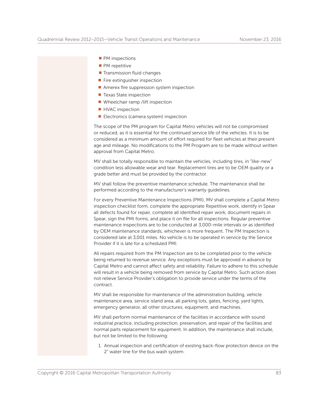- $\blacksquare$  PM inspections
- $\blacksquare$  PM repetitive
- $\blacksquare$  Transmission fluid changes
- $\blacksquare$  Fire extinguisher inspection
- $\blacksquare$  Amerex fire suppression system inspection
- $\blacksquare$  Texas State inspection
- $\blacksquare$  Wheelchair ramp /lift inspection
- **N** HVAC inspection
- $\blacksquare$  Electronics (camera system) inspection

 The scope of the PM program for Capital Metro vehicles will not be compromised or reduced, as it is essential for the continued service life of the vehicles. It is to be considered as a minimum amount of effort required for fleet vehicles at their present age and mileage. No modifications to the PM Program are to be made without written approval from Capital Metro.

 MV shall be totally responsible to maintain the vehicles, including tires, in "like-new" condition less allowable wear and tear. Replacement tires are to be OEM quality or a grade better and must be provided by the contractor.

 MV shall follow the preventive maintenance schedule. The maintenance shall be performed according to the manufacturer's warranty guidelines.

 For every Preventive Maintenance Inspections (PMI), MV shall complete a Capital Metro inspection checklist form, complete the appropriate Repetitive work, identify in Spear all defects found for repair, complete all identified repair work, document repairs in Spear, sign the PMI forms, and place it on file for all inspections. Regular preventive maintenance inspections are to be conducted at 3,000-mile intervals or as identified by OEM maintenance standards, whichever is more frequent. The PM Inspection is considered late at 3,001 miles. No vehicle is to be operated in service by the Service Provider if it is late for a scheduled PMI.

 All repairs required from the PM Inspection are to be completed prior to the vehicle being returned to revenue service. Any exceptions must be approved in advance by Capital Metro and cannot affect safety and reliability. Failure to adhere to this schedule will result in a vehicle being removed from service by Capital Metro. Such action does not relieve Service Provider's obligation to provide service under the terms of the contract.

 MV shall be responsible for maintenance of the administration building, vehicle maintenance area, service island area, all parking lots, gates, fencing, yard lights, emergency generator, all other structures, equipment, and machines.

 MV shall perform normal maintenance of the facilities in accordance with sound industrial practice, including protection, preservation, and repair of the facilities and normal parts replacement for equipment. In addition, the maintenance shall include, but not be limited to the following:

 1. Annual inspection and certification of existing back-flow protection device on the 2" water line for the bus wash system.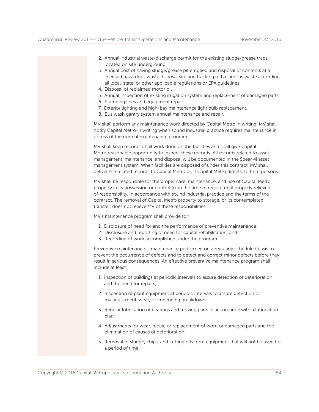- 2. Annual industrial waste/discharge permit for the existing sludge/grease traps located on site underground.
- 3. Annual cost of having sludge/grease pit emptied and disposal of contents at a licensed hazardous waste disposal site and tracking of hazardous waste according all local, state, or other applicable regulations or EPA guidelines.
- 4. Disposal of reclaimed motor oil.
- 5. Annual inspection of existing irrigation system and replacement of damaged parts.
- 6. Plumbing lines and equipment repair.
- 7. Exterior lighting and high-bay maintenance light bulb replacement.
- 8. Bus wash gantry system annual maintenance and repair.

 MV shall perform any maintenance work directed by Capital Metro in writing. MV shall notify Capital Metro in writing when sound industrial practice requires maintenance in excess of the normal maintenance program.

 MV shall keep records of all work done on the facilities and shall give Capital Metro reasonable opportunity to inspect these records. All records related to asset management, maintenance, and disposal will be documented in the Spear 4i asset management system. When facilities are disposed of under this contract, MV shall deliver the related records to Capital Metro or, if Capital Metro directs, to third persons.

 MV shall be responsible for the proper care, maintenance, and use of Capital Metro property in its possession or control from the time of receipt until properly relieved of responsibility, in accordance with sound industrial practice and the terms of the contract. The removal of Capital Metro property to storage, or its contemplated transfer, does not relieve MV of these responsibilities.

MV's maintenance program shall provide for:

- 1. Disclosure of need for and the performance of preventive maintenance;
- 2. Disclosure and reporting of need for capital rehabilitation; and
- 3. Recording of work accomplished under the program.

 Preventive maintenance is maintenance performed on a regularly scheduled basis to prevent the occurrence of defects and to detect and correct minor defects before they result in serious consequences. An effective preventive maintenance program shall include at least:

- 1. Inspection of buildings at periodic intervals to assure detection of deterioration and the need for repairs;
- 2. Inspection of plant equipment at periodic intervals to assure detection of maladjustment, wear, or impending breakdown;
- 3. Regular lubrication of bearings and moving parts in accordance with a lubrication plan;
- 4. Adjustments for wear, repair, or replacement of worn or damaged parts and the elimination of causes of deterioration;
- 5. Removal of sludge, chips, and cutting oils from equipment that will not be used for a period of time;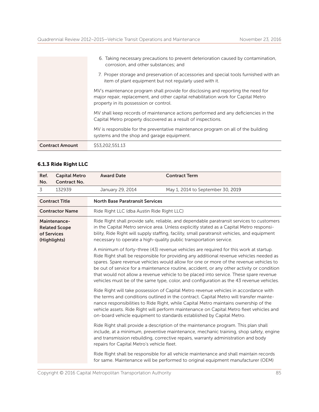|                        | 6. Taking necessary precautions to prevent deterioration caused by contamination,<br>corrosion, and other substances; and                                                                                        |
|------------------------|------------------------------------------------------------------------------------------------------------------------------------------------------------------------------------------------------------------|
|                        | 7. Proper storage and preservation of accessories and special tools furnished with an<br>item of plant equipment but not regularly used with it.                                                                 |
|                        | MV's maintenance program shall provide for disclosing and reporting the need for<br>major repair, replacement, and other capital rehabilitation work for Capital Metro<br>property in its possession or control. |
|                        | MV shall keep records of maintenance actions performed and any deficiencies in the<br>Capital Metro property discovered as a result of inspections.                                                              |
|                        | MV is responsible for the preventative maintenance program on all of the building<br>systems and the shop and garage equipment.                                                                                  |
| <b>Contract Amount</b> | \$53,202,551.13                                                                                                                                                                                                  |

# 6.1.3 Ride Right LLC

| Ref.<br>No.                                                                                                                                                                                                                                                                                                                                                                                                                                | <b>Capital Metro</b><br><b>Contract No.</b> | <b>Award Date</b>                                                                                                                                                                                                                                                                                                                                                                                                                                                                                                                                          | <b>Contract Term</b>                                                                                                                                                                                                                                             |
|--------------------------------------------------------------------------------------------------------------------------------------------------------------------------------------------------------------------------------------------------------------------------------------------------------------------------------------------------------------------------------------------------------------------------------------------|---------------------------------------------|------------------------------------------------------------------------------------------------------------------------------------------------------------------------------------------------------------------------------------------------------------------------------------------------------------------------------------------------------------------------------------------------------------------------------------------------------------------------------------------------------------------------------------------------------------|------------------------------------------------------------------------------------------------------------------------------------------------------------------------------------------------------------------------------------------------------------------|
| 3                                                                                                                                                                                                                                                                                                                                                                                                                                          | 132939                                      | January 29, 2014                                                                                                                                                                                                                                                                                                                                                                                                                                                                                                                                           | May 1, 2014 to September 30, 2019                                                                                                                                                                                                                                |
|                                                                                                                                                                                                                                                                                                                                                                                                                                            | <b>Contract Title</b>                       | <b>North Base Paratransit Services</b>                                                                                                                                                                                                                                                                                                                                                                                                                                                                                                                     |                                                                                                                                                                                                                                                                  |
|                                                                                                                                                                                                                                                                                                                                                                                                                                            | <b>Contractor Name</b>                      | Ride Right LLC (dba Austin Ride Right LLC)                                                                                                                                                                                                                                                                                                                                                                                                                                                                                                                 |                                                                                                                                                                                                                                                                  |
| Ride Right shall provide safe, reliable, and dependable paratransit services to customers<br>Maintenance-<br>in the Capital Metro service area. Unless explicitly stated as a Capital Metro responsi-<br><b>Related Scope</b><br>bility, Ride Right will supply staffing, facility, small paratransit vehicles, and equipment<br>of Services<br>necessary to operate a high-quality public transportation service.<br>(Highlights)         |                                             |                                                                                                                                                                                                                                                                                                                                                                                                                                                                                                                                                            |                                                                                                                                                                                                                                                                  |
|                                                                                                                                                                                                                                                                                                                                                                                                                                            |                                             | A minimum of forty-three (43) revenue vehicles are required for this work at startup.<br>Ride Right shall be responsible for providing any additional revenue vehicles needed as<br>spares. Spare revenue vehicles would allow for one or more of the revenue vehicles to<br>be out of service for a maintenance routine, accident, or any other activity or condition<br>that would not allow a revenue vehicle to be placed into service. These spare revenue<br>vehicles must be of the same type, color, and configuration as the 43 revenue vehicles. |                                                                                                                                                                                                                                                                  |
| Ride Right will take possession of Capital Metro revenue vehicles in accordance with<br>the terms and conditions outlined in the contract. Capital Metro will transfer mainte-<br>nance responsibilities to Ride Right, while Capital Metro maintains ownership of the<br>vehicle assets. Ride Right will perform maintenance on Capital Metro fleet vehicles and<br>on-board vehicle equipment to standards established by Capital Metro. |                                             |                                                                                                                                                                                                                                                                                                                                                                                                                                                                                                                                                            |                                                                                                                                                                                                                                                                  |
|                                                                                                                                                                                                                                                                                                                                                                                                                                            |                                             | repairs for Capital Metro's vehicle fleet.                                                                                                                                                                                                                                                                                                                                                                                                                                                                                                                 | Ride Right shall provide a description of the maintenance program. This plan shall<br>include, at a minimum, preventive maintenance, mechanic training, shop safety, engine<br>and transmission rebuilding, corrective repairs, warranty administration and body |
| Ride Right shall be responsible for all vehicle maintenance and shall maintain records<br>for same. Maintenance will be performed to original equipment manufacturer (OEM)                                                                                                                                                                                                                                                                 |                                             |                                                                                                                                                                                                                                                                                                                                                                                                                                                                                                                                                            |                                                                                                                                                                                                                                                                  |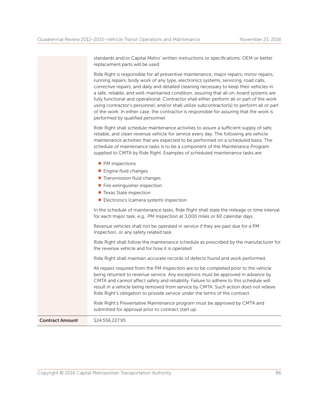standards and/or Capital Metro' written instructions or specifications. OEM or better replacement parts will be used.

 Ride Right is responsible for all preventive maintenance, major repairs, minor repairs, running repairs, body work of any type, electronics systems, servicing, road calls, corrective repairs, and daily and detailed cleaning necessary to keep their vehicles in a safe, reliable, and well-maintained condition, assuring that all on-board systems are fully functional and operational. Contractor shall either perform all or part of the work using contractor's personnel, and/or shall utilize subcontractor(s) to perform all or part of the work. In either case, the contractor is responsible for assuring that the work is performed by qualified personnel.

 Ride Right shall schedule maintenance activities to assure a sufficient supply of safe, reliable, and clean revenue vehicle for service every day. The following are vehicle maintenance activities that are expected to be performed on a scheduled basis. The schedule of maintenance tasks is to be a component of the Maintenance Program supplied to CMTA by Ride Right. Examples of scheduled maintenance tasks are:

- $\blacksquare$  PM inspections
- $\blacksquare$  Engine fluid changes
- $\blacksquare$  Transmission fluid changes
- $\blacksquare$  Fire extinguisher inspection
- $\blacksquare$  Texas State inspection
- $\blacksquare$  Electronics (camera system) inspection

 In the schedule of maintenance tasks, Ride Right shall state the mileage or time interval for each major task; e.g., PM Inspection at 3,000 miles or 60 calendar days.

 Revenue vehicles shall not be operated in service if they are past due for a PM Inspection, or any safety related task.

 Ride Right shall follow the maintenance schedule as prescribed by the manufacturer for the revenue vehicle and for how it is operated.

Ride Right shall maintain accurate records of defects found and work performed.

 All repairs required from the PM Inspection are to be completed prior to the vehicle being returned to revenue service. Any exceptions must be approved in advance by CMTA and cannot affect safety and reliability. Failure to adhere to this schedule will result in a vehicle being removed from service by CMTA. Such action does not relieve Ride Right's obligation to provide service under the terms of the contract.

 Ride Right's Preventative Maintenance program must be approved by CMTA and submitted for approval prior to contract start up.

**Contract Amount** \$24,556,227.95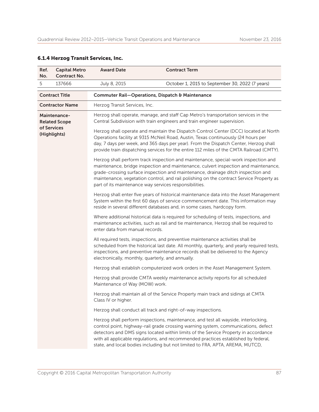| Ref.<br>No.                                                                                                                                    | <b>Capital Metro</b><br><b>Contract No.</b> | <b>Award Date</b>              | <b>Contract Term</b>                                                                                                                                                                                                                                                                                                                                                                                                                  |
|------------------------------------------------------------------------------------------------------------------------------------------------|---------------------------------------------|--------------------------------|---------------------------------------------------------------------------------------------------------------------------------------------------------------------------------------------------------------------------------------------------------------------------------------------------------------------------------------------------------------------------------------------------------------------------------------|
| 5                                                                                                                                              | 137666                                      | July 8, 2015                   | October 1, 2015 to September 30, 2022 (7 years)                                                                                                                                                                                                                                                                                                                                                                                       |
|                                                                                                                                                | <b>Contract Title</b>                       |                                | Commuter Rail-Operations, Dispatch & Maintenance                                                                                                                                                                                                                                                                                                                                                                                      |
|                                                                                                                                                | <b>Contractor Name</b>                      | Herzog Transit Services, Inc.  |                                                                                                                                                                                                                                                                                                                                                                                                                                       |
| <b>Maintenance-</b><br><b>Related Scope</b>                                                                                                    |                                             |                                | Herzog shall operate, manage, and staff Cap Metro's transportation services in the<br>Central Subdivision with train engineers and train engineer supervision.                                                                                                                                                                                                                                                                        |
| of Services                                                                                                                                    | (Highlights)                                |                                | Herzog shall operate and maintain the Dispatch Control Center (DCC) located at North<br>Operations facility at 9315 McNeil Road, Austin, Texas continuously (24 hours per<br>day, 7 days per week, and 365 days per year). From the Dispatch Center, Herzog shall<br>provide train dispatching services for the entire 112 miles of the CMTA Railroad (CMTY).                                                                         |
| part of its maintenance way services responsibilities.<br>enter data from manual records.<br>electronically, monthly, quarterly, and annually. |                                             |                                | Herzog shall perform track inspection and maintenance, special-work inspection and<br>maintenance, bridge inspection and maintenance, culvert inspection and maintenance,<br>grade-crossing surface inspection and maintenance, drainage ditch inspection and<br>maintenance, vegetation control, and rail polishing on the contract Service Property as                                                                              |
|                                                                                                                                                |                                             |                                | Herzog shall enter five years of historical maintenance data into the Asset Management<br>System within the first 60 days of service commencement date. This information may<br>reside in several different databases and, in some cases, hardcopy form.                                                                                                                                                                              |
|                                                                                                                                                |                                             |                                | Where additional historical data is required for scheduling of tests, inspections, and<br>maintenance activities, such as rail and tie maintenance, Herzog shall be required to                                                                                                                                                                                                                                                       |
|                                                                                                                                                |                                             |                                | All required tests, inspections, and preventive maintenance activities shall be<br>scheduled from the historical last date. All monthly, quarterly, and yearly required tests,<br>inspections, and preventive maintenance records shall be delivered to the Agency                                                                                                                                                                    |
|                                                                                                                                                |                                             |                                | Herzog shall establish computerized work orders in the Asset Management System.                                                                                                                                                                                                                                                                                                                                                       |
|                                                                                                                                                |                                             | Maintenance of Way (MOW) work. | Herzog shall provide CMTA weekly maintenance activity reports for all scheduled                                                                                                                                                                                                                                                                                                                                                       |
|                                                                                                                                                |                                             | Class IV or higher.            | Herzog shall maintain all of the Service Property main track and sidings at CMTA                                                                                                                                                                                                                                                                                                                                                      |
|                                                                                                                                                |                                             |                                | Herzog shall conduct all track and right-of-way inspections.                                                                                                                                                                                                                                                                                                                                                                          |
|                                                                                                                                                |                                             |                                | Herzog shall perform inspections, maintenance, and test all wayside, interlocking,<br>control point, highway-rail grade crossing warning system, communications, defect<br>detectors and DMS signs located within limits of the Service Property in accordance<br>with all applicable regulations, and recommended practices established by federal,<br>state, and local bodies including but not limited to FRA, APTA, AREMA, MUTCD, |

# 6.1.4 Herzog Transit Services, Inc.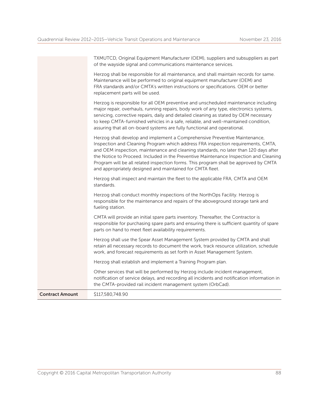|                        | TXMUTCD, Original Equipment Manufacturer (OEM), suppliers and subsuppliers as part<br>of the wayside signal and communications maintenance services.                                                                                                                                                                                                                                                                                                                                                 |
|------------------------|------------------------------------------------------------------------------------------------------------------------------------------------------------------------------------------------------------------------------------------------------------------------------------------------------------------------------------------------------------------------------------------------------------------------------------------------------------------------------------------------------|
|                        | Herzog shall be responsible for all maintenance, and shall maintain records for same.<br>Maintenance will be performed to original equipment manufacturer (OEM) and<br>FRA standards and/or CMTA's written instructions or specifications. OEM or better<br>replacement parts will be used.                                                                                                                                                                                                          |
|                        | Herzog is responsible for all OEM preventive and unscheduled maintenance including<br>major repair, overhauls, running repairs, body work of any type, electronics systems,<br>servicing, corrective repairs, daily and detailed cleaning as stated by OEM necessary<br>to keep CMTA-furnished vehicles in a safe, reliable, and well-maintained condition,<br>assuring that all on-board systems are fully functional and operational.                                                              |
|                        | Herzog shall develop and implement a Comprehensive Preventive Maintenance,<br>Inspection and Cleaning Program which address FRA inspection requirements, CMTA,<br>and OEM inspection, maintenance and cleaning standards, no later than 120 days after<br>the Notice to Proceed. Included in the Preventive Maintenance Inspection and Cleaning<br>Program will be all related inspection forms. This program shall be approved by CMTA<br>and appropriately designed and maintained for CMTA fleet. |
|                        | Herzog shall inspect and maintain the fleet to the applicable FRA, CMTA and OEM<br>standards.                                                                                                                                                                                                                                                                                                                                                                                                        |
|                        | Herzog shall conduct monthly inspections of the NorthOps Facility. Herzog is<br>responsible for the maintenance and repairs of the aboveground storage tank and<br>fueling station.                                                                                                                                                                                                                                                                                                                  |
|                        | CMTA will provide an initial spare parts inventory. Thereafter, the Contractor is<br>responsible for purchasing spare parts and ensuring there is sufficient quantity of spare<br>parts on hand to meet fleet availability requirements.                                                                                                                                                                                                                                                             |
|                        | Herzog shall use the Spear Asset Management System provided by CMTA and shall<br>retain all necessary records to document the work, track resource utilization, schedule<br>work, and forecast requirements as set forth in Asset Management System.                                                                                                                                                                                                                                                 |
|                        | Herzog shall establish and implement a Training Program plan.                                                                                                                                                                                                                                                                                                                                                                                                                                        |
|                        | Other services that will be performed by Herzog include incident management,<br>notification of service delays, and recording all incidents and notification information in<br>the CMTA-provided rail incident management system (OrbCad).                                                                                                                                                                                                                                                           |
| <b>Contract Amount</b> | \$117,580,748.90                                                                                                                                                                                                                                                                                                                                                                                                                                                                                     |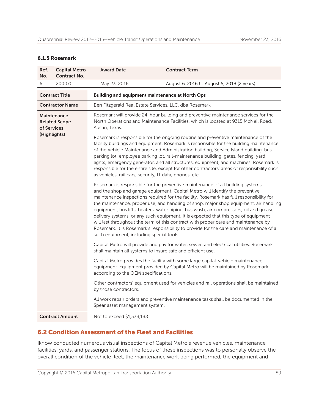#### 6.1.5 Rosemark

| Ref.<br>No.                                                                      | <b>Capital Metro</b><br><b>Contract No.</b> | <b>Award Date</b>                                                                                                                                                                                                                                                                                                                                                                                                                                                                                                                                                                                                                                                                                                                                                  | <b>Contract Term</b>                       |  |  |  |
|----------------------------------------------------------------------------------|---------------------------------------------|--------------------------------------------------------------------------------------------------------------------------------------------------------------------------------------------------------------------------------------------------------------------------------------------------------------------------------------------------------------------------------------------------------------------------------------------------------------------------------------------------------------------------------------------------------------------------------------------------------------------------------------------------------------------------------------------------------------------------------------------------------------------|--------------------------------------------|--|--|--|
| 6                                                                                | 200070                                      | May 23, 2016                                                                                                                                                                                                                                                                                                                                                                                                                                                                                                                                                                                                                                                                                                                                                       | August 6, 2016 to August 5, 2018 (2 years) |  |  |  |
| <b>Contract Title</b>                                                            |                                             | <b>Building and equipment maintenance at North Ops</b>                                                                                                                                                                                                                                                                                                                                                                                                                                                                                                                                                                                                                                                                                                             |                                            |  |  |  |
| <b>Contractor Name</b><br>Ben Fitzgerald Real Estate Services, LLC, dba Rosemark |                                             |                                                                                                                                                                                                                                                                                                                                                                                                                                                                                                                                                                                                                                                                                                                                                                    |                                            |  |  |  |
| Maintenance-<br><b>Related Scope</b><br>of Services<br>(Highlights)              |                                             | Rosemark will provide 24-hour building and preventive maintenance services for the<br>North Operations and Maintenance Facilities, which is located at 9315 McNeil Road,<br>Austin, Texas.<br>Rosemark is responsible for the ongoing routine and preventive maintenance of the                                                                                                                                                                                                                                                                                                                                                                                                                                                                                    |                                            |  |  |  |
|                                                                                  |                                             | facility buildings and equipment. Rosemark is responsible for the building maintenance<br>of the Vehicle Maintenance and Administration building, Service Island building, bus<br>parking lot, employee parking lot, rail-maintenance building, gates, fencing, yard<br>lights, emergency generator, and all structures, equipment, and machines. Rosemark is<br>responsible for the entire site, except for other contractors' areas of responsibility such<br>as vehicles, rail cars, security, IT data, phones, etc.                                                                                                                                                                                                                                            |                                            |  |  |  |
|                                                                                  |                                             | Rosemark is responsible for the preventive maintenance of all building systems<br>and the shop and garage equipment. Capital Metro will identify the preventive<br>maintenance inspections required for the facility. Rosemark has full responsibility for<br>the maintenance, proper use, and handling of shop, major shop equipment, air handling<br>equipment, bus lifts, heaters, water piping, bus wash, air compressors, oil and grease<br>delivery systems, or any such equipment. It is expected that this type of equipment<br>will last throughout the term of this contract with proper care and maintenance by<br>Rosemark. It is Rosemark's responsibility to provide for the care and maintenance of all<br>such equipment, including special tools. |                                            |  |  |  |
|                                                                                  |                                             | Capital Metro will provide and pay for water, sewer, and electrical utilities. Rosemark<br>shall maintain all systems to insure safe and efficient use.                                                                                                                                                                                                                                                                                                                                                                                                                                                                                                                                                                                                            |                                            |  |  |  |
|                                                                                  |                                             | Capital Metro provides the facility with some large capital-vehicle maintenance<br>equipment. Equipment provided by Capital Metro will be maintained by Rosemark<br>according to the OEM specifications.                                                                                                                                                                                                                                                                                                                                                                                                                                                                                                                                                           |                                            |  |  |  |
|                                                                                  |                                             | Other contractors' equipment used for vehicles and rail operations shall be maintained<br>by those contractors.                                                                                                                                                                                                                                                                                                                                                                                                                                                                                                                                                                                                                                                    |                                            |  |  |  |
|                                                                                  |                                             | All work repair orders and preventive maintenance tasks shall be documented in the<br>Spear asset management system.                                                                                                                                                                                                                                                                                                                                                                                                                                                                                                                                                                                                                                               |                                            |  |  |  |
|                                                                                  | <b>Contract Amount</b>                      | Not to exceed \$1,578,188                                                                                                                                                                                                                                                                                                                                                                                                                                                                                                                                                                                                                                                                                                                                          |                                            |  |  |  |

# 6.2 Condition Assessment of the Fleet and Facilities

Iknow conducted numerous visual inspections of Capital Metro's revenue vehicles, maintenance facilities, yards, and passenger stations. The focus of these inspections was to personally observe the overall condition of the vehicle fleet, the maintenance work being performed, the equipment and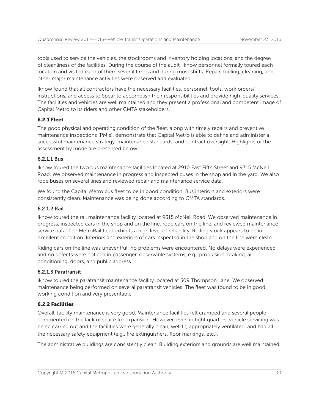tools used to service the vehicles, the stockrooms and inventory holding locations, and the degree of cleanliness of the facilities. During the course of the audit, Iknow personnel formally toured each location and visited each of them several times and during most shifts. Repair, fueling, cleaning, and other major maintenance activities were observed and evaluated.

Iknow found that all contractors have the necessary facilities, personnel, tools, work orders/ instructions, and access to Spear to accomplish their responsibilities and provide high-quality services. The facilities and vehicles are well maintained and they present a professional and competent image of Capital Metro to its riders and other CMTA stakeholders.

#### 6.2.1 Fleet

The good physical and operating condition of the fleet, along with timely repairs and preventive maintenance inspections (PMIs), demonstrate that Capital Metro is able to define and administer a successful maintenance strategy, maintenance standards, and contract oversight. Highlights of the assessment by mode are presented below.

#### 6.2.1.1 Bus

Iknow toured the two bus maintenance facilities located at 2910 East Fifth Street and 9315 McNeil Road. We observed maintenance in progress and inspected buses in the shop and in the yard. We also rode buses on several lines and reviewed repair and maintenance service data.

We found the Capital Metro bus fleet to be in good condition. Bus interiors and exteriors were consistently clean. Maintenance was being done according to CMTA standards.

#### 6.2.1.2 Rail

Iknow toured the rail maintenance facility located at 9315 McNeil Road. We observed maintenance in progress, inspected cars in the shop and on the line, rode cars on the line, and reviewed maintenance service data. The MetroRail fleet exhibits a high level of reliability. Rolling stock appears to be in excellent condition. Interiors and exteriors of cars inspected in the shop and on the line were clean.

Riding cars on the line was uneventful; no problems were encountered. No delays were experienced and no defects were noticed in passenger-observable systems, e.g., propulsion, braking, air conditioning, doors, and public address.

#### 6.2.1.3 Paratransit

Iknow toured the paratransit maintenance facility located at 509 Thompson Lane. We observed maintenance being performed on several paratransit vehicles. The fleet was found to be in good working condition and very presentable.

#### 6.2.2 Facilities

Overall, facility maintenance is very good. Maintenance facilities felt cramped and several people commented on the lack of space for expansion. However, even in tight quarters, vehicle servicing was being carried out and the facilities were generally clean, well lit, appropriately ventilated, and had all the necessary safety equipment (e.g., fire extinguishers, floor markings, etc.).

The administrative buildings are consistently clean. Building exteriors and grounds are well maintained.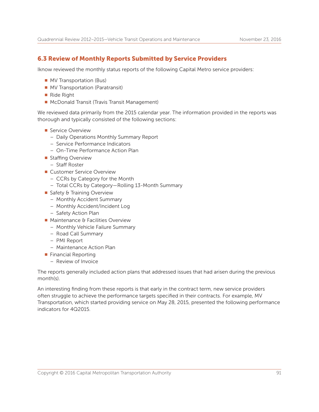# 6.3 Review of Monthly Reports Submitted by Service Providers

Iknow reviewed the monthly status reports of the following Capital Metro service providers:

- **NV Transportation (Bus)**
- **NV Transportation (Paratransit)**
- $\blacksquare$  Ride Right
- McDonald Transit (Travis Transit Management)

We reviewed data primarily from the 2015 calendar year. The information provided in the reports was thorough and typically consisted of the following sections:

- Service Overview
	- Daily Operations Monthly Summary Report
	- Service Performance Indicators
	- On-Time Performance Action Plan
- **n** Staffing Overview
	- Staff Roster
- **n** Customer Service Overview
	- CCRs by Category for the Month
	- Total CCRs by Category—Rolling 13-Month Summary
- Safety & Training Overview
	- Monthly Accident Summary
	- Monthly Accident/Incident Log
	- Safety Action Plan
- $\blacksquare$  Maintenance & Facilities Overview
	- Monthly Vehicle Failure Summary
	- Road Call Summary
	- PMI Report
	- Maintenance Action Plan
- $\blacksquare$  Financial Reporting
	- Review of Invoice

The reports generally included action plans that addressed issues that had arisen during the previous month(s).

An interesting finding from these reports is that early in the contract term, new service providers often struggle to achieve the performance targets specified in their contracts. For example, MV Transportation, which started providing service on May 28, 2015, presented the following performance indicators for 4Q2015.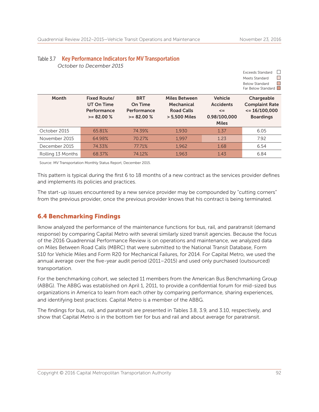Exceeds Standard  $\Box$ Moote Ctandard

 $\Box$ 

|                                                                  |                                                      |                                                                          |                                                                              | meets stanuaru<br><b>Below Standard</b><br>Far Below Standard                      |
|------------------------------------------------------------------|------------------------------------------------------|--------------------------------------------------------------------------|------------------------------------------------------------------------------|------------------------------------------------------------------------------------|
| <b>Fixed Route/</b><br>UT On Time<br>Performance<br>$>= 82.00 %$ | <b>BRT</b><br>On Time<br>Performance<br>$>= 82.00 %$ | <b>Miles Between</b><br>Mechanical<br><b>Road Calls</b><br>> 5,500 Miles | <b>Vehicle</b><br><b>Accidents</b><br>$\leq$<br>0.98/100,000<br><b>Miles</b> | Chargeable<br><b>Complaint Rate</b><br>$\epsilon$ = 16/100,000<br><b>Boardings</b> |
| 65.81%                                                           | 74.39%                                               | 1,930                                                                    | 1.37                                                                         | 6.05                                                                               |
| 64.98%                                                           | 70.27%                                               | 1.997                                                                    | 1.23                                                                         | 7.92                                                                               |
| 74.33%                                                           | 77.71%                                               | 1,962                                                                    | 1.68                                                                         | 6.54                                                                               |
| 68.37%                                                           | 74.12%                                               | 1,963                                                                    | 1.43                                                                         | 6.84                                                                               |
|                                                                  |                                                      |                                                                          |                                                                              |                                                                                    |

#### Table 3.7 Key Performance Indicators for MV Transportation  *October to December 2015*

Source: MV Transportation Monthly Status Report, December 2015.

This pattern is typical during the first 6 to 18 months of a new contract as the services provider defines and implements its policies and practices.

The start-up issues encountered by a new service provider may be compounded by "cutting corners" from the previous provider, once the previous provider knows that his contract is being terminated.

# 6.4 Benchmarking Findings

Iknow analyzed the performance of the maintenance functions for bus, rail, and paratransit (demand response) by comparing Capital Metro with several similarly sized transit agencies. Because the focus of the 2016 Quadrennial Performance Review is on operations and maintenance, we analyzed data on Miles Between Road Calls (MBRC) that were submitted to the National Transit Database, Form S10 for Vehicle Miles and Form R20 for Mechanical Failures, for 2014. For Capital Metro, we used the annual average over the five-year audit period (2011–2015) and used only purchased (outsourced) transportation.

For the benchmarking cohort, we selected 11 members from the American Bus Benchmarking Group (ABBG). The ABBG was established on April 1, 2011, to provide a confidential forum for mid-sized bus organizations in America to learn from each other by comparing performance, sharing experiences, and identifying best practices. Capital Metro is a member of the ABBG.

The findings for bus, rail, and paratransit are presented in Tables 3.8, 3.9, and 3.10, respectively, and show that Capital Metro is in the bottom tier for bus and rail and about average for paratransit.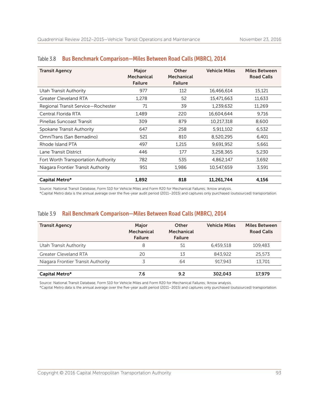| <b>Transit Agency</b>               | Major<br>Mechanical<br><b>Failure</b> | <b>Other</b><br>Mechanical<br><b>Failure</b> | <b>Vehicle Miles</b> | <b>Miles Between</b><br><b>Road Calls</b> |
|-------------------------------------|---------------------------------------|----------------------------------------------|----------------------|-------------------------------------------|
| Utah Transit Authority              | 977                                   | 112                                          | 16,466,614           | 15,121                                    |
| Greater Cleveland RTA               | 1,278                                 | 52                                           | 15,471,663           | 11,633                                    |
| Regional Transit Service-Rochester  | 71                                    | 39                                           | 1,239,632            | 11,269                                    |
| Central Florida RTA                 | 1,489                                 | 220                                          | 16,604,644           | 9,716                                     |
| Pinellas Suncoast Transit           | 309                                   | 879                                          | 10,217,318           | 8,600                                     |
| Spokane Transit Authority           | 647                                   | 258                                          | 5,911,102            | 6,532                                     |
| OmniTrans (San Bernadino)           | 521                                   | 810                                          | 8,520,295            | 6,401                                     |
| Rhode Island PTA                    | 497                                   | 1.215                                        | 9,691,952            | 5,661                                     |
| Lane Transit District               | 446                                   | 177                                          | 3,258,365            | 5,230                                     |
| Fort Worth Transportation Authority | 782                                   | 535                                          | 4,862,147            | 3,692                                     |
| Niagara Frontier Transit Authority  | 951                                   | 1,986                                        | 10,547,659           | 3,591                                     |
| Capital Metro*                      | 1,892                                 | 818                                          | 11,261,744           | 4,156                                     |

#### Table 3.8 Bus Benchmark Comparison-Miles Between Road Calls (MBRC), 2014

Source: National Transit Database, Form S10 for Vehicle Miles and Form R20 for Mechanical Failures; Iknow analysis.

\*Capital Metro data is the annual average over the five-year audit period (2011–2015) and captures only purchased (outsourced) transportation.

## Table 3.9 Rail Benchmark Comparison—Miles Between Road Calls (MBRC), 2014

| <b>Transit Agency</b>              | Major<br>Mechanical<br><b>Failure</b> | Other<br>Mechanical<br><b>Failure</b> | <b>Vehicle Miles</b> | <b>Miles Between</b><br><b>Road Calls</b> |
|------------------------------------|---------------------------------------|---------------------------------------|----------------------|-------------------------------------------|
| Utah Transit Authority             | 8                                     | 51                                    | 6.459.518            | 109.483                                   |
| <b>Greater Cleveland RTA</b>       | 20                                    | 13                                    | 843.922              | 25.573                                    |
| Niagara Frontier Transit Authority |                                       | 64                                    | 917.943              | 13.701                                    |
|                                    |                                       |                                       |                      |                                           |
| Capital Metro*                     | 7.6                                   | 9.2                                   | 302,043              | 17.979                                    |

Source: National Transit Database, Form S10 for Vehicle Miles and Form R20 for Mechanical Failures; Iknow analysis.

\*Capital Metro data is the annual average over the five-year audit period (2011–2015) and captures only purchased (outsourced) transportation.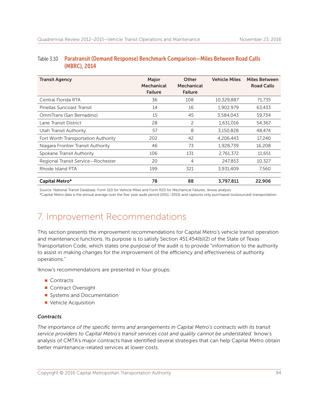# Table 3.10 Paratransit (Demand Response) Benchmark Comparison—Miles Between Road Calls (MBRC), 2014

| <b>Transit Agency</b>               | Major<br>Mechanical<br><b>Failure</b> | <b>Other</b><br>Mechanical<br><b>Failure</b> | <b>Vehicle Miles</b> | <b>Miles Between</b><br><b>Road Calls</b> |
|-------------------------------------|---------------------------------------|----------------------------------------------|----------------------|-------------------------------------------|
| Central Florida RTA                 | 36                                    | 108                                          | 10,329,887           | 71,735                                    |
| Pinellas Suncoast Transit           | 14                                    | 16                                           | 1,902,979            | 63,433                                    |
| OmniTrans (San Bernadino)           | 15                                    | 45                                           | 3,584,043            | 59,734                                    |
| Lane Transit District               | 28                                    | 2                                            | 1,631,016            | 54,367                                    |
| Utah Transit Authority              | 57                                    | 8                                            | 3,150,828            | 48,474                                    |
| Fort Worth Transportation Authority | 202                                   | 42                                           | 4,206,443            | 17,240                                    |
| Niagara Frontier Transit Authority  | 46                                    | 73                                           | 1,928,739            | 16,208                                    |
| Spokane Transit Authority           | 106                                   | 131                                          | 2,761,372            | 11,651                                    |
| Regional Transit Service-Rochester  | 20                                    | $\overline{4}$                               | 247,853              | 10,327                                    |
| Rhode Island PTA                    | 199                                   | 321                                          | 3,931,409            | 7,560                                     |
| Capital Metro*                      | 78                                    | 88                                           | 3,797,811            | 22,906                                    |

Source: National Transit Database, Form S10 for Vehicle Miles and Form R20 for Mechanical Failures; Iknow analysis.

\*Capital Metro data is the annual average over the five-year audit period (2011–2015) and captures only purchased (outsourced) transportation.

# 7. Improvement Recommendations

This section presents the improvement recommendations for Capital Metro's vehicle transit operation and maintenance functions. Its purpose is to satisfy Section 451.454(b)(2) of the State of Texas Transportation Code, which states one purpose of the audit is to provide "information to the authority to assist in making changes for the improvement of the efficiency and effectiveness of authority operations."

Iknow's recommendations are presented in four groups:

- Contracts
- **n** Contract Oversight
- Systems and Documentation
- **N** Vehicle Acquisition

#### *Contracts*

*The importance of the specific terms and arrangements in Capital Metro's contracts with its transit service providers to Capital Metro's transit services cost and quality cannot be understated.* Iknow's analysis of CMTA's major contracts have identified several strategies that can help Capital Metro obtain better maintenance-related services at lower costs.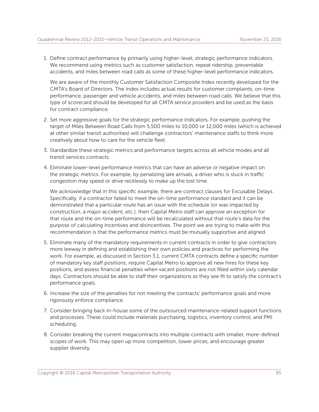1. Define contract performance by primarily using higher-level, strategic performance indicators. We recommend using metrics such as customer satisfaction, repeat ridership, preventable accidents, and miles between road calls as some of these higher-level performance indicators.

We are aware of the monthly Customer Satisfaction Composite Index recently developed for the CMTA's Board of Directors. The Index includes actual results for customer complaints, on-time performance, passenger and vehicle accidents, and miles between road calls. We believe that this type of scorecard should be developed for all CMTA service providers and be used as the basis for contract compliance.

- 2. Set more aggressive goals for the strategic performance indicators. For example, pushing the target of Miles Between Road Calls from 5,500 miles to 10,000 or 12,000 miles (which is achieved at other similar transit authorities) will challenge contractors' maintenance staffs to think more creatively about how to care for the vehicle fleet.
- 3. Standardize these strategic metrics and performance targets across all vehicle modes and all transit services contracts.
- 4. Eliminate lower-level performance metrics that can have an adverse or negative impact on the strategic metrics. For example, by penalizing late arrivals, a driver who is stuck in traffic congestion may speed or drive recklessly to make up the lost time.

We acknowledge that in this specific example, there are contract clauses for Excusable Delays. Specifically, if a contractor failed to meet the on-time performance standard and it can be demonstrated that a particular route has an issue with the schedule (or was impacted by construction, a major accident, etc.), then Capital Metro staff can approve an exception for that route and the on-time performance will be recalculated without that route's data for the purpose of calculating incentives and disincentives. The point we are trying to make with this recommendation is that the performance metrics must be mutually supportive and aligned.

- 5. Eliminate many of the mandatory requirements in current contracts in order to give contractors more leeway in defining and establishing their own policies and practices for performing the work. For example, as discussed in Section 3.1, current CMTA contracts define a specific number of mandatory key staff positions, require Capital Metro to approve all new hires for these key positions, and assess financial penalties when vacant positions are not filled within sixty calendar days. Contractors should be able to staff their organizations as they see fit to satisfy the contract's performance goals.
- 6. Increase the size of the penalties for not meeting the contracts' performance goals and more rigorously enforce compliance.
- 7. Consider bringing back in-house some of the outsourced maintenance-related support functions and processes. These could include materials purchasing, logistics, inventory control, and PMI scheduling.
- 8. Consider breaking the current megacontracts into multiple contracts with smaller, more-defined scopes of work. This may open up more competition, lower prices, and encourage greater supplier diversity.